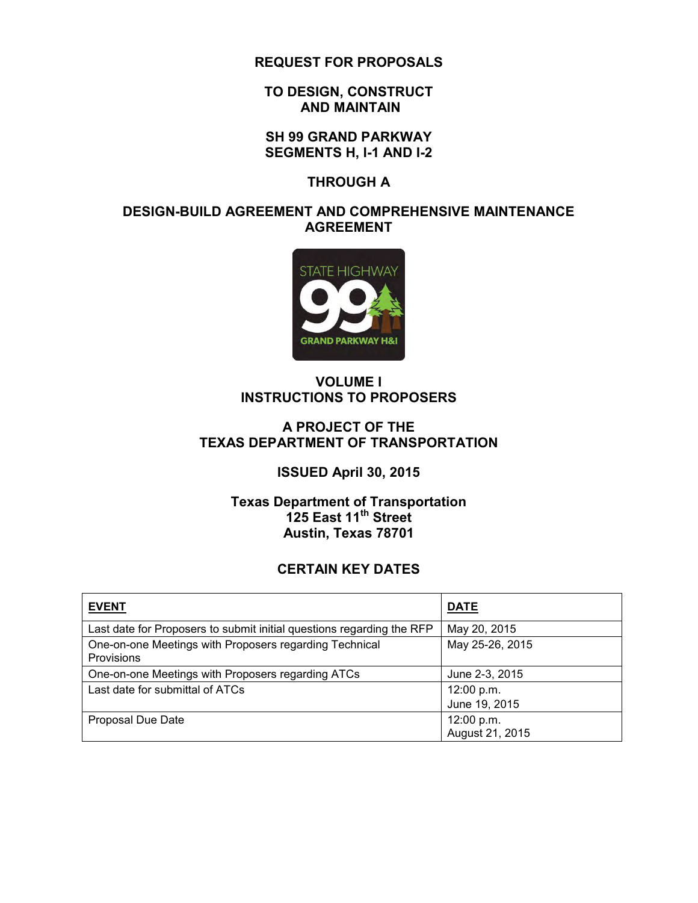**REQUEST FOR PROPOSALS** 

**TO DESIGN, CONSTRUCT AND MAINTAIN** 

**SH 99 GRAND PARKWAY SEGMENTS H, I-1 AND I-2** 

**THROUGH A** 

#### **DESIGN-BUILD AGREEMENT AND COMPREHENSIVE MAINTENANCE AGREEMENT**



#### **VOLUME I INSTRUCTIONS TO PROPOSERS**

#### **A PROJECT OF THE TEXAS DEPARTMENT OF TRANSPORTATION**

#### **ISSUED April 30, 2015**

#### **Texas Department of Transportation 125 East 11th Street Austin, Texas 78701**

#### **CERTAIN KEY DATES**

| <b>EVENT</b>                                                          | <b>DATE</b>                   |
|-----------------------------------------------------------------------|-------------------------------|
| Last date for Proposers to submit initial questions regarding the RFP | May 20, 2015                  |
| One-on-one Meetings with Proposers regarding Technical<br>Provisions  | May 25-26, 2015               |
| One-on-one Meetings with Proposers regarding ATCs                     | June 2-3, 2015                |
| Last date for submittal of ATCs                                       | 12:00 p.m.<br>June 19, 2015   |
| Proposal Due Date                                                     | 12:00 p.m.<br>August 21, 2015 |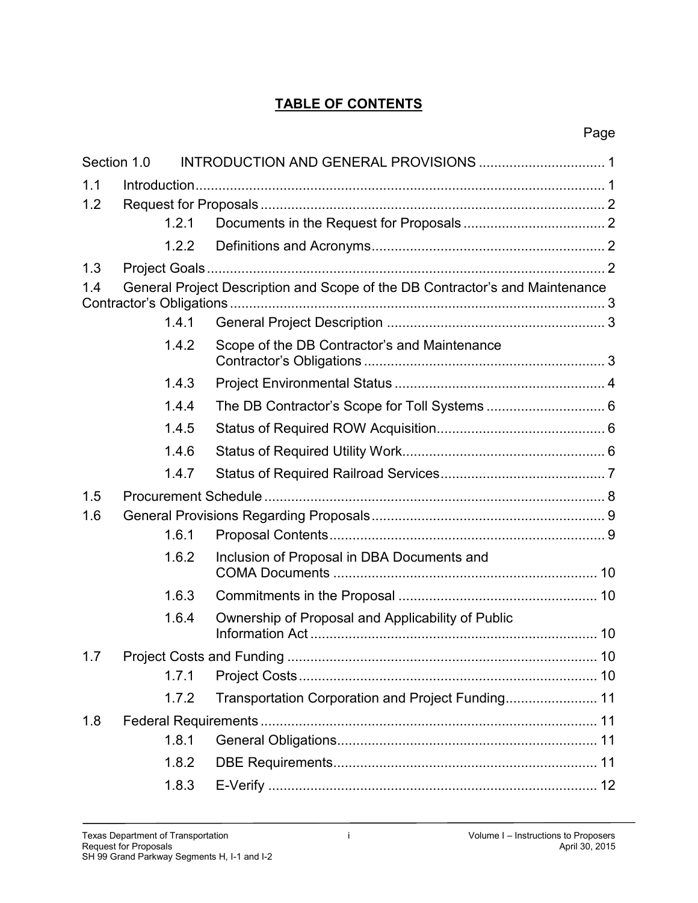## **TABLE OF CONTENTS**

| Section 1.0 |       |                                                                              |  |  |
|-------------|-------|------------------------------------------------------------------------------|--|--|
| 1.1         |       |                                                                              |  |  |
| 1.2         |       |                                                                              |  |  |
|             | 1.2.1 |                                                                              |  |  |
|             | 1.2.2 |                                                                              |  |  |
| 1.3         |       |                                                                              |  |  |
| 1.4         |       | General Project Description and Scope of the DB Contractor's and Maintenance |  |  |
|             | 1.4.1 |                                                                              |  |  |
|             | 1.4.2 | Scope of the DB Contractor's and Maintenance                                 |  |  |
|             | 1.4.3 |                                                                              |  |  |
|             | 1.4.4 |                                                                              |  |  |
|             | 1.4.5 |                                                                              |  |  |
|             | 1.4.6 |                                                                              |  |  |
|             | 1.4.7 |                                                                              |  |  |
| 1.5         |       |                                                                              |  |  |
| 1.6         |       |                                                                              |  |  |
|             | 1.6.1 |                                                                              |  |  |
|             | 1.6.2 | Inclusion of Proposal in DBA Documents and                                   |  |  |
|             | 1.6.3 |                                                                              |  |  |
|             | 1.6.4 | Ownership of Proposal and Applicability of Public                            |  |  |
| 1.7         |       |                                                                              |  |  |
|             | 1.7.1 |                                                                              |  |  |
|             | 1.7.2 | Transportation Corporation and Project Funding 11                            |  |  |
| 1.8         |       |                                                                              |  |  |
|             | 1.8.1 |                                                                              |  |  |
|             | 1.8.2 |                                                                              |  |  |
|             | 1.8.3 |                                                                              |  |  |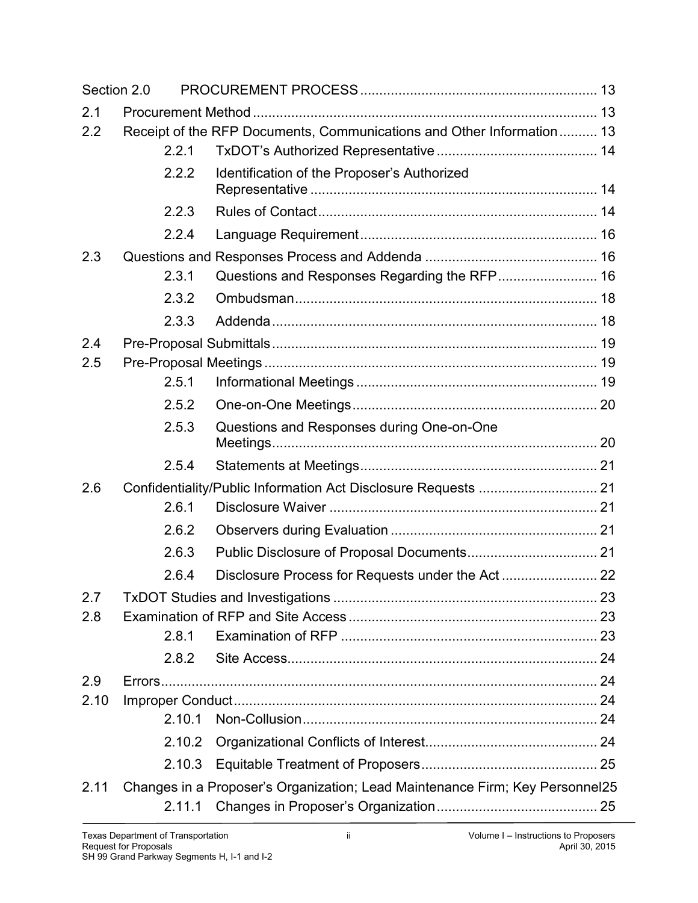| Section 2.0 |        |                                                                              |  |
|-------------|--------|------------------------------------------------------------------------------|--|
| 2.1         |        |                                                                              |  |
| 2.2         |        | Receipt of the RFP Documents, Communications and Other Information 13        |  |
|             | 2.2.1  |                                                                              |  |
|             | 2.2.2  | Identification of the Proposer's Authorized                                  |  |
|             | 2.2.3  |                                                                              |  |
|             | 2.2.4  |                                                                              |  |
| 2.3         |        |                                                                              |  |
|             | 2.3.1  |                                                                              |  |
|             | 2.3.2  |                                                                              |  |
|             | 2.3.3  |                                                                              |  |
| 2.4         |        |                                                                              |  |
| 2.5         |        |                                                                              |  |
|             | 2.5.1  |                                                                              |  |
|             | 2.5.2  |                                                                              |  |
|             | 2.5.3  | Questions and Responses during One-on-One                                    |  |
|             | 2.5.4  |                                                                              |  |
| 2.6         |        | Confidentiality/Public Information Act Disclosure Requests  21               |  |
|             | 2.6.1  |                                                                              |  |
|             | 2.6.2  |                                                                              |  |
|             | 2.6.3  |                                                                              |  |
|             | 2.6.4  |                                                                              |  |
| 2.7         |        |                                                                              |  |
| 2.8         |        |                                                                              |  |
|             | 2.8.1  |                                                                              |  |
|             | 2.8.2  |                                                                              |  |
| 2.9         |        |                                                                              |  |
| 2.10        |        |                                                                              |  |
|             | 2.10.1 |                                                                              |  |
|             | 2.10.2 |                                                                              |  |
|             | 2.10.3 |                                                                              |  |
| 2.11        | 2.11.1 | Changes in a Proposer's Organization; Lead Maintenance Firm; Key Personnel25 |  |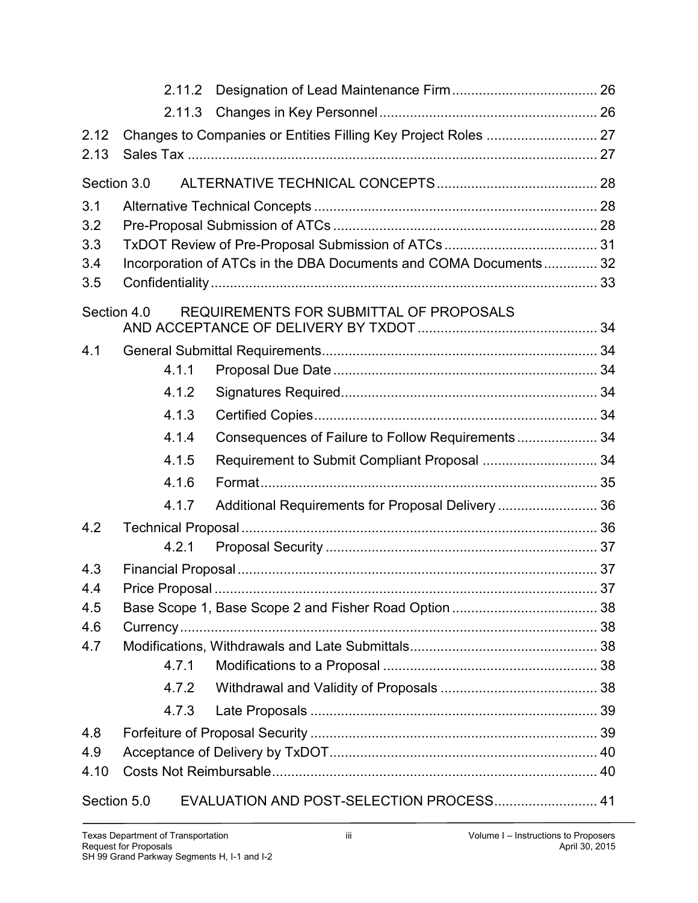|             | 2.11.2                                                         |                                                                  |  |  |  |  |
|-------------|----------------------------------------------------------------|------------------------------------------------------------------|--|--|--|--|
|             |                                                                |                                                                  |  |  |  |  |
| 2.12        | Changes to Companies or Entities Filling Key Project Roles  27 |                                                                  |  |  |  |  |
| 2.13        |                                                                |                                                                  |  |  |  |  |
| Section 3.0 |                                                                |                                                                  |  |  |  |  |
| 3.1         |                                                                |                                                                  |  |  |  |  |
| 3.2         |                                                                |                                                                  |  |  |  |  |
| 3.3         |                                                                |                                                                  |  |  |  |  |
| 3.4         |                                                                | Incorporation of ATCs in the DBA Documents and COMA Documents 32 |  |  |  |  |
| 3.5         |                                                                |                                                                  |  |  |  |  |
| Section 4.0 |                                                                | REQUIREMENTS FOR SUBMITTAL OF PROPOSALS                          |  |  |  |  |
| 4.1         |                                                                |                                                                  |  |  |  |  |
|             | 4.1.1                                                          |                                                                  |  |  |  |  |
|             | 4.1.2                                                          |                                                                  |  |  |  |  |
|             | 4.1.3                                                          |                                                                  |  |  |  |  |
|             | 4.1.4                                                          | Consequences of Failure to Follow Requirements 34                |  |  |  |  |
|             | 4.1.5                                                          | Requirement to Submit Compliant Proposal  34                     |  |  |  |  |
|             | 4.1.6                                                          |                                                                  |  |  |  |  |
|             | 4.1.7                                                          | Additional Requirements for Proposal Delivery  36                |  |  |  |  |
| 4.2         |                                                                |                                                                  |  |  |  |  |
|             | 4.2.1                                                          |                                                                  |  |  |  |  |
| 4.3         |                                                                |                                                                  |  |  |  |  |
| 4.4         |                                                                |                                                                  |  |  |  |  |
| 4.5         |                                                                |                                                                  |  |  |  |  |
| 4.6         |                                                                |                                                                  |  |  |  |  |
| 4.7         | 4.7.1                                                          |                                                                  |  |  |  |  |
|             |                                                                |                                                                  |  |  |  |  |
|             | 4.7.2                                                          |                                                                  |  |  |  |  |
|             | 4.7.3                                                          |                                                                  |  |  |  |  |
| 4.8         |                                                                |                                                                  |  |  |  |  |
| 4.9<br>4.10 |                                                                |                                                                  |  |  |  |  |
|             |                                                                |                                                                  |  |  |  |  |
| Section 5.0 |                                                                | EVALUATION AND POST-SELECTION PROCESS 41                         |  |  |  |  |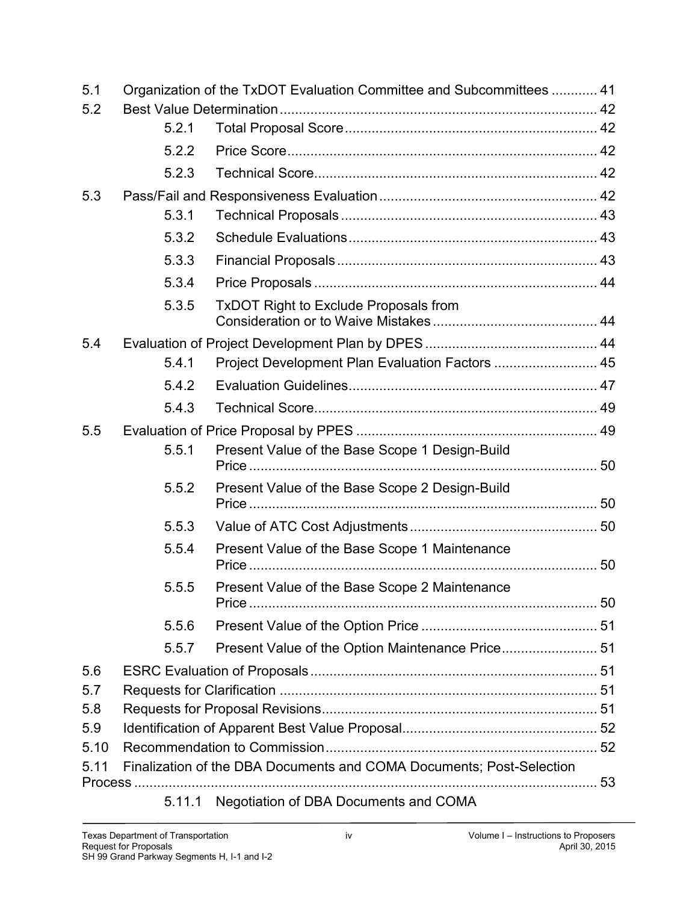| 5.1  | Organization of the TxDOT Evaluation Committee and Subcommittees  41 |                                                                      |  |  |  |  |
|------|----------------------------------------------------------------------|----------------------------------------------------------------------|--|--|--|--|
| 5.2  |                                                                      |                                                                      |  |  |  |  |
|      | 5.2.1                                                                |                                                                      |  |  |  |  |
|      | 5.2.2                                                                |                                                                      |  |  |  |  |
|      | 5.2.3                                                                |                                                                      |  |  |  |  |
| 5.3  |                                                                      |                                                                      |  |  |  |  |
|      | 5.3.1                                                                |                                                                      |  |  |  |  |
|      | 5.3.2                                                                |                                                                      |  |  |  |  |
|      | 5.3.3                                                                |                                                                      |  |  |  |  |
|      | 5.3.4                                                                |                                                                      |  |  |  |  |
|      | 5.3.5                                                                | <b>TxDOT Right to Exclude Proposals from</b>                         |  |  |  |  |
| 5.4  |                                                                      |                                                                      |  |  |  |  |
|      | 5.4.1                                                                | Project Development Plan Evaluation Factors  45                      |  |  |  |  |
|      | 5.4.2                                                                |                                                                      |  |  |  |  |
|      | 5.4.3                                                                |                                                                      |  |  |  |  |
| 5.5  |                                                                      |                                                                      |  |  |  |  |
|      | 5.5.1                                                                | Present Value of the Base Scope 1 Design-Build                       |  |  |  |  |
|      | 5.5.2                                                                | Present Value of the Base Scope 2 Design-Build                       |  |  |  |  |
|      | 5.5.3                                                                |                                                                      |  |  |  |  |
|      | 5.5.4                                                                | Present Value of the Base Scope 1 Maintenance                        |  |  |  |  |
|      | 5.5.5                                                                | Present Value of the Base Scope 2 Maintenance                        |  |  |  |  |
|      | 5.5.6                                                                |                                                                      |  |  |  |  |
|      | 5.5.7                                                                |                                                                      |  |  |  |  |
| 5.6  |                                                                      |                                                                      |  |  |  |  |
| 5.7  |                                                                      |                                                                      |  |  |  |  |
| 5.8  |                                                                      |                                                                      |  |  |  |  |
| 5.9  |                                                                      |                                                                      |  |  |  |  |
| 5.10 |                                                                      |                                                                      |  |  |  |  |
| 5.11 |                                                                      | Finalization of the DBA Documents and COMA Documents; Post-Selection |  |  |  |  |
|      | 5.11.1                                                               | Negotiation of DBA Documents and COMA                                |  |  |  |  |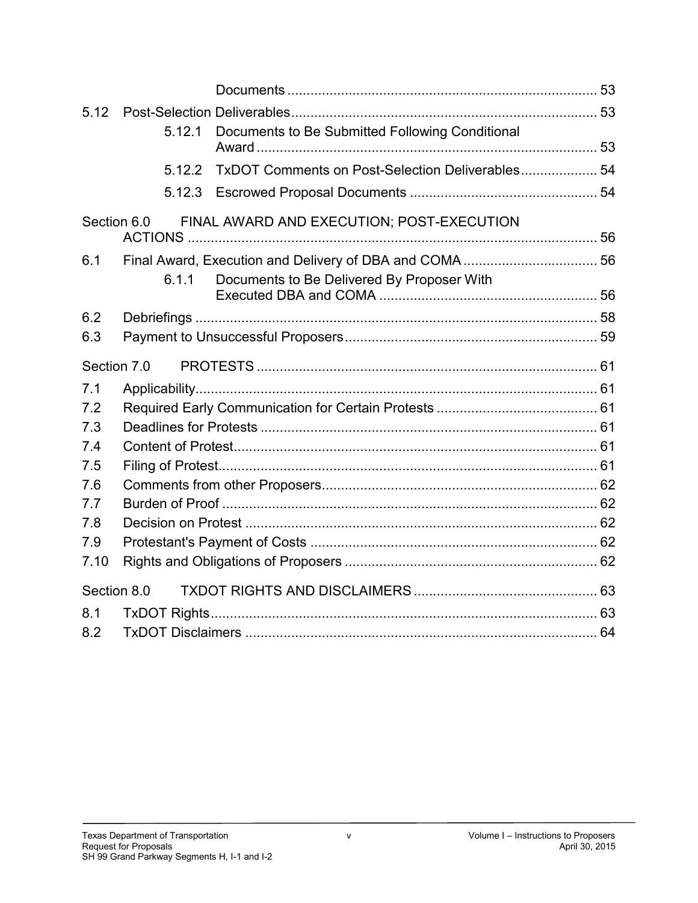| 5.12        |        |                                                  |  |
|-------------|--------|--------------------------------------------------|--|
|             | 5.12.1 | Documents to Be Submitted Following Conditional  |  |
|             |        |                                                  |  |
|             | 5.12.2 | TxDOT Comments on Post-Selection Deliverables 54 |  |
|             | 5.12.3 |                                                  |  |
| Section 6.0 |        | FINAL AWARD AND EXECUTION; POST-EXECUTION        |  |
| 6.1         |        |                                                  |  |
|             | 6.1.1  | Documents to Be Delivered By Proposer With       |  |
|             |        |                                                  |  |
| 6.2         |        |                                                  |  |
| 6.3         |        |                                                  |  |
| Section 7.0 |        |                                                  |  |
|             |        |                                                  |  |
| 7.1<br>7.2  |        |                                                  |  |
| 7.3         |        |                                                  |  |
| 7.4         |        |                                                  |  |
| 7.5         |        |                                                  |  |
| 7.6         |        |                                                  |  |
| 7.7         |        |                                                  |  |
| 7.8         |        |                                                  |  |
| 7.9         |        |                                                  |  |
| 7.10        |        |                                                  |  |
| Section 8.0 |        |                                                  |  |
| 8.1         |        |                                                  |  |
| 8.2         |        |                                                  |  |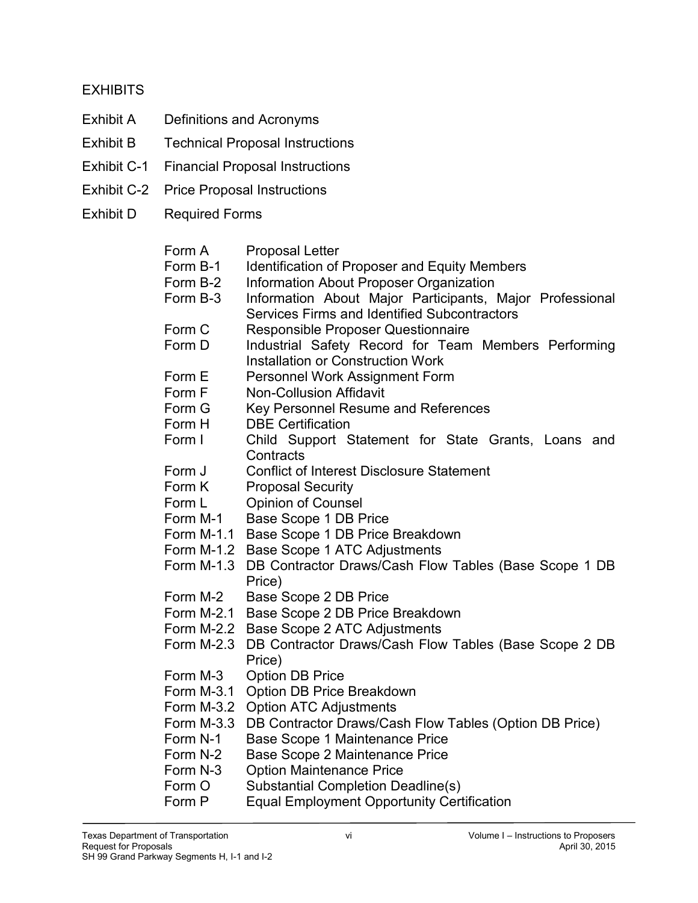#### **EXHIBITS**

- Exhibit A Definitions and Acronyms
- Exhibit B Technical Proposal Instructions
- Exhibit C-1 Financial Proposal Instructions
- Exhibit C-2 Price Proposal Instructions
- Exhibit D Required Forms

| Form A | <b>Proposal Letter</b> |
|--------|------------------------|
|--------|------------------------|

- Form B-1 Identification of Proposer and Equity Members<br>Form B-2 Information About Proposer Organization
- **Information About Proposer Organization**
- Form B-3 Information About Major Participants, Major Professional Services Firms and Identified Subcontractors
- Form C Responsible Proposer Questionnaire
- Form D Industrial Safety Record for Team Members Performing Installation or Construction Work
- Form E Personnel Work Assignment Form
- Form F Non-Collusion Affidavit
- Form G Key Personnel Resume and References
- Form H DBE Certification
- Form I Child Support Statement for State Grants, Loans and **Contracts**
- Form J Conflict of Interest Disclosure Statement
- Form K Proposal Security
- Form L Cpinion of Counsel
- Form M-1 Base Scope 1 DB Price
- Form M-1.1 Base Scope 1 DB Price Breakdown
- Form M-1.2 Base Scope 1 ATC Adjustments
- Form M-1.3 DB Contractor Draws/Cash Flow Tables (Base Scope 1 DB Price)
- Form M-2 Base Scope 2 DB Price
- Form M-2.1 Base Scope 2 DB Price Breakdown
- Form M-2.2 Base Scope 2 ATC Adjustments
- Form M-2.3 DB Contractor Draws/Cash Flow Tables (Base Scope 2 DB Price)
- Form M-3 Option DB Price
- Form M-3.1 Option DB Price Breakdown
- Form M-3.2 Option ATC Adjustments
- Form M-3.3 DB Contractor Draws/Cash Flow Tables (Option DB Price)
- Form N-1 Base Scope 1 Maintenance Price
- Form N-2 Base Scope 2 Maintenance Price
- Form N-3 Option Maintenance Price
- Form O Substantial Completion Deadline(s)
- Form P Equal Employment Opportunity Certification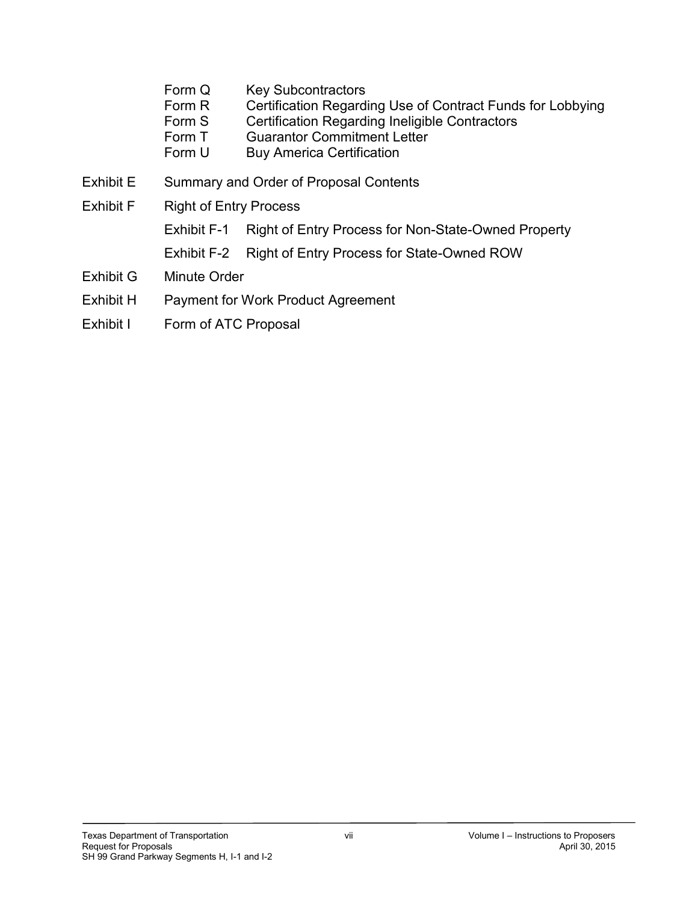- Form Q Key Subcontractors<br>Form R Certification Regardi
- Certification Regarding Use of Contract Funds for Lobbying
- Form S Certification Regarding Ineligible Contractors
- Form T Guarantor Commitment Letter
- Form U Buy America Certification
- Exhibit E Summary and Order of Proposal Contents
- Exhibit F Right of Entry Process
	- Exhibit F-1 Right of Entry Process for Non-State-Owned Property
	- Exhibit F-2 Right of Entry Process for State-Owned ROW
- Exhibit G Minute Order
- Exhibit H Payment for Work Product Agreement
- Exhibit I Form of ATC Proposal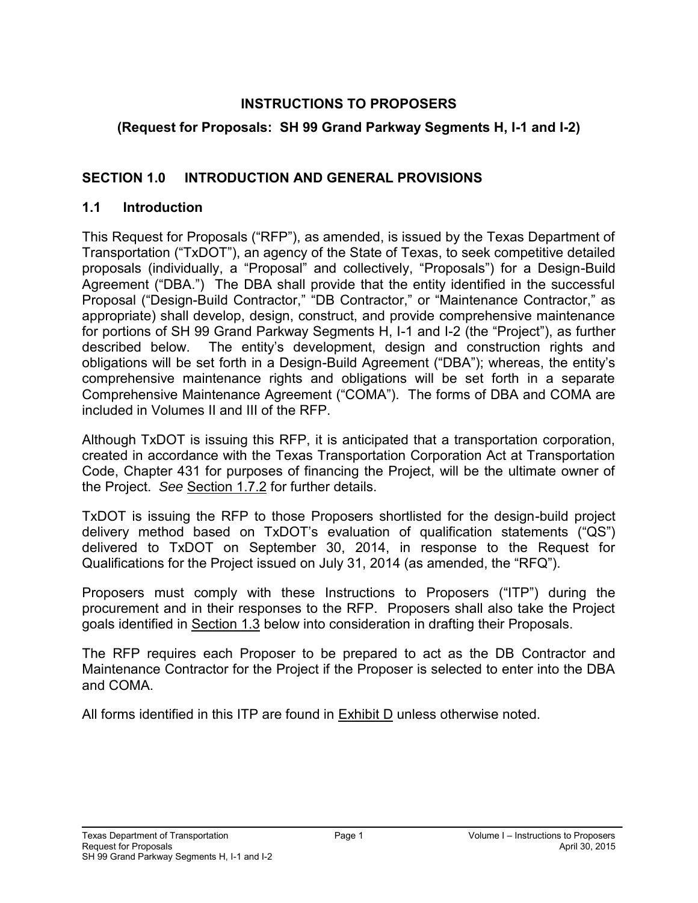#### **INSTRUCTIONS TO PROPOSERS**

### **(Request for Proposals: SH 99 Grand Parkway Segments H, I-1 and I-2)**

### <span id="page-8-0"></span>**SECTION 1.0 INTRODUCTION AND GENERAL PROVISIONS**

#### <span id="page-8-1"></span>**1.1 Introduction**

This Request for Proposals ("RFP"), as amended, is issued by the Texas Department of Transportation ("TxDOT"), an agency of the State of Texas, to seek competitive detailed proposals (individually, a "Proposal" and collectively, "Proposals") for a Design-Build Agreement ("DBA.") The DBA shall provide that the entity identified in the successful Proposal ("Design-Build Contractor," "DB Contractor," or "Maintenance Contractor," as appropriate) shall develop, design, construct, and provide comprehensive maintenance for portions of SH 99 Grand Parkway Segments H, I-1 and I-2 (the "Project"), as further described below. The entity's development, design and construction rights and obligations will be set forth in a Design-Build Agreement ("DBA"); whereas, the entity's comprehensive maintenance rights and obligations will be set forth in a separate Comprehensive Maintenance Agreement ("COMA"). The forms of DBA and COMA are included in Volumes II and III of the RFP.

Although TxDOT is issuing this RFP, it is anticipated that a transportation corporation, created in accordance with the Texas Transportation Corporation Act at Transportation Code, Chapter 431 for purposes of financing the Project, will be the ultimate owner of the Project. *See* Section 1.7.2 for further details.

TxDOT is issuing the RFP to those Proposers shortlisted for the design-build project delivery method based on TxDOT's evaluation of qualification statements ("QS") delivered to TxDOT on September 30, 2014, in response to the Request for Qualifications for the Project issued on July 31, 2014 (as amended, the "RFQ").

Proposers must comply with these Instructions to Proposers ("ITP") during the procurement and in their responses to the RFP. Proposers shall also take the Project goals identified in Section 1.3 below into consideration in drafting their Proposals.

The RFP requires each Proposer to be prepared to act as the DB Contractor and Maintenance Contractor for the Project if the Proposer is selected to enter into the DBA and COMA.

All forms identified in this ITP are found in Exhibit D unless otherwise noted.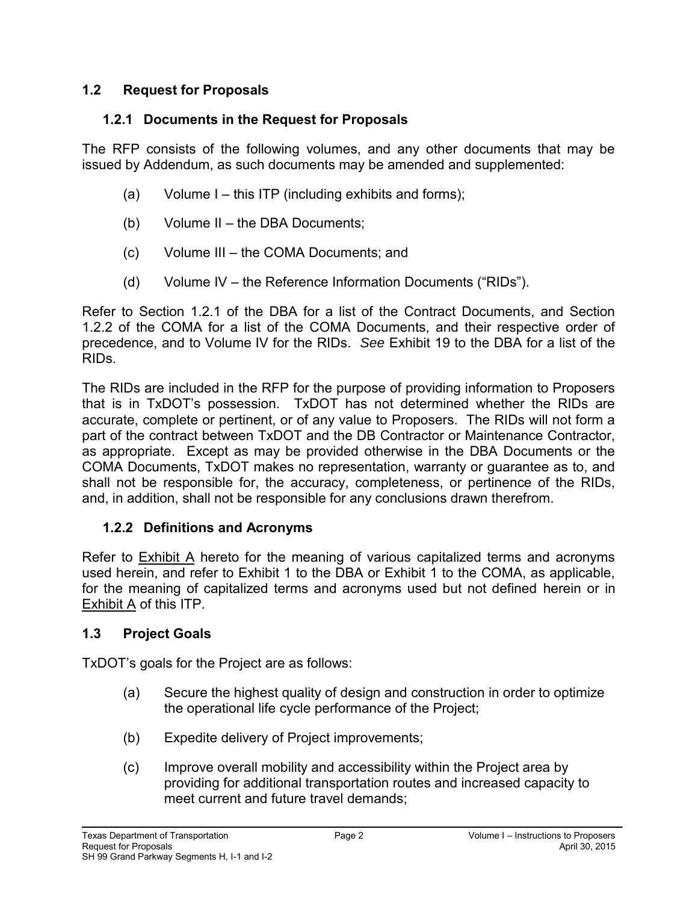#### <span id="page-9-1"></span><span id="page-9-0"></span>**1.2 Request for Proposals**

#### **1.2.1 Documents in the Request for Proposals**

The RFP consists of the following volumes, and any other documents that may be issued by Addendum, as such documents may be amended and supplemented:

- (a) Volume I this ITP (including exhibits and forms);
- (b) Volume II the DBA Documents;
- (c) Volume III the COMA Documents; and
- (d) Volume IV the Reference Information Documents ("RIDs").

Refer to Section 1.2.1 of the DBA for a list of the Contract Documents, and Section 1.2.2 of the COMA for a list of the COMA Documents, and their respective order of precedence, and to Volume IV for the RIDs. *See* Exhibit 19 to the DBA for a list of the RIDs.

The RIDs are included in the RFP for the purpose of providing information to Proposers that is in TxDOT's possession. TxDOT has not determined whether the RIDs are accurate, complete or pertinent, or of any value to Proposers. The RIDs will not form a part of the contract between TxDOT and the DB Contractor or Maintenance Contractor, as appropriate. Except as may be provided otherwise in the DBA Documents or the COMA Documents, TxDOT makes no representation, warranty or guarantee as to, and shall not be responsible for, the accuracy, completeness, or pertinence of the RIDs, and, in addition, shall not be responsible for any conclusions drawn therefrom.

#### <span id="page-9-2"></span>**1.2.2 Definitions and Acronyms**

Refer to Exhibit A hereto for the meaning of various capitalized terms and acronyms used herein, and refer to Exhibit 1 to the DBA or Exhibit 1 to the COMA, as applicable, for the meaning of capitalized terms and acronyms used but not defined herein or in Exhibit A of this ITP.

#### <span id="page-9-3"></span>**1.3 Project Goals**

TxDOT's goals for the Project are as follows:

- (a) Secure the highest quality of design and construction in order to optimize the operational life cycle performance of the Project;
- (b) Expedite delivery of Project improvements;
- (c) Improve overall mobility and accessibility within the Project area by providing for additional transportation routes and increased capacity to meet current and future travel demands;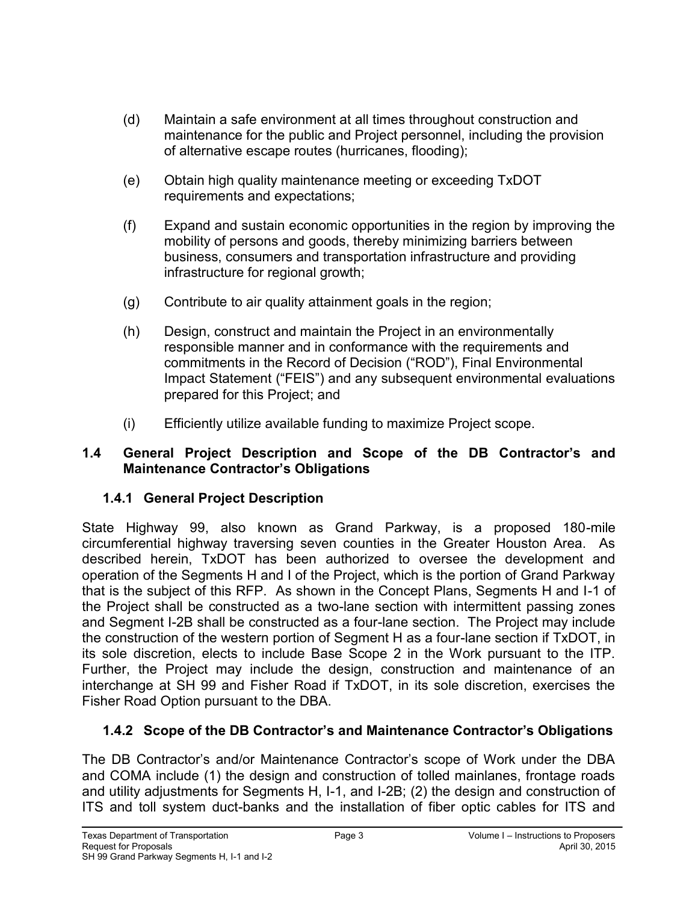- (d) Maintain a safe environment at all times throughout construction and maintenance for the public and Project personnel, including the provision of alternative escape routes (hurricanes, flooding);
- (e) Obtain high quality maintenance meeting or exceeding TxDOT requirements and expectations;
- (f) Expand and sustain economic opportunities in the region by improving the mobility of persons and goods, thereby minimizing barriers between business, consumers and transportation infrastructure and providing infrastructure for regional growth;
- (g) Contribute to air quality attainment goals in the region;
- (h) Design, construct and maintain the Project in an environmentally responsible manner and in conformance with the requirements and commitments in the Record of Decision ("ROD"), Final Environmental Impact Statement ("FEIS") and any subsequent environmental evaluations prepared for this Project; and
- (i) Efficiently utilize available funding to maximize Project scope.

#### <span id="page-10-0"></span>**1.4 General Project Description and Scope of the DB Contractor's and Maintenance Contractor's Obligations**

## <span id="page-10-1"></span>**1.4.1 General Project Description**

State Highway 99, also known as Grand Parkway, is a proposed 180-mile circumferential highway traversing seven counties in the Greater Houston Area. As described herein, TxDOT has been authorized to oversee the development and operation of the Segments H and I of the Project, which is the portion of Grand Parkway that is the subject of this RFP. As shown in the Concept Plans, Segments H and I-1 of the Project shall be constructed as a two-lane section with intermittent passing zones and Segment I-2B shall be constructed as a four-lane section. The Project may include the construction of the western portion of Segment H as a four-lane section if TxDOT, in its sole discretion, elects to include Base Scope 2 in the Work pursuant to the ITP. Further, the Project may include the design, construction and maintenance of an interchange at SH 99 and Fisher Road if TxDOT, in its sole discretion, exercises the Fisher Road Option pursuant to the DBA.

## <span id="page-10-2"></span>**1.4.2 Scope of the DB Contractor's and Maintenance Contractor's Obligations**

The DB Contractor's and/or Maintenance Contractor's scope of Work under the DBA and COMA include (1) the design and construction of tolled mainlanes, frontage roads and utility adjustments for Segments H, I-1, and I-2B; (2) the design and construction of ITS and toll system duct-banks and the installation of fiber optic cables for ITS and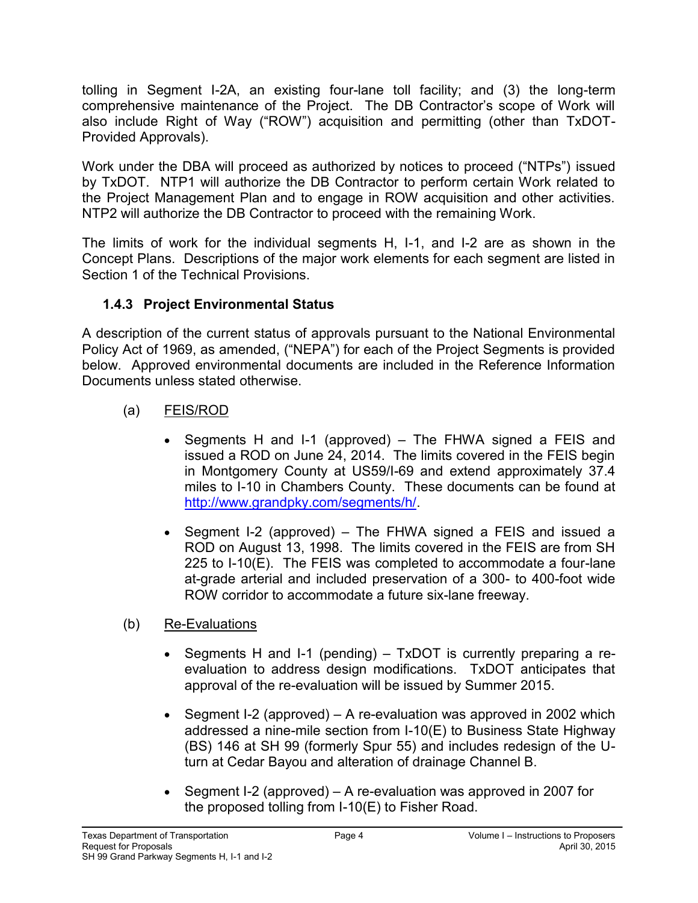tolling in Segment I-2A, an existing four-lane toll facility; and (3) the long-term comprehensive maintenance of the Project. The DB Contractor's scope of Work will also include Right of Way ("ROW") acquisition and permitting (other than TxDOT-Provided Approvals).

Work under the DBA will proceed as authorized by notices to proceed ("NTPs") issued by TxDOT. NTP1 will authorize the DB Contractor to perform certain Work related to the Project Management Plan and to engage in ROW acquisition and other activities. NTP2 will authorize the DB Contractor to proceed with the remaining Work.

The limits of work for the individual segments H, I-1, and I-2 are as shown in the Concept Plans. Descriptions of the major work elements for each segment are listed in Section 1 of the Technical Provisions.

#### <span id="page-11-0"></span>**1.4.3 Project Environmental Status**

A description of the current status of approvals pursuant to the National Environmental Policy Act of 1969, as amended, ("NEPA") for each of the Project Segments is provided below. Approved environmental documents are included in the Reference Information Documents unless stated otherwise.

### (a) FEIS/ROD

- Segments H and I-1 (approved) The FHWA signed a FEIS and issued a ROD on June 24, 2014. The limits covered in the FEIS begin in Montgomery County at US59/I-69 and extend approximately 37.4 miles to I-10 in Chambers County. These documents can be found at [http://www.grandpky.com/segments/h/.](http://www.grandpky.com/segments/h/)
- Segment I-2 (approved) The FHWA signed a FEIS and issued a ROD on August 13, 1998. The limits covered in the FEIS are from SH 225 to I-10(E). The FEIS was completed to accommodate a four-lane at-grade arterial and included preservation of a 300- to 400-foot wide ROW corridor to accommodate a future six-lane freeway.
- (b) Re-Evaluations
	- Segments H and I-1 (pending) TxDOT is currently preparing a reevaluation to address design modifications. TxDOT anticipates that approval of the re-evaluation will be issued by Summer 2015.
	- Segment I-2 (approved) A re-evaluation was approved in 2002 which addressed a nine-mile section from I-10(E) to Business State Highway (BS) 146 at SH 99 (formerly Spur 55) and includes redesign of the Uturn at Cedar Bayou and alteration of drainage Channel B.
	- Segment I-2 (approved) A re-evaluation was approved in 2007 for the proposed tolling from I-10(E) to Fisher Road.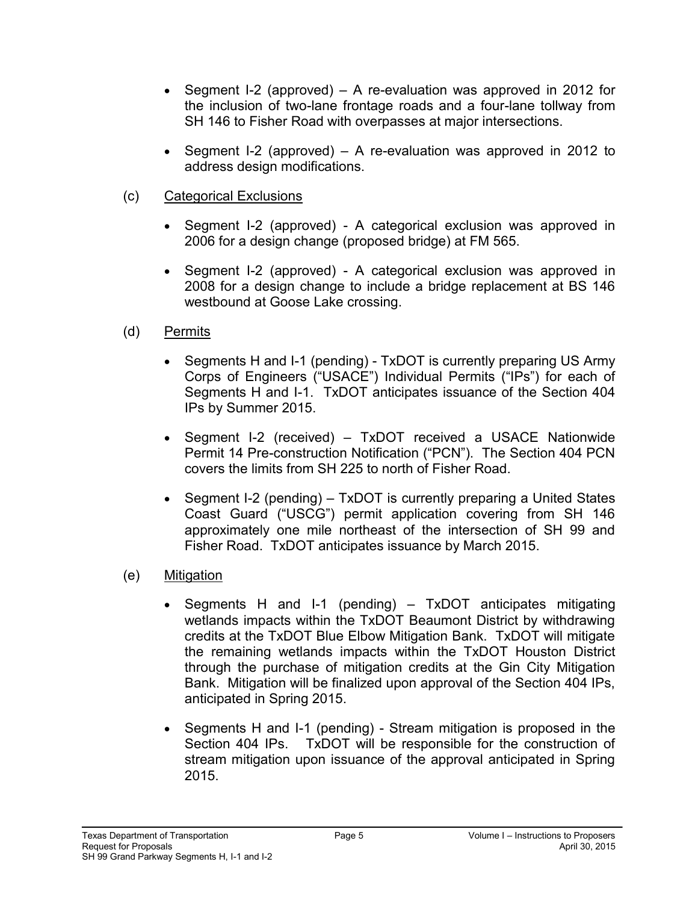- Segment I-2 (approved) A re-evaluation was approved in 2012 for the inclusion of two-lane frontage roads and a four-lane tollway from SH 146 to Fisher Road with overpasses at major intersections.
- Segment I-2 (approved) A re-evaluation was approved in 2012 to address design modifications.
- (c) Categorical Exclusions
	- Segment I-2 (approved) A categorical exclusion was approved in 2006 for a design change (proposed bridge) at FM 565.
	- Segment I-2 (approved) A categorical exclusion was approved in 2008 for a design change to include a bridge replacement at BS 146 westbound at Goose Lake crossing.
- (d) Permits
	- Segments H and I-1 (pending) TxDOT is currently preparing US Army Corps of Engineers ("USACE") Individual Permits ("IPs") for each of Segments H and I-1. TxDOT anticipates issuance of the Section 404 IPs by Summer 2015.
	- Segment I-2 (received) TxDOT received a USACE Nationwide Permit 14 Pre-construction Notification ("PCN"). The Section 404 PCN covers the limits from SH 225 to north of Fisher Road.
	- Segment I-2 (pending)  $-$  TxDOT is currently preparing a United States Coast Guard ("USCG") permit application covering from SH 146 approximately one mile northeast of the intersection of SH 99 and Fisher Road. TxDOT anticipates issuance by March 2015.
- (e) Mitigation
	- Segments H and I-1 (pending) TxDOT anticipates mitigating wetlands impacts within the TxDOT Beaumont District by withdrawing credits at the TxDOT Blue Elbow Mitigation Bank. TxDOT will mitigate the remaining wetlands impacts within the TxDOT Houston District through the purchase of mitigation credits at the Gin City Mitigation Bank. Mitigation will be finalized upon approval of the Section 404 IPs, anticipated in Spring 2015.
	- Segments H and I-1 (pending) Stream mitigation is proposed in the Section 404 IPs. TxDOT will be responsible for the construction of stream mitigation upon issuance of the approval anticipated in Spring 2015.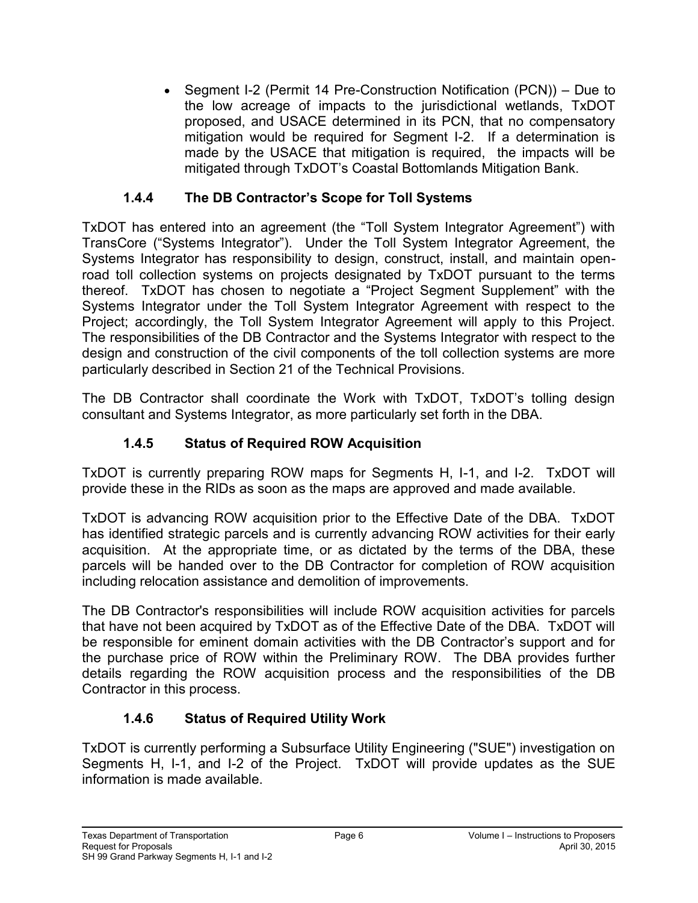• Segment I-2 (Permit 14 Pre-Construction Notification (PCN)) – Due to the low acreage of impacts to the jurisdictional wetlands, TxDOT proposed, and USACE determined in its PCN, that no compensatory mitigation would be required for Segment I-2. If a determination is made by the USACE that mitigation is required, the impacts will be mitigated through TxDOT's Coastal Bottomlands Mitigation Bank.

### **1.4.4 The DB Contractor's Scope for Toll Systems**

<span id="page-13-0"></span>TxDOT has entered into an agreement (the "Toll System Integrator Agreement") with TransCore ("Systems Integrator"). Under the Toll System Integrator Agreement, the Systems Integrator has responsibility to design, construct, install, and maintain openroad toll collection systems on projects designated by TxDOT pursuant to the terms thereof. TxDOT has chosen to negotiate a "Project Segment Supplement" with the Systems Integrator under the Toll System Integrator Agreement with respect to the Project; accordingly, the Toll System Integrator Agreement will apply to this Project. The responsibilities of the DB Contractor and the Systems Integrator with respect to the design and construction of the civil components of the toll collection systems are more particularly described in Section 21 of the Technical Provisions.

<span id="page-13-1"></span>The DB Contractor shall coordinate the Work with TxDOT, TxDOT's tolling design consultant and Systems Integrator, as more particularly set forth in the DBA.

#### **1.4.5 Status of Required ROW Acquisition**

TxDOT is currently preparing ROW maps for Segments H, I-1, and I-2. TxDOT will provide these in the RIDs as soon as the maps are approved and made available.

TxDOT is advancing ROW acquisition prior to the Effective Date of the DBA. TxDOT has identified strategic parcels and is currently advancing ROW activities for their early acquisition. At the appropriate time, or as dictated by the terms of the DBA, these parcels will be handed over to the DB Contractor for completion of ROW acquisition including relocation assistance and demolition of improvements.

The DB Contractor's responsibilities will include ROW acquisition activities for parcels that have not been acquired by TxDOT as of the Effective Date of the DBA. TxDOT will be responsible for eminent domain activities with the DB Contractor's support and for the purchase price of ROW within the Preliminary ROW. The DBA provides further details regarding the ROW acquisition process and the responsibilities of the DB Contractor in this process.

#### **1.4.6 Status of Required Utility Work**

<span id="page-13-2"></span>TxDOT is currently performing a Subsurface Utility Engineering ("SUE") investigation on Segments H, I-1, and I-2 of the Project. TxDOT will provide updates as the SUE information is made available.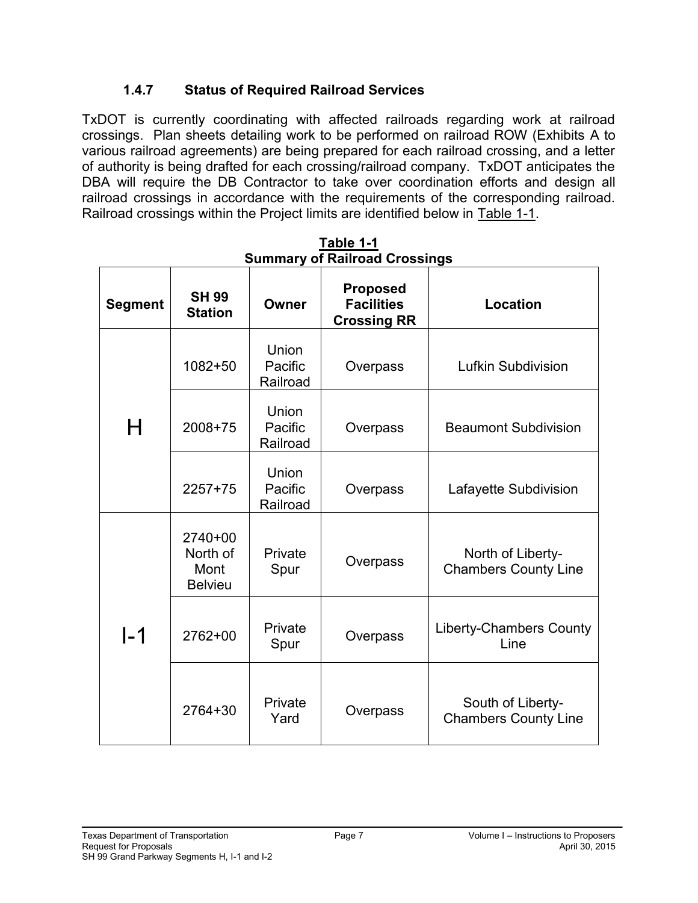#### **1.4.7 Status of Required Railroad Services**

<span id="page-14-0"></span>TxDOT is currently coordinating with affected railroads regarding work at railroad crossings. Plan sheets detailing work to be performed on railroad ROW (Exhibits A to various railroad agreements) are being prepared for each railroad crossing, and a letter of authority is being drafted for each crossing/railroad company. TxDOT anticipates the DBA will require the DB Contractor to take over coordination efforts and design all railroad crossings in accordance with the requirements of the corresponding railroad. Railroad crossings within the Project limits are identified below in Table 1-1.

| <b>Proposed</b><br><b>SH 99</b><br><b>Facilities</b><br>Owner<br><b>Segment</b><br><b>Station</b><br><b>Crossing RR</b> |                                                 | <b>Location</b>              |          |                                                  |
|-------------------------------------------------------------------------------------------------------------------------|-------------------------------------------------|------------------------------|----------|--------------------------------------------------|
|                                                                                                                         | $1082 + 50$                                     | Union<br>Pacific<br>Railroad | Overpass | Lufkin Subdivision                               |
| Н                                                                                                                       | 2008+75                                         | Union<br>Pacific<br>Railroad | Overpass | <b>Beaumont Subdivision</b>                      |
|                                                                                                                         | $2257+75$                                       | Union<br>Pacific<br>Railroad | Overpass | Lafayette Subdivision                            |
|                                                                                                                         | $2740+00$<br>North of<br>Mont<br><b>Belvieu</b> | Private<br>Spur              | Overpass | North of Liberty-<br><b>Chambers County Line</b> |
| I-1                                                                                                                     | 2762+00                                         | Private<br>Spur              | Overpass | <b>Liberty-Chambers County</b><br>Line           |
|                                                                                                                         | 2764+30                                         | Private<br>Yard              | Overpass | South of Liberty-<br><b>Chambers County Line</b> |

**Table 1-1 Summary of Railroad Crossings**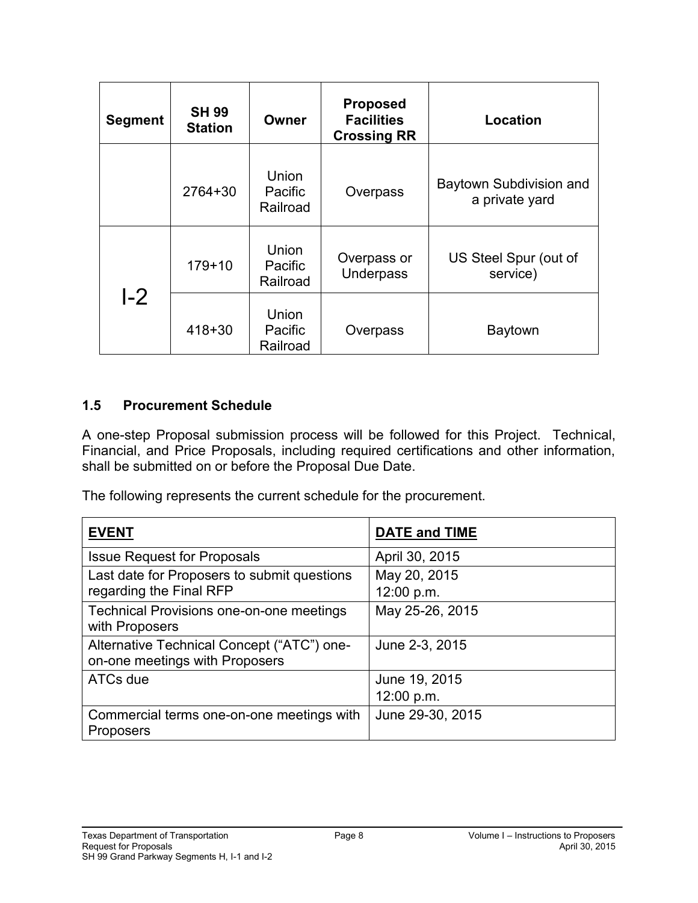| <b>Segment</b> | <b>SH 99</b><br><b>Station</b> | Owner                               | <b>Proposed</b><br><b>Facilities</b><br><b>Crossing RR</b> | Location                                  |
|----------------|--------------------------------|-------------------------------------|------------------------------------------------------------|-------------------------------------------|
|                | 2764+30                        | Union<br>Pacific<br>Railroad        | Overpass                                                   | Baytown Subdivision and<br>a private yard |
|                | $179 + 10$                     | <b>Union</b><br>Pacific<br>Railroad | Overpass or<br><b>Underpass</b>                            | US Steel Spur (out of<br>service)         |
| L2             | $418 + 30$                     | Union<br>Pacific<br>Railroad        | Overpass                                                   | <b>Baytown</b>                            |

#### <span id="page-15-0"></span>**1.5 Procurement Schedule**

A one-step Proposal submission process will be followed for this Project. Technical, Financial, and Price Proposals, including required certifications and other information, shall be submitted on or before the Proposal Due Date.

The following represents the current schedule for the procurement.

| <b>EVENT</b>                                                                 | <b>DATE and TIME</b>        |
|------------------------------------------------------------------------------|-----------------------------|
| <b>Issue Request for Proposals</b>                                           | April 30, 2015              |
| Last date for Proposers to submit questions<br>regarding the Final RFP       | May 20, 2015<br>12:00 p.m.  |
| Technical Provisions one-on-one meetings<br>with Proposers                   | May 25-26, 2015             |
| Alternative Technical Concept ("ATC") one-<br>on-one meetings with Proposers | June 2-3, 2015              |
| ATCs due                                                                     | June 19, 2015<br>12:00 p.m. |
| Commercial terms one-on-one meetings with<br>Proposers                       | June 29-30, 2015            |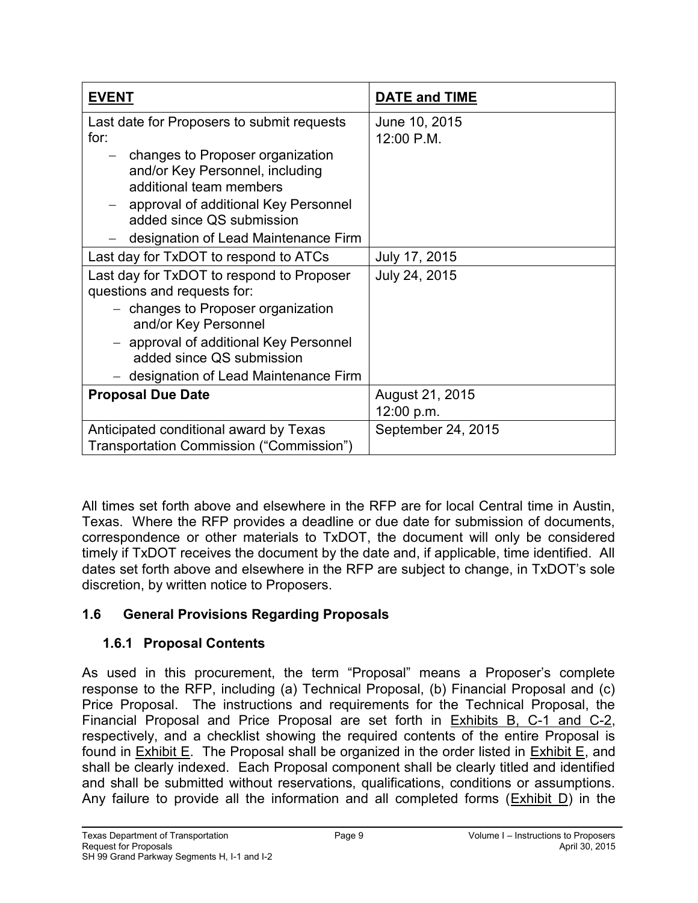| <b>EVENT</b>                                                                                     | <b>DATE and TIME</b>        |
|--------------------------------------------------------------------------------------------------|-----------------------------|
| Last date for Proposers to submit requests<br>for:                                               | June 10, 2015<br>12:00 P.M. |
| - changes to Proposer organization<br>and/or Key Personnel, including<br>additional team members |                             |
| approval of additional Key Personnel<br>added since QS submission                                |                             |
| designation of Lead Maintenance Firm                                                             |                             |
| Last day for TxDOT to respond to ATCs                                                            | July 17, 2015               |
| Last day for TxDOT to respond to Proposer<br>questions and requests for:                         | July 24, 2015               |
| - changes to Proposer organization<br>and/or Key Personnel                                       |                             |
| - approval of additional Key Personnel<br>added since QS submission                              |                             |
| - designation of Lead Maintenance Firm                                                           |                             |
| <b>Proposal Due Date</b>                                                                         | August 21, 2015             |
|                                                                                                  | 12:00 p.m.                  |
| Anticipated conditional award by Texas                                                           | September 24, 2015          |
| Transportation Commission ("Commission")                                                         |                             |

All times set forth above and elsewhere in the RFP are for local Central time in Austin, Texas. Where the RFP provides a deadline or due date for submission of documents, correspondence or other materials to TxDOT, the document will only be considered timely if TxDOT receives the document by the date and, if applicable, time identified. All dates set forth above and elsewhere in the RFP are subject to change, in TxDOT's sole discretion, by written notice to Proposers.

## <span id="page-16-1"></span><span id="page-16-0"></span>**1.6 General Provisions Regarding Proposals**

## **1.6.1 Proposal Contents**

As used in this procurement, the term "Proposal" means a Proposer's complete response to the RFP, including (a) Technical Proposal, (b) Financial Proposal and (c) Price Proposal. The instructions and requirements for the Technical Proposal, the Financial Proposal and Price Proposal are set forth in Exhibits B, C-1 and C-2, respectively, and a checklist showing the required contents of the entire Proposal is found in  $Exhibit E$ . The Proposal shall be organized in the order listed in  $Exhibit E$ , and shall be clearly indexed. Each Proposal component shall be clearly titled and identified and shall be submitted without reservations, qualifications, conditions or assumptions. Any failure to provide all the information and all completed forms (Exhibit D) in the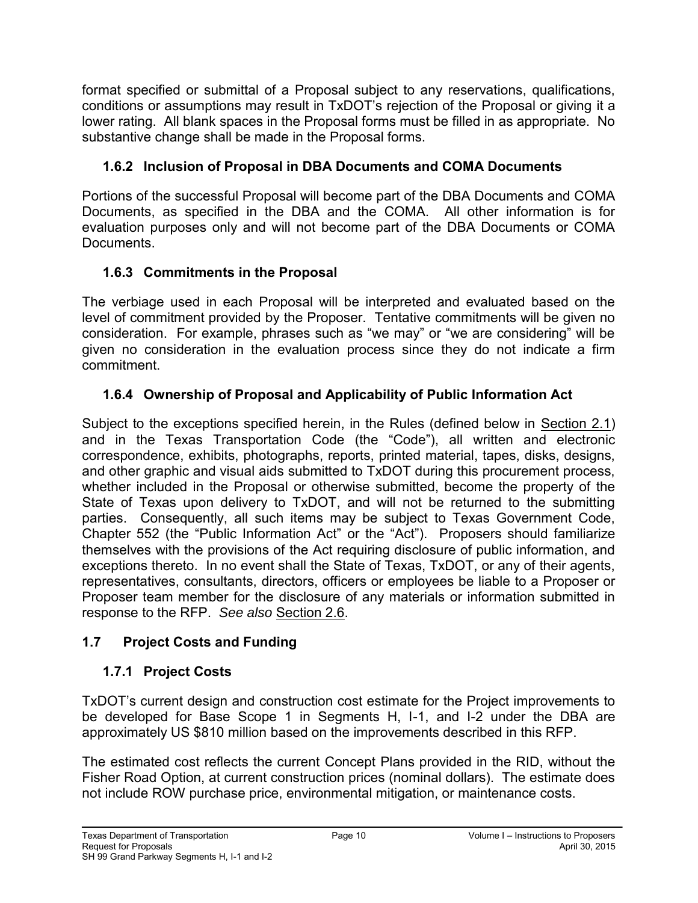format specified or submittal of a Proposal subject to any reservations, qualifications, conditions or assumptions may result in TxDOT's rejection of the Proposal or giving it a lower rating. All blank spaces in the Proposal forms must be filled in as appropriate. No substantive change shall be made in the Proposal forms.

# <span id="page-17-0"></span>**1.6.2 Inclusion of Proposal in DBA Documents and COMA Documents**

Portions of the successful Proposal will become part of the DBA Documents and COMA Documents, as specified in the DBA and the COMA. All other information is for evaluation purposes only and will not become part of the DBA Documents or COMA Documents.

## <span id="page-17-1"></span>**1.6.3 Commitments in the Proposal**

The verbiage used in each Proposal will be interpreted and evaluated based on the level of commitment provided by the Proposer. Tentative commitments will be given no consideration. For example, phrases such as "we may" or "we are considering" will be given no consideration in the evaluation process since they do not indicate a firm commitment.

# <span id="page-17-2"></span>**1.6.4 Ownership of Proposal and Applicability of Public Information Act**

Subject to the exceptions specified herein, in the Rules (defined below in Section 2.1) and in the Texas Transportation Code (the "Code"), all written and electronic correspondence, exhibits, photographs, reports, printed material, tapes, disks, designs, and other graphic and visual aids submitted to TxDOT during this procurement process, whether included in the Proposal or otherwise submitted, become the property of the State of Texas upon delivery to TxDOT, and will not be returned to the submitting parties. Consequently, all such items may be subject to Texas Government Code, Chapter 552 (the "Public Information Act" or the "Act"). Proposers should familiarize themselves with the provisions of the Act requiring disclosure of public information, and exceptions thereto. In no event shall the State of Texas, TxDOT, or any of their agents, representatives, consultants, directors, officers or employees be liable to a Proposer or Proposer team member for the disclosure of any materials or information submitted in response to the RFP. *See also* Section 2.6.

## <span id="page-17-4"></span><span id="page-17-3"></span>**1.7 Project Costs and Funding**

# **1.7.1 Project Costs**

TxDOT's current design and construction cost estimate for the Project improvements to be developed for Base Scope 1 in Segments H, I-1, and I-2 under the DBA are approximately US \$810 million based on the improvements described in this RFP.

The estimated cost reflects the current Concept Plans provided in the RID, without the Fisher Road Option, at current construction prices (nominal dollars). The estimate does not include ROW purchase price, environmental mitigation, or maintenance costs.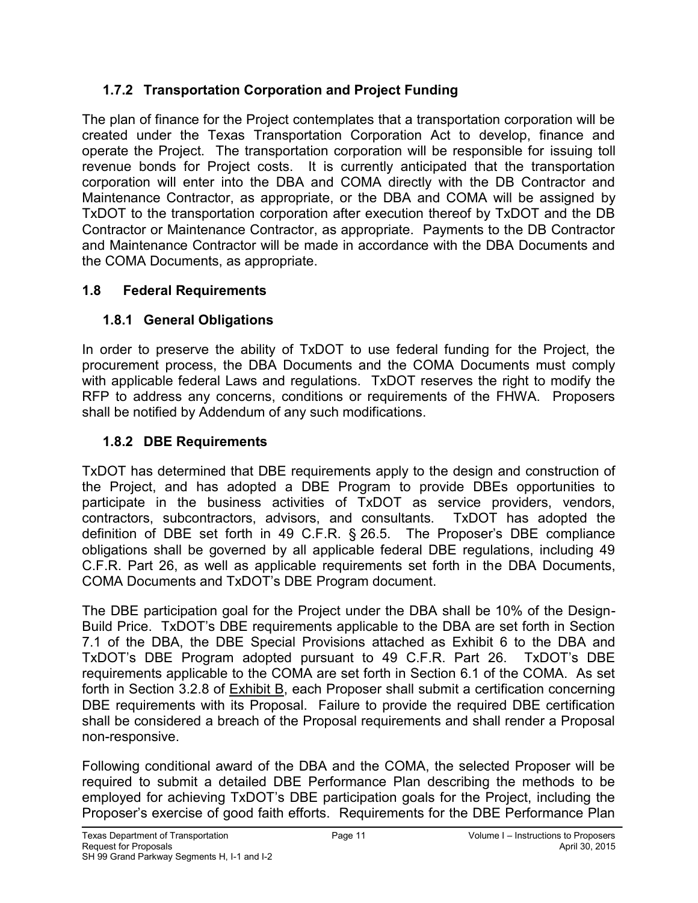## <span id="page-18-0"></span>**1.7.2 Transportation Corporation and Project Funding**

The plan of finance for the Project contemplates that a transportation corporation will be created under the Texas Transportation Corporation Act to develop, finance and operate the Project. The transportation corporation will be responsible for issuing toll revenue bonds for Project costs. It is currently anticipated that the transportation corporation will enter into the DBA and COMA directly with the DB Contractor and Maintenance Contractor, as appropriate, or the DBA and COMA will be assigned by TxDOT to the transportation corporation after execution thereof by TxDOT and the DB Contractor or Maintenance Contractor, as appropriate. Payments to the DB Contractor and Maintenance Contractor will be made in accordance with the DBA Documents and the COMA Documents, as appropriate.

### <span id="page-18-2"></span><span id="page-18-1"></span>**1.8 Federal Requirements**

# **1.8.1 General Obligations**

In order to preserve the ability of TxDOT to use federal funding for the Project, the procurement process, the DBA Documents and the COMA Documents must comply with applicable federal Laws and regulations. TxDOT reserves the right to modify the RFP to address any concerns, conditions or requirements of the FHWA. Proposers shall be notified by Addendum of any such modifications.

## <span id="page-18-3"></span>**1.8.2 DBE Requirements**

TxDOT has determined that DBE requirements apply to the design and construction of the Project, and has adopted a DBE Program to provide DBEs opportunities to participate in the business activities of TxDOT as service providers, vendors, contractors, subcontractors, advisors, and consultants. TxDOT has adopted the definition of DBE set forth in 49 C.F.R. § 26.5. The Proposer's DBE compliance obligations shall be governed by all applicable federal DBE regulations, including 49 C.F.R. Part 26, as well as applicable requirements set forth in the DBA Documents, COMA Documents and TxDOT's DBE Program document.

The DBE participation goal for the Project under the DBA shall be 10% of the Design-Build Price. TxDOT's DBE requirements applicable to the DBA are set forth in Section 7.1 of the DBA, the DBE Special Provisions attached as Exhibit 6 to the DBA and TxDOT's DBE Program adopted pursuant to 49 C.F.R. Part 26. TxDOT's DBE requirements applicable to the COMA are set forth in Section 6.1 of the COMA. As set forth in Section 3.2.8 of Exhibit B, each Proposer shall submit a certification concerning DBE requirements with its Proposal. Failure to provide the required DBE certification shall be considered a breach of the Proposal requirements and shall render a Proposal non-responsive.

Following conditional award of the DBA and the COMA, the selected Proposer will be required to submit a detailed DBE Performance Plan describing the methods to be employed for achieving TxDOT's DBE participation goals for the Project, including the Proposer's exercise of good faith efforts. Requirements for the DBE Performance Plan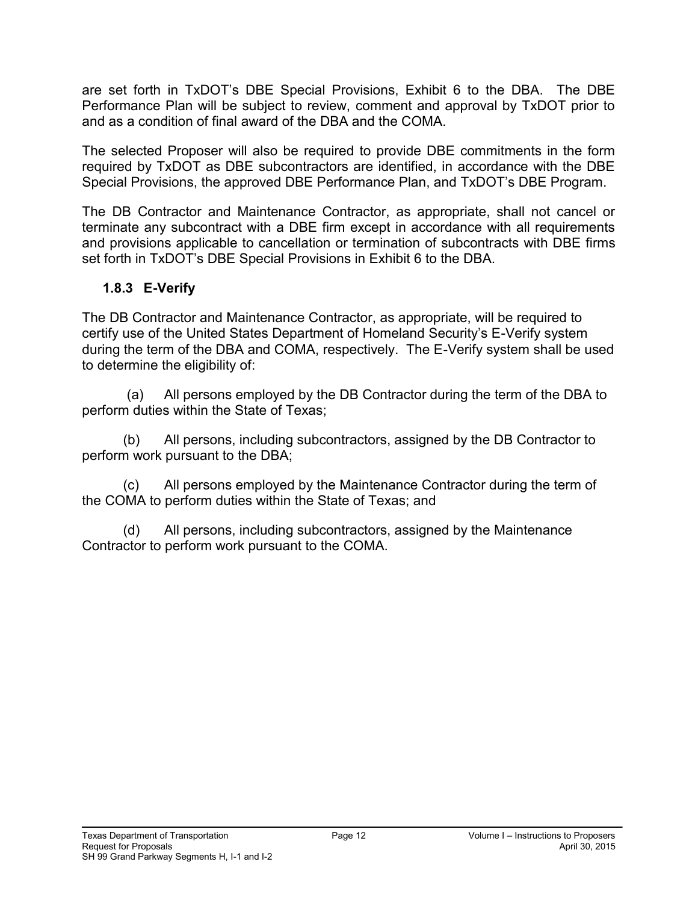are set forth in TxDOT's DBE Special Provisions, Exhibit 6 to the DBA. The DBE Performance Plan will be subject to review, comment and approval by TxDOT prior to and as a condition of final award of the DBA and the COMA.

The selected Proposer will also be required to provide DBE commitments in the form required by TxDOT as DBE subcontractors are identified, in accordance with the DBE Special Provisions, the approved DBE Performance Plan, and TxDOT's DBE Program.

The DB Contractor and Maintenance Contractor, as appropriate, shall not cancel or terminate any subcontract with a DBE firm except in accordance with all requirements and provisions applicable to cancellation or termination of subcontracts with DBE firms set forth in TxDOT's DBE Special Provisions in Exhibit 6 to the DBA.

## <span id="page-19-0"></span>**1.8.3 E-Verify**

The DB Contractor and Maintenance Contractor, as appropriate, will be required to certify use of the United States Department of Homeland Security's E-Verify system during the term of the DBA and COMA, respectively. The E-Verify system shall be used to determine the eligibility of:

 (a) All persons employed by the DB Contractor during the term of the DBA to perform duties within the State of Texas;

(b) All persons, including subcontractors, assigned by the DB Contractor to perform work pursuant to the DBA;

(c) All persons employed by the Maintenance Contractor during the term of the COMA to perform duties within the State of Texas; and

(d) All persons, including subcontractors, assigned by the Maintenance Contractor to perform work pursuant to the COMA.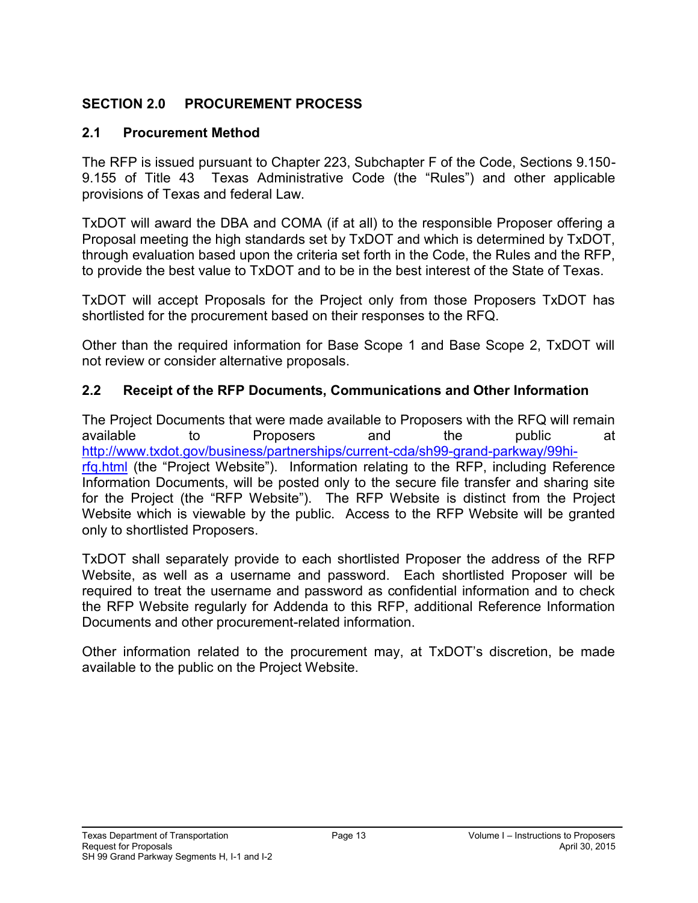### <span id="page-20-0"></span>**SECTION 2.0 PROCUREMENT PROCESS**

#### <span id="page-20-1"></span>**2.1 Procurement Method**

The RFP is issued pursuant to Chapter 223, Subchapter F of the Code, Sections 9.150- 9.155 of Title 43 Texas Administrative Code (the "Rules") and other applicable provisions of Texas and federal Law.

TxDOT will award the DBA and COMA (if at all) to the responsible Proposer offering a Proposal meeting the high standards set by TxDOT and which is determined by TxDOT, through evaluation based upon the criteria set forth in the Code, the Rules and the RFP, to provide the best value to TxDOT and to be in the best interest of the State of Texas.

TxDOT will accept Proposals for the Project only from those Proposers TxDOT has shortlisted for the procurement based on their responses to the RFQ.

Other than the required information for Base Scope 1 and Base Scope 2, TxDOT will not review or consider alternative proposals.

#### <span id="page-20-2"></span>**2.2 Receipt of the RFP Documents, Communications and Other Information**

The Project Documents that were made available to Proposers with the RFQ will remain available to Proposers and the public at [http://www.txdot.gov/business/partnerships/current-cda/sh99-grand-parkway/99hi](http://www.txdot.gov/business/partnerships/current-cda/sh99-grand-parkway/99hi-rfq.html)[rfq.html](http://www.txdot.gov/business/partnerships/current-cda/sh99-grand-parkway/99hi-rfq.html) (the "Project Website"). Information relating to the RFP, including Reference Information Documents, will be posted only to the secure file transfer and sharing site for the Project (the "RFP Website"). The RFP Website is distinct from the Project Website which is viewable by the public. Access to the RFP Website will be granted only to shortlisted Proposers.

TxDOT shall separately provide to each shortlisted Proposer the address of the RFP Website, as well as a username and password. Each shortlisted Proposer will be required to treat the username and password as confidential information and to check the RFP Website regularly for Addenda to this RFP, additional Reference Information Documents and other procurement-related information.

Other information related to the procurement may, at TxDOT's discretion, be made available to the public on the Project Website.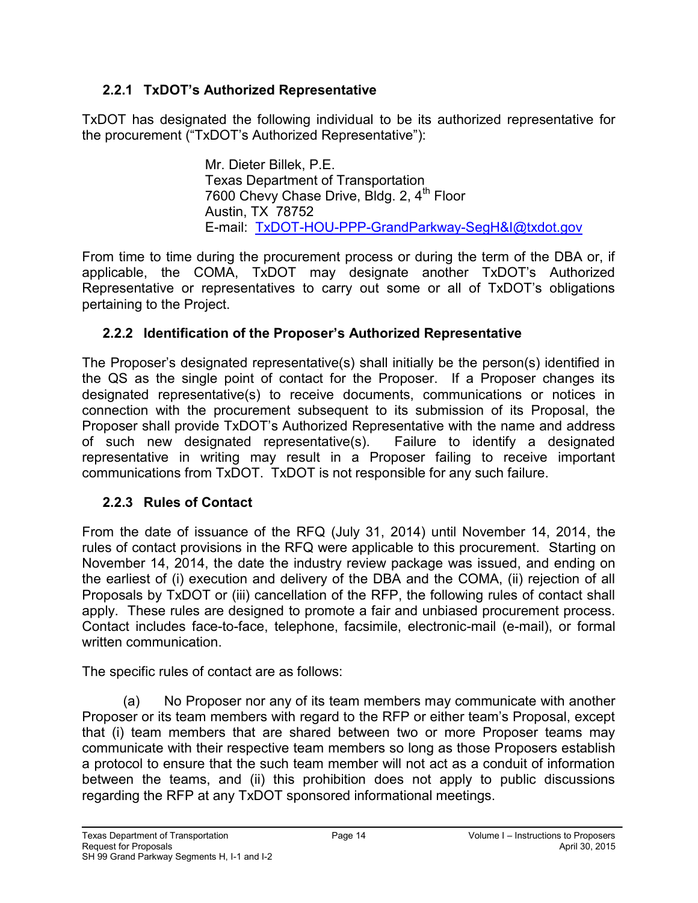## <span id="page-21-0"></span>**2.2.1 TxDOT's Authorized Representative**

TxDOT has designated the following individual to be its authorized representative for the procurement ("TxDOT's Authorized Representative"):

> Mr. Dieter Billek, P.E. Texas Department of Transportation 7600 Chevy Chase Drive, Bldg. 2, 4<sup>th</sup> Floor Austin, TX 78752 E-mail: [TxDOT-HOU-PPP-GrandParkway-SegH&I@txdot.gov](mailto:TxDOT-HOU-PPP-GrandParkway-SegH&I@txdot.gov)

From time to time during the procurement process or during the term of the DBA or, if applicable, the COMA, TxDOT may designate another TxDOT's Authorized Representative or representatives to carry out some or all of TxDOT's obligations pertaining to the Project.

## <span id="page-21-1"></span>**2.2.2 Identification of the Proposer's Authorized Representative**

The Proposer's designated representative(s) shall initially be the person(s) identified in the QS as the single point of contact for the Proposer. If a Proposer changes its designated representative(s) to receive documents, communications or notices in connection with the procurement subsequent to its submission of its Proposal, the Proposer shall provide TxDOT's Authorized Representative with the name and address of such new designated representative(s). Failure to identify a designated representative in writing may result in a Proposer failing to receive important communications from TxDOT. TxDOT is not responsible for any such failure.

## <span id="page-21-2"></span>**2.2.3 Rules of Contact**

From the date of issuance of the RFQ (July 31, 2014) until November 14, 2014, the rules of contact provisions in the RFQ were applicable to this procurement. Starting on November 14, 2014, the date the industry review package was issued, and ending on the earliest of (i) execution and delivery of the DBA and the COMA, (ii) rejection of all Proposals by TxDOT or (iii) cancellation of the RFP, the following rules of contact shall apply. These rules are designed to promote a fair and unbiased procurement process. Contact includes face-to-face, telephone, facsimile, electronic-mail (e-mail), or formal written communication.

The specific rules of contact are as follows:

(a) No Proposer nor any of its team members may communicate with another Proposer or its team members with regard to the RFP or either team's Proposal, except that (i) team members that are shared between two or more Proposer teams may communicate with their respective team members so long as those Proposers establish a protocol to ensure that the such team member will not act as a conduit of information between the teams, and (ii) this prohibition does not apply to public discussions regarding the RFP at any TxDOT sponsored informational meetings.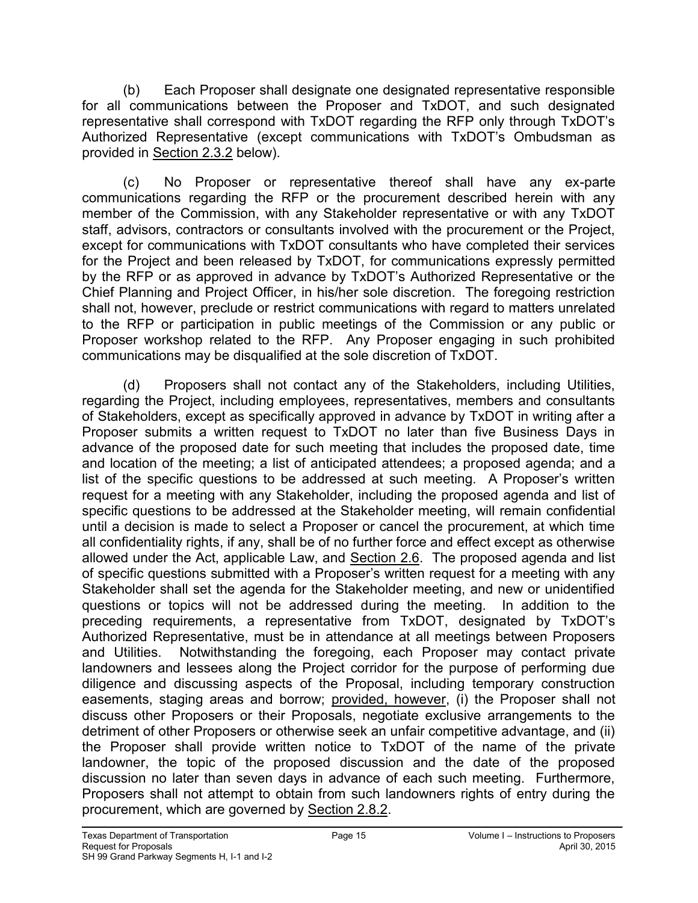(b) Each Proposer shall designate one designated representative responsible for all communications between the Proposer and TxDOT, and such designated representative shall correspond with TxDOT regarding the RFP only through TxDOT's Authorized Representative (except communications with TxDOT's Ombudsman as provided in Section 2.3.2 below).

(c) No Proposer or representative thereof shall have any ex-parte communications regarding the RFP or the procurement described herein with any member of the Commission, with any Stakeholder representative or with any TxDOT staff, advisors, contractors or consultants involved with the procurement or the Project, except for communications with TxDOT consultants who have completed their services for the Project and been released by TxDOT, for communications expressly permitted by the RFP or as approved in advance by TxDOT's Authorized Representative or the Chief Planning and Project Officer, in his/her sole discretion. The foregoing restriction shall not, however, preclude or restrict communications with regard to matters unrelated to the RFP or participation in public meetings of the Commission or any public or Proposer workshop related to the RFP. Any Proposer engaging in such prohibited communications may be disqualified at the sole discretion of TxDOT.

(d) Proposers shall not contact any of the Stakeholders, including Utilities, regarding the Project, including employees, representatives, members and consultants of Stakeholders, except as specifically approved in advance by TxDOT in writing after a Proposer submits a written request to TxDOT no later than five Business Days in advance of the proposed date for such meeting that includes the proposed date, time and location of the meeting; a list of anticipated attendees; a proposed agenda; and a list of the specific questions to be addressed at such meeting. A Proposer's written request for a meeting with any Stakeholder, including the proposed agenda and list of specific questions to be addressed at the Stakeholder meeting, will remain confidential until a decision is made to select a Proposer or cancel the procurement, at which time all confidentiality rights, if any, shall be of no further force and effect except as otherwise allowed under the Act, applicable Law, and Section 2.6. The proposed agenda and list of specific questions submitted with a Proposer's written request for a meeting with any Stakeholder shall set the agenda for the Stakeholder meeting, and new or unidentified questions or topics will not be addressed during the meeting. In addition to the preceding requirements, a representative from TxDOT, designated by TxDOT's Authorized Representative, must be in attendance at all meetings between Proposers and Utilities. Notwithstanding the foregoing, each Proposer may contact private landowners and lessees along the Project corridor for the purpose of performing due diligence and discussing aspects of the Proposal, including temporary construction easements, staging areas and borrow; provided, however, (i) the Proposer shall not discuss other Proposers or their Proposals, negotiate exclusive arrangements to the detriment of other Proposers or otherwise seek an unfair competitive advantage, and (ii) the Proposer shall provide written notice to TxDOT of the name of the private landowner, the topic of the proposed discussion and the date of the proposed discussion no later than seven days in advance of each such meeting. Furthermore, Proposers shall not attempt to obtain from such landowners rights of entry during the procurement, which are governed by Section 2.8.2.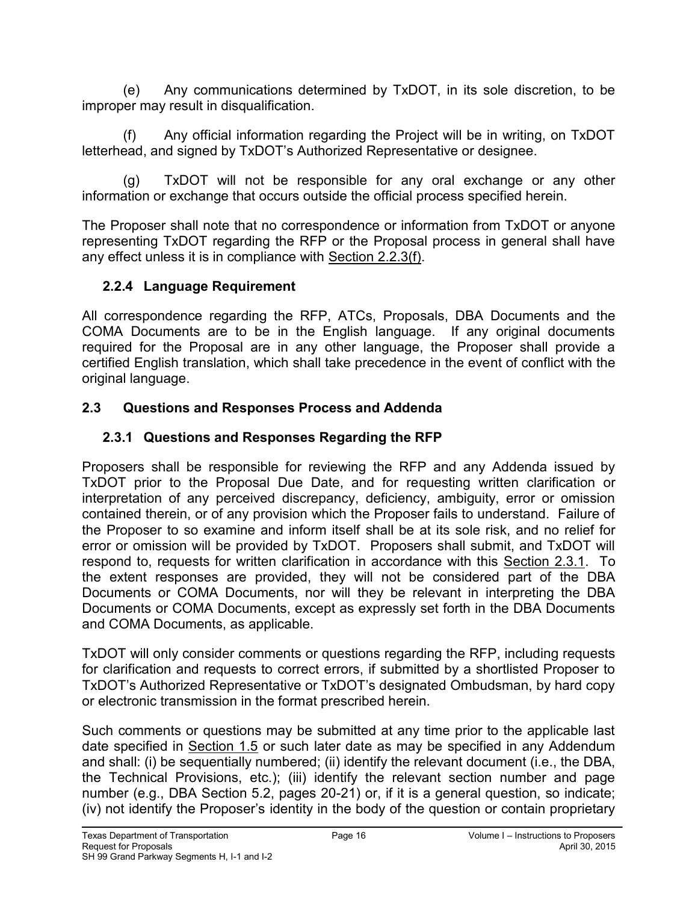(e) Any communications determined by TxDOT, in its sole discretion, to be improper may result in disqualification.

(f) Any official information regarding the Project will be in writing, on TxDOT letterhead, and signed by TxDOT's Authorized Representative or designee.

(g) TxDOT will not be responsible for any oral exchange or any other information or exchange that occurs outside the official process specified herein.

The Proposer shall note that no correspondence or information from TxDOT or anyone representing TxDOT regarding the RFP or the Proposal process in general shall have any effect unless it is in compliance with Section 2.2.3(f).

### <span id="page-23-0"></span>**2.2.4 Language Requirement**

All correspondence regarding the RFP, ATCs, Proposals, DBA Documents and the COMA Documents are to be in the English language. If any original documents required for the Proposal are in any other language, the Proposer shall provide a certified English translation, which shall take precedence in the event of conflict with the original language.

## <span id="page-23-2"></span><span id="page-23-1"></span>**2.3 Questions and Responses Process and Addenda**

# **2.3.1 Questions and Responses Regarding the RFP**

Proposers shall be responsible for reviewing the RFP and any Addenda issued by TxDOT prior to the Proposal Due Date, and for requesting written clarification or interpretation of any perceived discrepancy, deficiency, ambiguity, error or omission contained therein, or of any provision which the Proposer fails to understand. Failure of the Proposer to so examine and inform itself shall be at its sole risk, and no relief for error or omission will be provided by TxDOT. Proposers shall submit, and TxDOT will respond to, requests for written clarification in accordance with this Section 2.3.1. To the extent responses are provided, they will not be considered part of the DBA Documents or COMA Documents, nor will they be relevant in interpreting the DBA Documents or COMA Documents, except as expressly set forth in the DBA Documents and COMA Documents, as applicable.

TxDOT will only consider comments or questions regarding the RFP, including requests for clarification and requests to correct errors, if submitted by a shortlisted Proposer to TxDOT's Authorized Representative or TxDOT's designated Ombudsman, by hard copy or electronic transmission in the format prescribed herein.

Such comments or questions may be submitted at any time prior to the applicable last date specified in Section 1.5 or such later date as may be specified in any Addendum and shall: (i) be sequentially numbered; (ii) identify the relevant document (i.e., the DBA, the Technical Provisions, etc.); (iii) identify the relevant section number and page number (e.g., DBA Section 5.2, pages 20-21) or, if it is a general question, so indicate; (iv) not identify the Proposer's identity in the body of the question or contain proprietary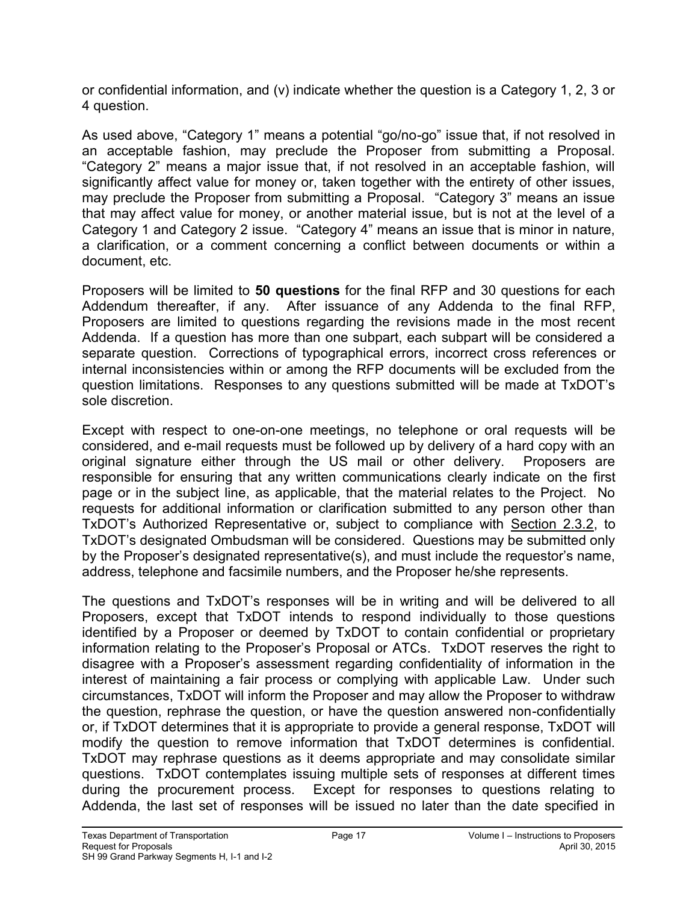or confidential information, and (v) indicate whether the question is a Category 1, 2, 3 or 4 question.

As used above, "Category 1" means a potential "go/no-go" issue that, if not resolved in an acceptable fashion, may preclude the Proposer from submitting a Proposal. "Category 2" means a major issue that, if not resolved in an acceptable fashion, will significantly affect value for money or, taken together with the entirety of other issues, may preclude the Proposer from submitting a Proposal. "Category 3" means an issue that may affect value for money, or another material issue, but is not at the level of a Category 1 and Category 2 issue. "Category 4" means an issue that is minor in nature, a clarification, or a comment concerning a conflict between documents or within a document, etc.

Proposers will be limited to **50 questions** for the final RFP and 30 questions for each Addendum thereafter, if any. After issuance of any Addenda to the final RFP, Proposers are limited to questions regarding the revisions made in the most recent Addenda. If a question has more than one subpart, each subpart will be considered a separate question. Corrections of typographical errors, incorrect cross references or internal inconsistencies within or among the RFP documents will be excluded from the question limitations. Responses to any questions submitted will be made at TxDOT's sole discretion.

Except with respect to one-on-one meetings, no telephone or oral requests will be considered, and e-mail requests must be followed up by delivery of a hard copy with an original signature either through the US mail or other delivery. Proposers are responsible for ensuring that any written communications clearly indicate on the first page or in the subject line, as applicable, that the material relates to the Project. No requests for additional information or clarification submitted to any person other than TxDOT's Authorized Representative or, subject to compliance with Section 2.3.2, to TxDOT's designated Ombudsman will be considered. Questions may be submitted only by the Proposer's designated representative(s), and must include the requestor's name, address, telephone and facsimile numbers, and the Proposer he/she represents.

The questions and TxDOT's responses will be in writing and will be delivered to all Proposers, except that TxDOT intends to respond individually to those questions identified by a Proposer or deemed by TxDOT to contain confidential or proprietary information relating to the Proposer's Proposal or ATCs. TxDOT reserves the right to disagree with a Proposer's assessment regarding confidentiality of information in the interest of maintaining a fair process or complying with applicable Law. Under such circumstances, TxDOT will inform the Proposer and may allow the Proposer to withdraw the question, rephrase the question, or have the question answered non-confidentially or, if TxDOT determines that it is appropriate to provide a general response, TxDOT will modify the question to remove information that TxDOT determines is confidential. TxDOT may rephrase questions as it deems appropriate and may consolidate similar questions. TxDOT contemplates issuing multiple sets of responses at different times during the procurement process. Except for responses to questions relating to Addenda, the last set of responses will be issued no later than the date specified in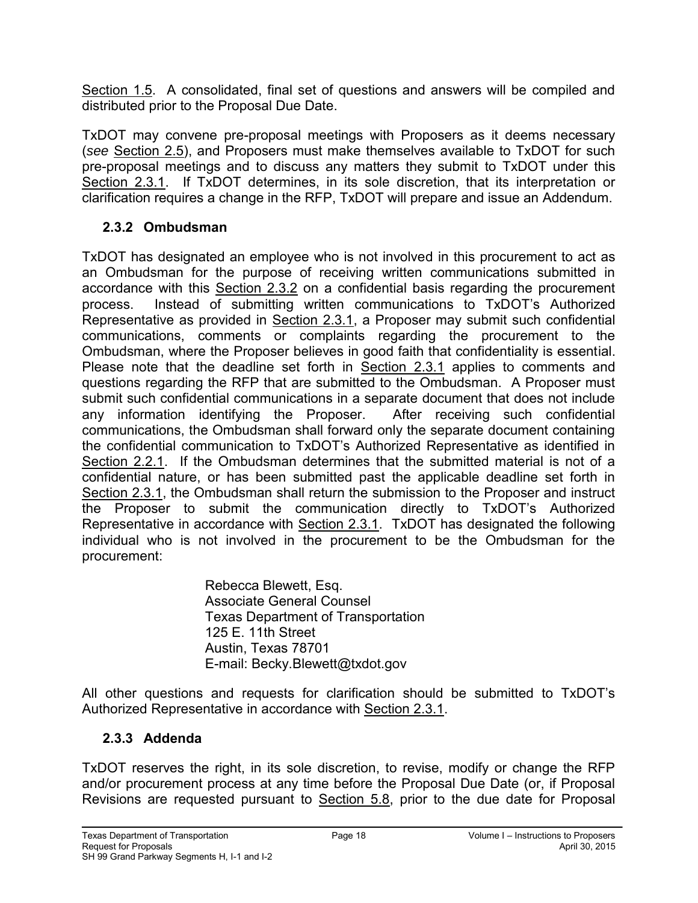Section 1.5. A consolidated, final set of questions and answers will be compiled and distributed prior to the Proposal Due Date.

TxDOT may convene pre-proposal meetings with Proposers as it deems necessary (*see* Section 2.5), and Proposers must make themselves available to TxDOT for such pre-proposal meetings and to discuss any matters they submit to TxDOT under this Section 2.3.1. If TxDOT determines, in its sole discretion, that its interpretation or clarification requires a change in the RFP, TxDOT will prepare and issue an Addendum.

### <span id="page-25-0"></span>**2.3.2 Ombudsman**

TxDOT has designated an employee who is not involved in this procurement to act as an Ombudsman for the purpose of receiving written communications submitted in accordance with this Section 2.3.2 on a confidential basis regarding the procurement process. Instead of submitting written communications to TxDOT's Authorized Representative as provided in Section 2.3.1, a Proposer may submit such confidential communications, comments or complaints regarding the procurement to the Ombudsman, where the Proposer believes in good faith that confidentiality is essential. Please note that the deadline set forth in Section 2.3.1 applies to comments and questions regarding the RFP that are submitted to the Ombudsman. A Proposer must submit such confidential communications in a separate document that does not include any information identifying the Proposer. After receiving such confidential communications, the Ombudsman shall forward only the separate document containing the confidential communication to TxDOT's Authorized Representative as identified in Section 2.2.1. If the Ombudsman determines that the submitted material is not of a confidential nature, or has been submitted past the applicable deadline set forth in Section 2.3.1, the Ombudsman shall return the submission to the Proposer and instruct the Proposer to submit the communication directly to TxDOT's Authorized Representative in accordance with Section 2.3.1. TxDOT has designated the following individual who is not involved in the procurement to be the Ombudsman for the procurement:

> Rebecca Blewett, Esq. Associate General Counsel Texas Department of Transportation 125 E. 11th Street Austin, Texas 78701 E-mail: Becky.Blewett@txdot.gov

All other questions and requests for clarification should be submitted to TxDOT's Authorized Representative in accordance with Section 2.3.1.

#### <span id="page-25-1"></span>**2.3.3 Addenda**

TxDOT reserves the right, in its sole discretion, to revise, modify or change the RFP and/or procurement process at any time before the Proposal Due Date (or, if Proposal Revisions are requested pursuant to Section 5.8, prior to the due date for Proposal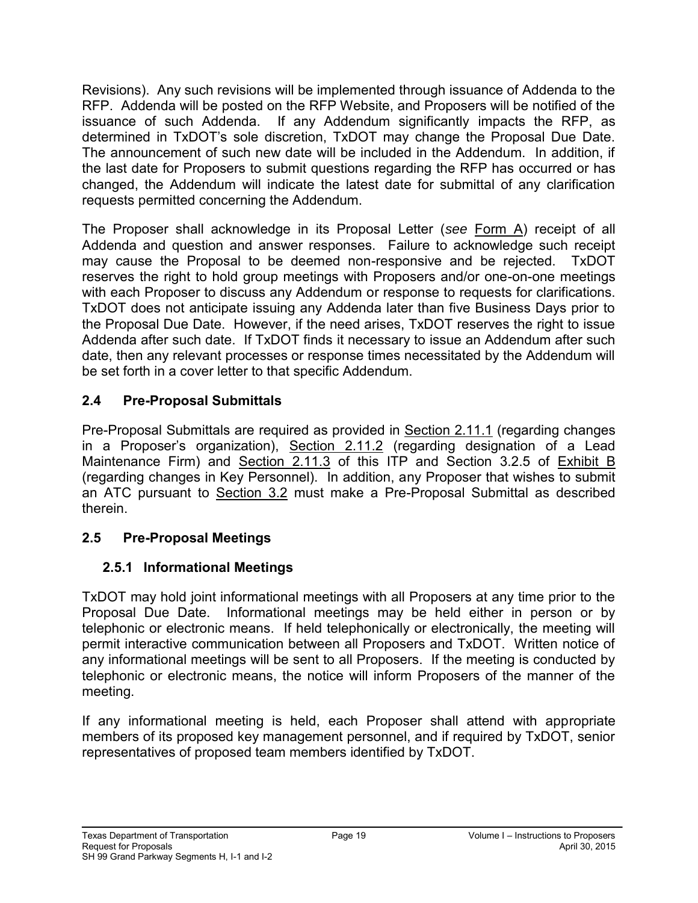Revisions). Any such revisions will be implemented through issuance of Addenda to the RFP. Addenda will be posted on the RFP Website, and Proposers will be notified of the issuance of such Addenda. If any Addendum significantly impacts the RFP, as determined in TxDOT's sole discretion, TxDOT may change the Proposal Due Date. The announcement of such new date will be included in the Addendum. In addition, if the last date for Proposers to submit questions regarding the RFP has occurred or has changed, the Addendum will indicate the latest date for submittal of any clarification requests permitted concerning the Addendum.

The Proposer shall acknowledge in its Proposal Letter (*see* Form A) receipt of all Addenda and question and answer responses. Failure to acknowledge such receipt may cause the Proposal to be deemed non-responsive and be rejected. TxDOT reserves the right to hold group meetings with Proposers and/or one-on-one meetings with each Proposer to discuss any Addendum or response to requests for clarifications. TxDOT does not anticipate issuing any Addenda later than five Business Days prior to the Proposal Due Date. However, if the need arises, TxDOT reserves the right to issue Addenda after such date. If TxDOT finds it necessary to issue an Addendum after such date, then any relevant processes or response times necessitated by the Addendum will be set forth in a cover letter to that specific Addendum.

## <span id="page-26-0"></span>**2.4 Pre-Proposal Submittals**

Pre-Proposal Submittals are required as provided in Section 2.11.1 (regarding changes in a Proposer's organization), Section 2.11.2 (regarding designation of a Lead Maintenance Firm) and Section 2.11.3 of this ITP and Section 3.2.5 of Exhibit B (regarding changes in Key Personnel). In addition, any Proposer that wishes to submit an ATC pursuant to Section 3.2 must make a Pre-Proposal Submittal as described therein.

# <span id="page-26-2"></span><span id="page-26-1"></span>**2.5 Pre-Proposal Meetings**

# **2.5.1 Informational Meetings**

TxDOT may hold joint informational meetings with all Proposers at any time prior to the Proposal Due Date. Informational meetings may be held either in person or by telephonic or electronic means. If held telephonically or electronically, the meeting will permit interactive communication between all Proposers and TxDOT. Written notice of any informational meetings will be sent to all Proposers. If the meeting is conducted by telephonic or electronic means, the notice will inform Proposers of the manner of the meeting.

If any informational meeting is held, each Proposer shall attend with appropriate members of its proposed key management personnel, and if required by TxDOT, senior representatives of proposed team members identified by TxDOT.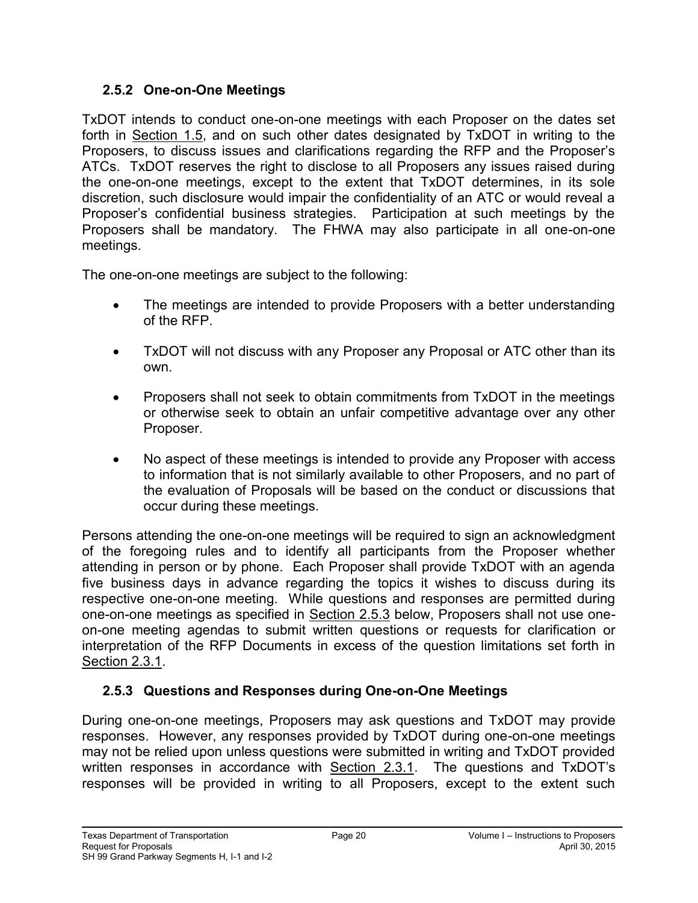#### <span id="page-27-0"></span>**2.5.2 One-on-One Meetings**

TxDOT intends to conduct one-on-one meetings with each Proposer on the dates set forth in Section 1.5, and on such other dates designated by TxDOT in writing to the Proposers, to discuss issues and clarifications regarding the RFP and the Proposer's ATCs. TxDOT reserves the right to disclose to all Proposers any issues raised during the one-on-one meetings, except to the extent that TxDOT determines, in its sole discretion, such disclosure would impair the confidentiality of an ATC or would reveal a Proposer's confidential business strategies. Participation at such meetings by the Proposers shall be mandatory. The FHWA may also participate in all one-on-one meetings.

The one-on-one meetings are subject to the following:

- The meetings are intended to provide Proposers with a better understanding of the RFP.
- TxDOT will not discuss with any Proposer any Proposal or ATC other than its own.
- Proposers shall not seek to obtain commitments from TxDOT in the meetings or otherwise seek to obtain an unfair competitive advantage over any other Proposer.
- No aspect of these meetings is intended to provide any Proposer with access to information that is not similarly available to other Proposers, and no part of the evaluation of Proposals will be based on the conduct or discussions that occur during these meetings.

Persons attending the one-on-one meetings will be required to sign an acknowledgment of the foregoing rules and to identify all participants from the Proposer whether attending in person or by phone. Each Proposer shall provide TxDOT with an agenda five business days in advance regarding the topics it wishes to discuss during its respective one-on-one meeting. While questions and responses are permitted during one-on-one meetings as specified in Section 2.5.3 below, Proposers shall not use oneon-one meeting agendas to submit written questions or requests for clarification or interpretation of the RFP Documents in excess of the question limitations set forth in Section 2.3.1.

## <span id="page-27-1"></span>**2.5.3 Questions and Responses during One-on-One Meetings**

During one-on-one meetings, Proposers may ask questions and TxDOT may provide responses. However, any responses provided by TxDOT during one-on-one meetings may not be relied upon unless questions were submitted in writing and TxDOT provided written responses in accordance with **Section 2.3.1</u>**. The questions and TxDOT's responses will be provided in writing to all Proposers, except to the extent such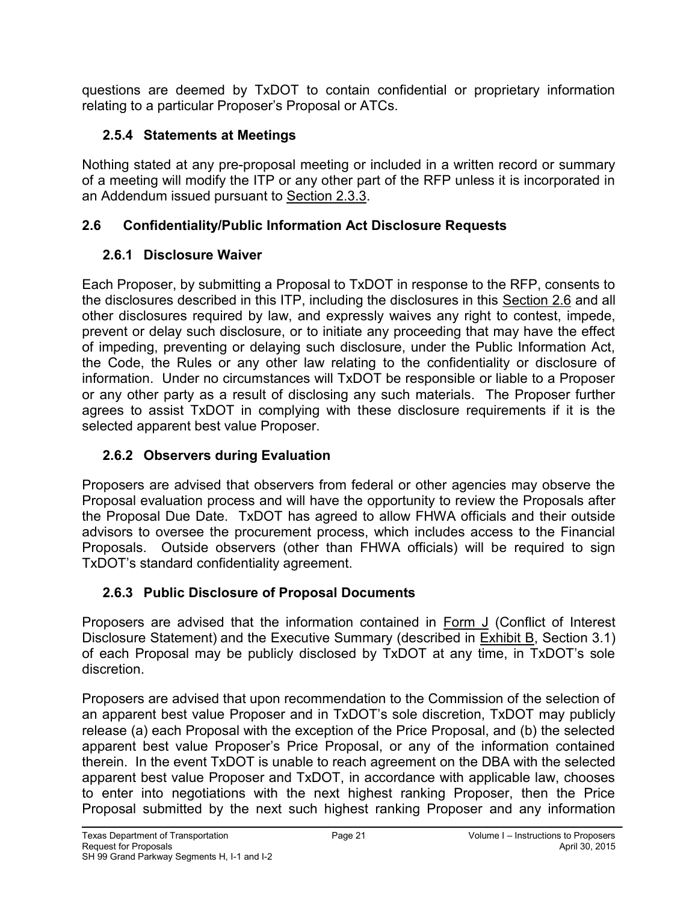questions are deemed by TxDOT to contain confidential or proprietary information relating to a particular Proposer's Proposal or ATCs.

## <span id="page-28-0"></span>**2.5.4 Statements at Meetings**

Nothing stated at any pre-proposal meeting or included in a written record or summary of a meeting will modify the ITP or any other part of the RFP unless it is incorporated in an Addendum issued pursuant to Section 2.3.3.

## <span id="page-28-2"></span><span id="page-28-1"></span>**2.6 Confidentiality/Public Information Act Disclosure Requests**

# **2.6.1 Disclosure Waiver**

Each Proposer, by submitting a Proposal to TxDOT in response to the RFP, consents to the disclosures described in this ITP, including the disclosures in this Section 2.6 and all other disclosures required by law, and expressly waives any right to contest, impede, prevent or delay such disclosure, or to initiate any proceeding that may have the effect of impeding, preventing or delaying such disclosure, under the Public Information Act, the Code, the Rules or any other law relating to the confidentiality or disclosure of information. Under no circumstances will TxDOT be responsible or liable to a Proposer or any other party as a result of disclosing any such materials. The Proposer further agrees to assist TxDOT in complying with these disclosure requirements if it is the selected apparent best value Proposer.

# <span id="page-28-3"></span>**2.6.2 Observers during Evaluation**

Proposers are advised that observers from federal or other agencies may observe the Proposal evaluation process and will have the opportunity to review the Proposals after the Proposal Due Date. TxDOT has agreed to allow FHWA officials and their outside advisors to oversee the procurement process, which includes access to the Financial Proposals. Outside observers (other than FHWA officials) will be required to sign TxDOT's standard confidentiality agreement.

# <span id="page-28-4"></span>**2.6.3 Public Disclosure of Proposal Documents**

Proposers are advised that the information contained in Form J (Conflict of Interest Disclosure Statement) and the Executive Summary (described in Exhibit B, Section 3.1) of each Proposal may be publicly disclosed by TxDOT at any time, in TxDOT's sole discretion.

Proposers are advised that upon recommendation to the Commission of the selection of an apparent best value Proposer and in TxDOT's sole discretion, TxDOT may publicly release (a) each Proposal with the exception of the Price Proposal, and (b) the selected apparent best value Proposer's Price Proposal, or any of the information contained therein. In the event TxDOT is unable to reach agreement on the DBA with the selected apparent best value Proposer and TxDOT, in accordance with applicable law, chooses to enter into negotiations with the next highest ranking Proposer, then the Price Proposal submitted by the next such highest ranking Proposer and any information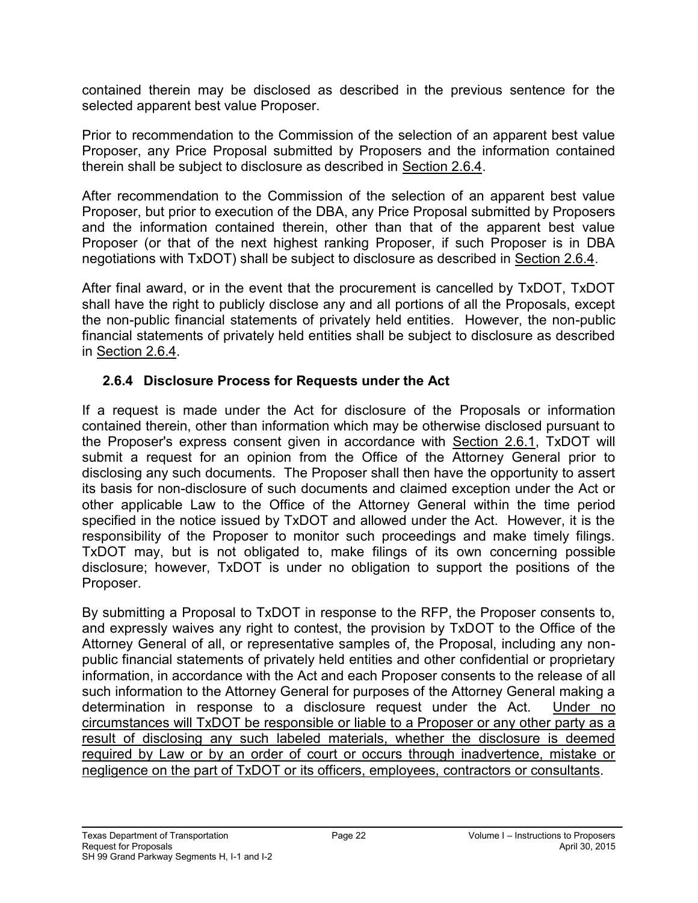contained therein may be disclosed as described in the previous sentence for the selected apparent best value Proposer.

Prior to recommendation to the Commission of the selection of an apparent best value Proposer, any Price Proposal submitted by Proposers and the information contained therein shall be subject to disclosure as described in Section 2.6.4.

After recommendation to the Commission of the selection of an apparent best value Proposer, but prior to execution of the DBA, any Price Proposal submitted by Proposers and the information contained therein, other than that of the apparent best value Proposer (or that of the next highest ranking Proposer, if such Proposer is in DBA negotiations with TxDOT) shall be subject to disclosure as described in Section 2.6.4.

After final award, or in the event that the procurement is cancelled by TxDOT, TxDOT shall have the right to publicly disclose any and all portions of all the Proposals, except the non-public financial statements of privately held entities. However, the non-public financial statements of privately held entities shall be subject to disclosure as described in Section 2.6.4.

#### <span id="page-29-0"></span>**2.6.4 Disclosure Process for Requests under the Act**

If a request is made under the Act for disclosure of the Proposals or information contained therein, other than information which may be otherwise disclosed pursuant to the Proposer's express consent given in accordance with Section 2.6.1, TxDOT will submit a request for an opinion from the Office of the Attorney General prior to disclosing any such documents. The Proposer shall then have the opportunity to assert its basis for non-disclosure of such documents and claimed exception under the Act or other applicable Law to the Office of the Attorney General within the time period specified in the notice issued by TxDOT and allowed under the Act. However, it is the responsibility of the Proposer to monitor such proceedings and make timely filings. TxDOT may, but is not obligated to, make filings of its own concerning possible disclosure; however, TxDOT is under no obligation to support the positions of the Proposer.

By submitting a Proposal to TxDOT in response to the RFP, the Proposer consents to, and expressly waives any right to contest, the provision by TxDOT to the Office of the Attorney General of all, or representative samples of, the Proposal, including any nonpublic financial statements of privately held entities and other confidential or proprietary information, in accordance with the Act and each Proposer consents to the release of all such information to the Attorney General for purposes of the Attorney General making a determination in response to a disclosure request under the Act. Under no circumstances will TxDOT be responsible or liable to a Proposer or any other party as a result of disclosing any such labeled materials, whether the disclosure is deemed required by Law or by an order of court or occurs through inadvertence, mistake or negligence on the part of TxDOT or its officers, employees, contractors or consultants.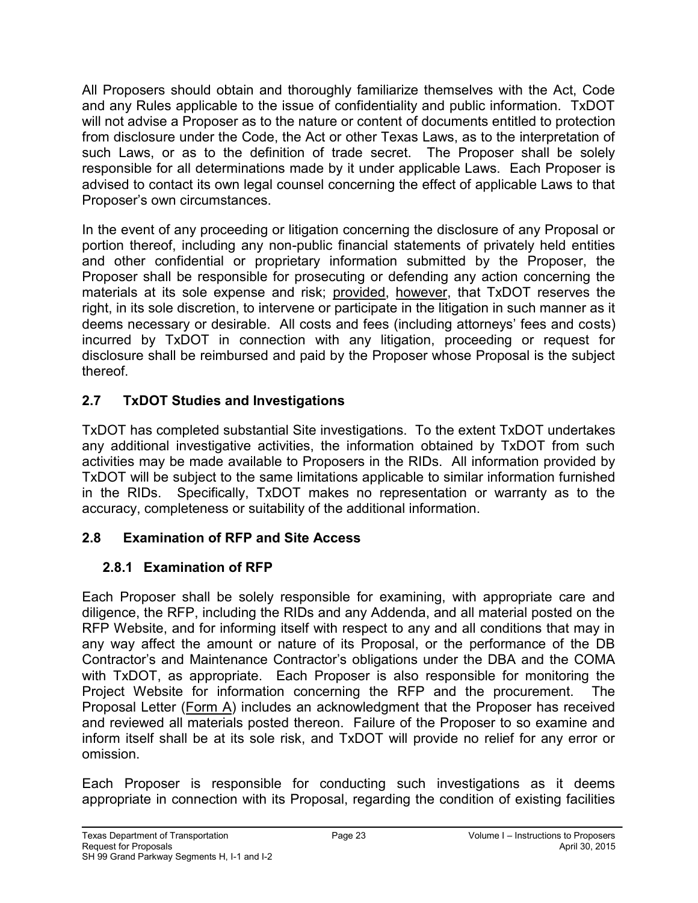All Proposers should obtain and thoroughly familiarize themselves with the Act, Code and any Rules applicable to the issue of confidentiality and public information. TxDOT will not advise a Proposer as to the nature or content of documents entitled to protection from disclosure under the Code, the Act or other Texas Laws, as to the interpretation of such Laws, or as to the definition of trade secret. The Proposer shall be solely responsible for all determinations made by it under applicable Laws. Each Proposer is advised to contact its own legal counsel concerning the effect of applicable Laws to that Proposer's own circumstances.

In the event of any proceeding or litigation concerning the disclosure of any Proposal or portion thereof, including any non-public financial statements of privately held entities and other confidential or proprietary information submitted by the Proposer, the Proposer shall be responsible for prosecuting or defending any action concerning the materials at its sole expense and risk; provided, however, that TxDOT reserves the right, in its sole discretion, to intervene or participate in the litigation in such manner as it deems necessary or desirable. All costs and fees (including attorneys' fees and costs) incurred by TxDOT in connection with any litigation, proceeding or request for disclosure shall be reimbursed and paid by the Proposer whose Proposal is the subject thereof.

# <span id="page-30-0"></span>**2.7 TxDOT Studies and Investigations**

TxDOT has completed substantial Site investigations. To the extent TxDOT undertakes any additional investigative activities, the information obtained by TxDOT from such activities may be made available to Proposers in the RIDs. All information provided by TxDOT will be subject to the same limitations applicable to similar information furnished in the RIDs. Specifically, TxDOT makes no representation or warranty as to the accuracy, completeness or suitability of the additional information.

## <span id="page-30-2"></span><span id="page-30-1"></span>**2.8 Examination of RFP and Site Access**

## **2.8.1 Examination of RFP**

Each Proposer shall be solely responsible for examining, with appropriate care and diligence, the RFP, including the RIDs and any Addenda, and all material posted on the RFP Website, and for informing itself with respect to any and all conditions that may in any way affect the amount or nature of its Proposal, or the performance of the DB Contractor's and Maintenance Contractor's obligations under the DBA and the COMA with TxDOT, as appropriate. Each Proposer is also responsible for monitoring the Project Website for information concerning the RFP and the procurement. The Proposal Letter (Form A) includes an acknowledgment that the Proposer has received and reviewed all materials posted thereon. Failure of the Proposer to so examine and inform itself shall be at its sole risk, and TxDOT will provide no relief for any error or omission.

Each Proposer is responsible for conducting such investigations as it deems appropriate in connection with its Proposal, regarding the condition of existing facilities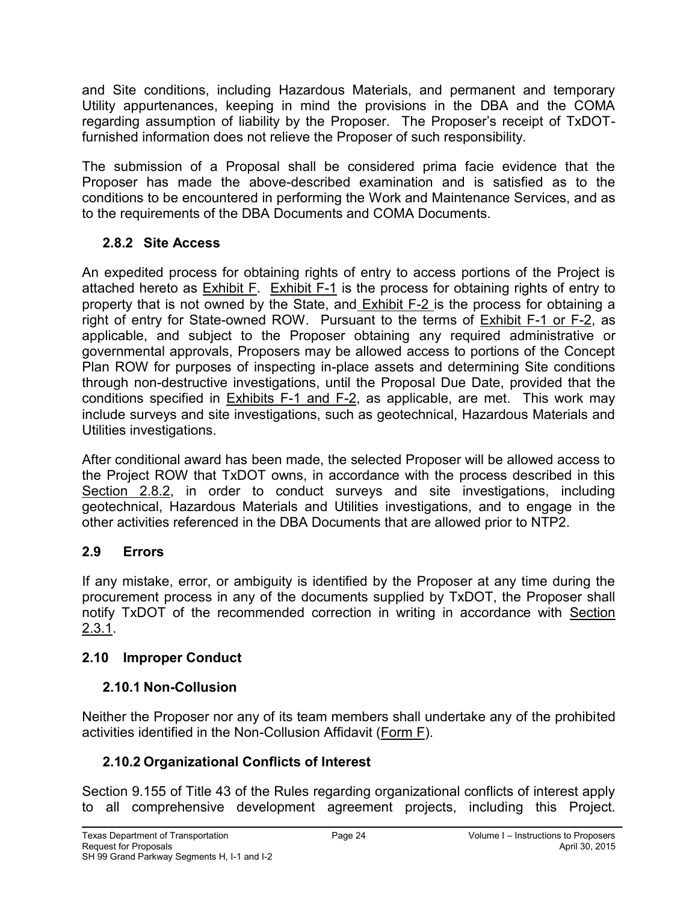and Site conditions, including Hazardous Materials, and permanent and temporary Utility appurtenances, keeping in mind the provisions in the DBA and the COMA regarding assumption of liability by the Proposer. The Proposer's receipt of TxDOTfurnished information does not relieve the Proposer of such responsibility.

The submission of a Proposal shall be considered prima facie evidence that the Proposer has made the above-described examination and is satisfied as to the conditions to be encountered in performing the Work and Maintenance Services, and as to the requirements of the DBA Documents and COMA Documents.

### <span id="page-31-0"></span>**2.8.2 Site Access**

An expedited process for obtaining rights of entry to access portions of the Project is attached hereto as Exhibit F. Exhibit F-1 is the process for obtaining rights of entry to property that is not owned by the State, and Exhibit F-2 is the process for obtaining a right of entry for State-owned ROW. Pursuant to the terms of Exhibit F-1 or F-2, as applicable, and subject to the Proposer obtaining any required administrative or governmental approvals, Proposers may be allowed access to portions of the Concept Plan ROW for purposes of inspecting in-place assets and determining Site conditions through non-destructive investigations, until the Proposal Due Date, provided that the conditions specified in Exhibits F-1 and F-2, as applicable, are met. This work may include surveys and site investigations, such as geotechnical, Hazardous Materials and Utilities investigations.

After conditional award has been made, the selected Proposer will be allowed access to the Project ROW that TxDOT owns, in accordance with the process described in this Section 2.8.2, in order to conduct surveys and site investigations, including geotechnical, Hazardous Materials and Utilities investigations, and to engage in the other activities referenced in the DBA Documents that are allowed prior to NTP2.

## <span id="page-31-1"></span>**2.9 Errors**

If any mistake, error, or ambiguity is identified by the Proposer at any time during the procurement process in any of the documents supplied by TxDOT, the Proposer shall notify TxDOT of the recommended correction in writing in accordance with Section 2.3.1.

## <span id="page-31-3"></span><span id="page-31-2"></span>**2.10 Improper Conduct**

## **2.10.1 Non-Collusion**

Neither the Proposer nor any of its team members shall undertake any of the prohibited activities identified in the Non-Collusion Affidavit (Form F).

## <span id="page-31-4"></span>**2.10.2 Organizational Conflicts of Interest**

Section 9.155 of Title 43 of the Rules regarding organizational conflicts of interest apply to all comprehensive development agreement projects, including this Project.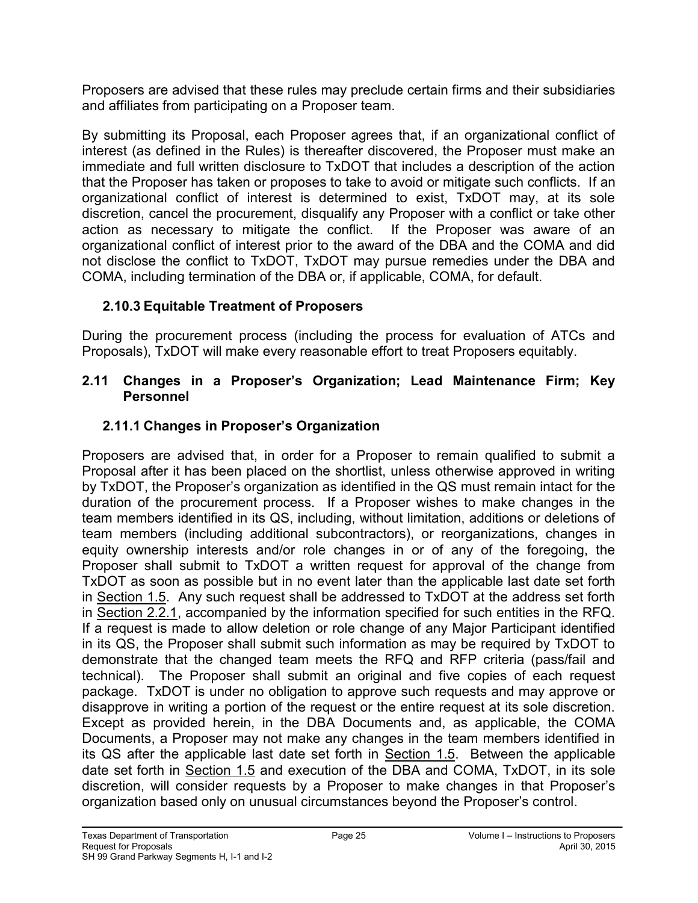Proposers are advised that these rules may preclude certain firms and their subsidiaries and affiliates from participating on a Proposer team.

By submitting its Proposal, each Proposer agrees that, if an organizational conflict of interest (as defined in the Rules) is thereafter discovered, the Proposer must make an immediate and full written disclosure to TxDOT that includes a description of the action that the Proposer has taken or proposes to take to avoid or mitigate such conflicts. If an organizational conflict of interest is determined to exist, TxDOT may, at its sole discretion, cancel the procurement, disqualify any Proposer with a conflict or take other action as necessary to mitigate the conflict. If the Proposer was aware of an organizational conflict of interest prior to the award of the DBA and the COMA and did not disclose the conflict to TxDOT, TxDOT may pursue remedies under the DBA and COMA, including termination of the DBA or, if applicable, COMA, for default.

## <span id="page-32-0"></span>**2.10.3 Equitable Treatment of Proposers**

During the procurement process (including the process for evaluation of ATCs and Proposals), TxDOT will make every reasonable effort to treat Proposers equitably.

#### <span id="page-32-1"></span>**2.11 Changes in a Proposer's Organization; Lead Maintenance Firm; Key Personnel**

# <span id="page-32-2"></span>**2.11.1 Changes in Proposer's Organization**

Proposers are advised that, in order for a Proposer to remain qualified to submit a Proposal after it has been placed on the shortlist, unless otherwise approved in writing by TxDOT, the Proposer's organization as identified in the QS must remain intact for the duration of the procurement process. If a Proposer wishes to make changes in the team members identified in its QS, including, without limitation, additions or deletions of team members (including additional subcontractors), or reorganizations, changes in equity ownership interests and/or role changes in or of any of the foregoing, the Proposer shall submit to TxDOT a written request for approval of the change from TxDOT as soon as possible but in no event later than the applicable last date set forth in Section 1.5. Any such request shall be addressed to TxDOT at the address set forth in Section 2.2.1, accompanied by the information specified for such entities in the RFQ. If a request is made to allow deletion or role change of any Major Participant identified in its QS, the Proposer shall submit such information as may be required by TxDOT to demonstrate that the changed team meets the RFQ and RFP criteria (pass/fail and technical). The Proposer shall submit an original and five copies of each request package. TxDOT is under no obligation to approve such requests and may approve or disapprove in writing a portion of the request or the entire request at its sole discretion. Except as provided herein, in the DBA Documents and, as applicable, the COMA Documents, a Proposer may not make any changes in the team members identified in its QS after the applicable last date set forth in Section 1.5. Between the applicable date set forth in Section 1.5 and execution of the DBA and COMA, TxDOT, in its sole discretion, will consider requests by a Proposer to make changes in that Proposer's organization based only on unusual circumstances beyond the Proposer's control.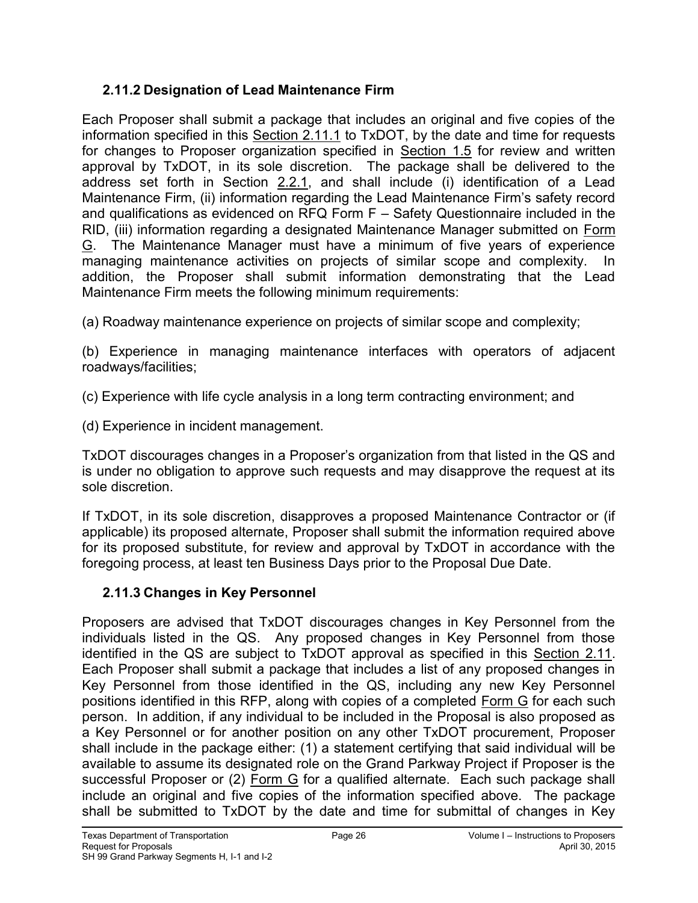### <span id="page-33-0"></span>**2.11.2 Designation of Lead Maintenance Firm**

Each Proposer shall submit a package that includes an original and five copies of the information specified in this Section 2.11.1 to TxDOT, by the date and time for requests for changes to Proposer organization specified in Section 1.5 for review and written approval by TxDOT, in its sole discretion. The package shall be delivered to the address set forth in Section 2.2.1, and shall include (i) identification of a Lead Maintenance Firm, (ii) information regarding the Lead Maintenance Firm's safety record and qualifications as evidenced on RFQ Form F – Safety Questionnaire included in the RID, (iii) information regarding a designated Maintenance Manager submitted on Form G. The Maintenance Manager must have a minimum of five years of experience managing maintenance activities on projects of similar scope and complexity. In addition, the Proposer shall submit information demonstrating that the Lead Maintenance Firm meets the following minimum requirements:

(a) Roadway maintenance experience on projects of similar scope and complexity;

(b) Experience in managing maintenance interfaces with operators of adjacent roadways/facilities;

(c) Experience with life cycle analysis in a long term contracting environment; and

(d) Experience in incident management.

TxDOT discourages changes in a Proposer's organization from that listed in the QS and is under no obligation to approve such requests and may disapprove the request at its sole discretion.

If TxDOT, in its sole discretion, disapproves a proposed Maintenance Contractor or (if applicable) its proposed alternate, Proposer shall submit the information required above for its proposed substitute, for review and approval by TxDOT in accordance with the foregoing process, at least ten Business Days prior to the Proposal Due Date.

## <span id="page-33-1"></span>**2.11.3 Changes in Key Personnel**

Proposers are advised that TxDOT discourages changes in Key Personnel from the individuals listed in the QS. Any proposed changes in Key Personnel from those identified in the QS are subject to TxDOT approval as specified in this Section 2.11. Each Proposer shall submit a package that includes a list of any proposed changes in Key Personnel from those identified in the QS, including any new Key Personnel positions identified in this RFP, along with copies of a completed Form G for each such person. In addition, if any individual to be included in the Proposal is also proposed as a Key Personnel or for another position on any other TxDOT procurement, Proposer shall include in the package either: (1) a statement certifying that said individual will be available to assume its designated role on the Grand Parkway Project if Proposer is the successful Proposer or (2) Form G for a qualified alternate. Each such package shall include an original and five copies of the information specified above. The package shall be submitted to TxDOT by the date and time for submittal of changes in Key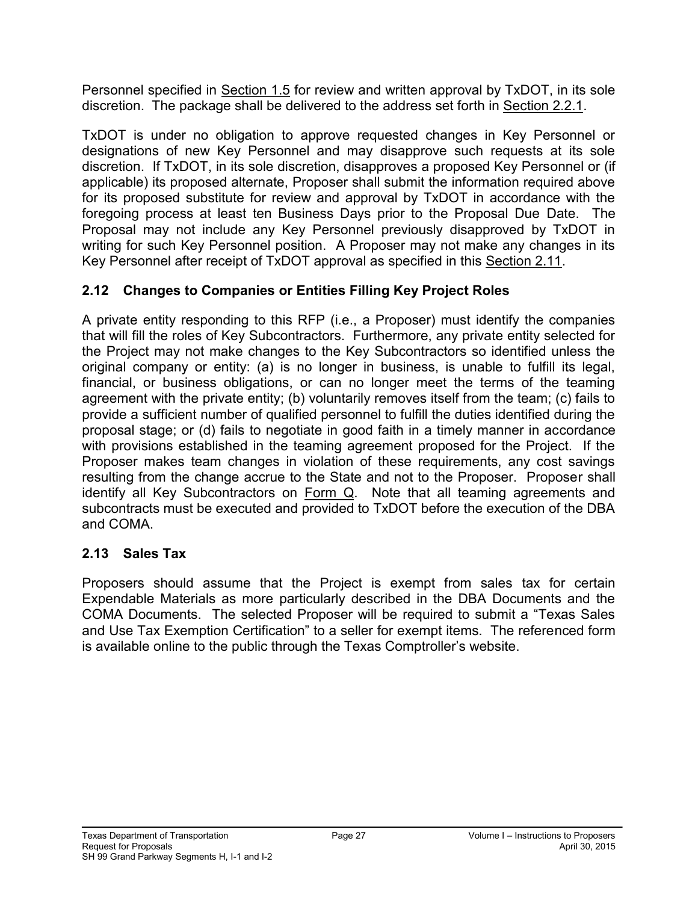Personnel specified in Section 1.5 for review and written approval by TxDOT, in its sole discretion. The package shall be delivered to the address set forth in Section 2.2.1.

TxDOT is under no obligation to approve requested changes in Key Personnel or designations of new Key Personnel and may disapprove such requests at its sole discretion. If TxDOT, in its sole discretion, disapproves a proposed Key Personnel or (if applicable) its proposed alternate, Proposer shall submit the information required above for its proposed substitute for review and approval by TxDOT in accordance with the foregoing process at least ten Business Days prior to the Proposal Due Date. The Proposal may not include any Key Personnel previously disapproved by TxDOT in writing for such Key Personnel position. A Proposer may not make any changes in its Key Personnel after receipt of TxDOT approval as specified in this Section 2.11.

### <span id="page-34-0"></span>**2.12 Changes to Companies or Entities Filling Key Project Roles**

A private entity responding to this RFP (i.e., a Proposer) must identify the companies that will fill the roles of Key Subcontractors. Furthermore, any private entity selected for the Project may not make changes to the Key Subcontractors so identified unless the original company or entity: (a) is no longer in business, is unable to fulfill its legal, financial, or business obligations, or can no longer meet the terms of the teaming agreement with the private entity; (b) voluntarily removes itself from the team; (c) fails to provide a sufficient number of qualified personnel to fulfill the duties identified during the proposal stage; or (d) fails to negotiate in good faith in a timely manner in accordance with provisions established in the teaming agreement proposed for the Project. If the Proposer makes team changes in violation of these requirements, any cost savings resulting from the change accrue to the State and not to the Proposer. Proposer shall identify all Key Subcontractors on Form  $Q$ . Note that all teaming agreements and subcontracts must be executed and provided to TxDOT before the execution of the DBA and COMA.

#### <span id="page-34-1"></span>**2.13 Sales Tax**

Proposers should assume that the Project is exempt from sales tax for certain Expendable Materials as more particularly described in the DBA Documents and the COMA Documents. The selected Proposer will be required to submit a "Texas Sales and Use Tax Exemption Certification" to a seller for exempt items. The referenced form is available online to the public through the Texas Comptroller's website.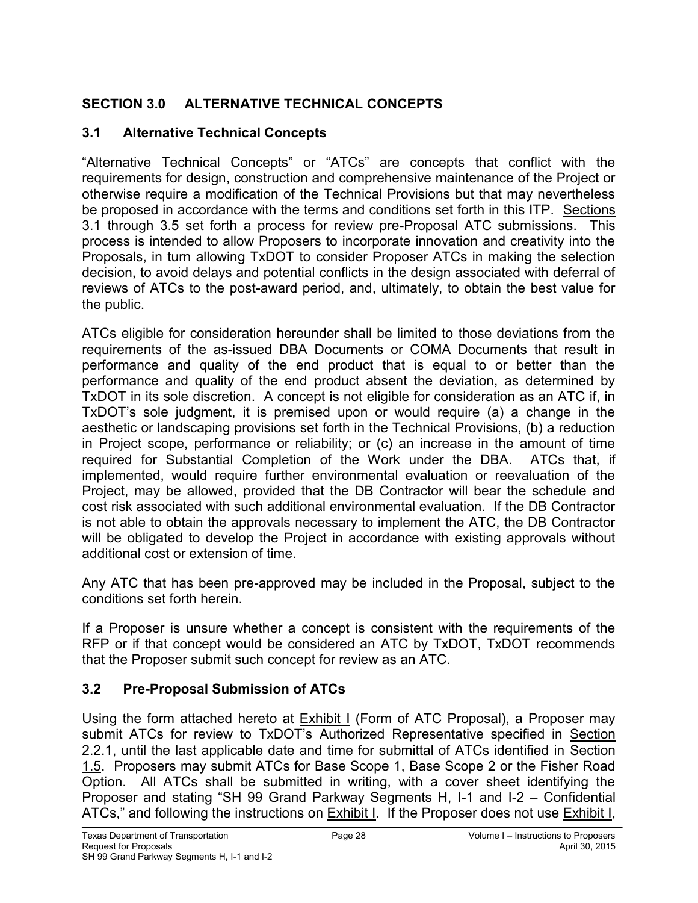# <span id="page-35-0"></span>**SECTION 3.0 ALTERNATIVE TECHNICAL CONCEPTS**

### <span id="page-35-1"></span>**3.1 Alternative Technical Concepts**

"Alternative Technical Concepts" or "ATCs" are concepts that conflict with the requirements for design, construction and comprehensive maintenance of the Project or otherwise require a modification of the Technical Provisions but that may nevertheless be proposed in accordance with the terms and conditions set forth in this ITP. Sections 3.1 through 3.5 set forth a process for review pre-Proposal ATC submissions. This process is intended to allow Proposers to incorporate innovation and creativity into the Proposals, in turn allowing TxDOT to consider Proposer ATCs in making the selection decision, to avoid delays and potential conflicts in the design associated with deferral of reviews of ATCs to the post-award period, and, ultimately, to obtain the best value for the public.

ATCs eligible for consideration hereunder shall be limited to those deviations from the requirements of the as-issued DBA Documents or COMA Documents that result in performance and quality of the end product that is equal to or better than the performance and quality of the end product absent the deviation, as determined by TxDOT in its sole discretion. A concept is not eligible for consideration as an ATC if, in TxDOT's sole judgment, it is premised upon or would require (a) a change in the aesthetic or landscaping provisions set forth in the Technical Provisions, (b) a reduction in Project scope, performance or reliability; or (c) an increase in the amount of time required for Substantial Completion of the Work under the DBA.ATCs that, if implemented, would require further environmental evaluation or reevaluation of the Project, may be allowed, provided that the DB Contractor will bear the schedule and cost risk associated with such additional environmental evaluation. If the DB Contractor is not able to obtain the approvals necessary to implement the ATC, the DB Contractor will be obligated to develop the Project in accordance with existing approvals without additional cost or extension of time.

Any ATC that has been pre-approved may be included in the Proposal, subject to the conditions set forth herein.

If a Proposer is unsure whether a concept is consistent with the requirements of the RFP or if that concept would be considered an ATC by TxDOT, TxDOT recommends that the Proposer submit such concept for review as an ATC.

## <span id="page-35-2"></span>**3.2 Pre-Proposal Submission of ATCs**

Using the form attached hereto at Exhibit I (Form of ATC Proposal), a Proposer may submit ATCs for review to TxDOT's Authorized Representative specified in Section 2.2.1, until the last applicable date and time for submittal of ATCs identified in Section 1.5. Proposers may submit ATCs for Base Scope 1, Base Scope 2 or the Fisher Road Option. All ATCs shall be submitted in writing, with a cover sheet identifying the Proposer and stating "SH 99 Grand Parkway Segments H, I-1 and I-2 – Confidential ATCs," and following the instructions on Exhibit I. If the Proposer does not use Exhibit I,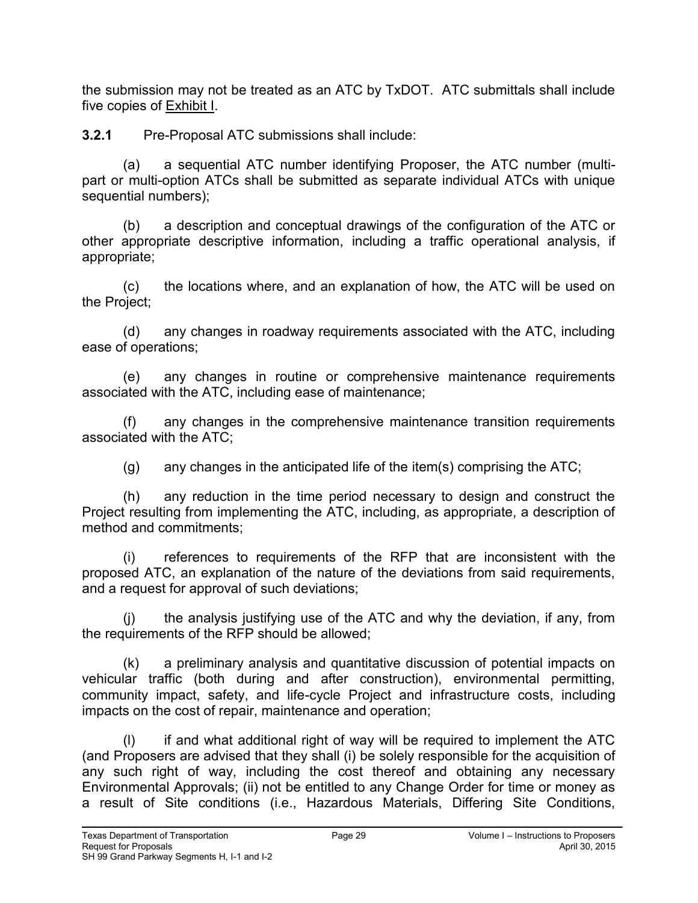the submission may not be treated as an ATC by TxDOT. ATC submittals shall include five copies of Exhibit I.

**3.2.1** Pre-Proposal ATC submissions shall include:

(a) a sequential ATC number identifying Proposer, the ATC number (multipart or multi-option ATCs shall be submitted as separate individual ATCs with unique sequential numbers);

(b) a description and conceptual drawings of the configuration of the ATC or other appropriate descriptive information, including a traffic operational analysis, if appropriate;

(c) the locations where, and an explanation of how, the ATC will be used on the Project;

(d) any changes in roadway requirements associated with the ATC, including ease of operations;

(e) any changes in routine or comprehensive maintenance requirements associated with the ATC, including ease of maintenance;

(f) any changes in the comprehensive maintenance transition requirements associated with the ATC;

 $(q)$  any changes in the anticipated life of the item(s) comprising the ATC;

(h) any reduction in the time period necessary to design and construct the Project resulting from implementing the ATC, including, as appropriate, a description of method and commitments;

(i) references to requirements of the RFP that are inconsistent with the proposed ATC, an explanation of the nature of the deviations from said requirements, and a request for approval of such deviations;

(j) the analysis justifying use of the ATC and why the deviation, if any, from the requirements of the RFP should be allowed;

(k) a preliminary analysis and quantitative discussion of potential impacts on vehicular traffic (both during and after construction), environmental permitting, community impact, safety, and life-cycle Project and infrastructure costs, including impacts on the cost of repair, maintenance and operation;

(l) if and what additional right of way will be required to implement the ATC (and Proposers are advised that they shall (i) be solely responsible for the acquisition of any such right of way, including the cost thereof and obtaining any necessary Environmental Approvals; (ii) not be entitled to any Change Order for time or money as a result of Site conditions (i.e., Hazardous Materials, Differing Site Conditions,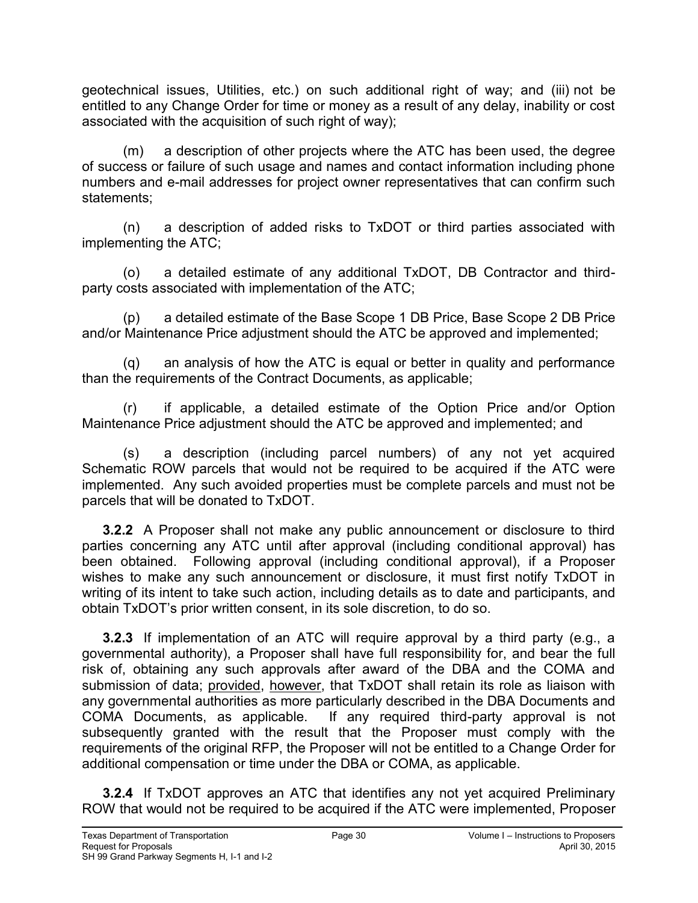geotechnical issues, Utilities, etc.) on such additional right of way; and (iii) not be entitled to any Change Order for time or money as a result of any delay, inability or cost associated with the acquisition of such right of way);

(m) a description of other projects where the ATC has been used, the degree of success or failure of such usage and names and contact information including phone numbers and e-mail addresses for project owner representatives that can confirm such statements;

(n) a description of added risks to TxDOT or third parties associated with implementing the ATC;

(o) a detailed estimate of any additional TxDOT, DB Contractor and thirdparty costs associated with implementation of the ATC;

(p) a detailed estimate of the Base Scope 1 DB Price, Base Scope 2 DB Price and/or Maintenance Price adjustment should the ATC be approved and implemented;

(q) an analysis of how the ATC is equal or better in quality and performance than the requirements of the Contract Documents, as applicable;

(r) if applicable, a detailed estimate of the Option Price and/or Option Maintenance Price adjustment should the ATC be approved and implemented; and

(s) a description (including parcel numbers) of any not yet acquired Schematic ROW parcels that would not be required to be acquired if the ATC were implemented. Any such avoided properties must be complete parcels and must not be parcels that will be donated to TxDOT.

**3.2.2** A Proposer shall not make any public announcement or disclosure to third parties concerning any ATC until after approval (including conditional approval) has been obtained. Following approval (including conditional approval), if a Proposer wishes to make any such announcement or disclosure, it must first notify TxDOT in writing of its intent to take such action, including details as to date and participants, and obtain TxDOT's prior written consent, in its sole discretion, to do so.

**3.2.3** If implementation of an ATC will require approval by a third party (e.g., a governmental authority), a Proposer shall have full responsibility for, and bear the full risk of, obtaining any such approvals after award of the DBA and the COMA and submission of data; provided, however, that TxDOT shall retain its role as liaison with any governmental authorities as more particularly described in the DBA Documents and COMA Documents, as applicable. If any required third-party approval is not subsequently granted with the result that the Proposer must comply with the requirements of the original RFP, the Proposer will not be entitled to a Change Order for additional compensation or time under the DBA or COMA, as applicable.

**3.2.4** If TxDOT approves an ATC that identifies any not yet acquired Preliminary ROW that would not be required to be acquired if the ATC were implemented, Proposer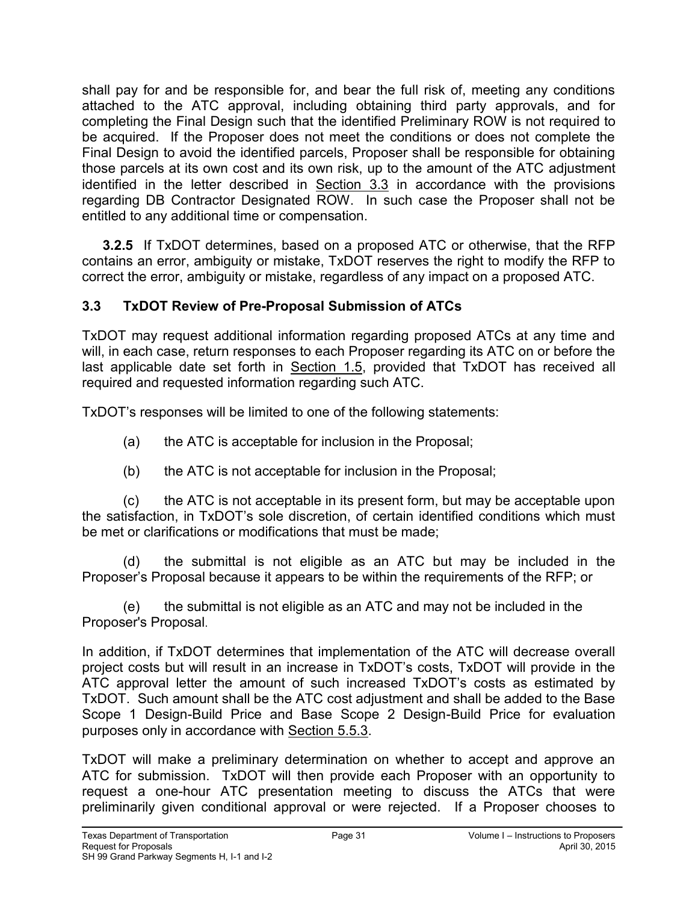shall pay for and be responsible for, and bear the full risk of, meeting any conditions attached to the ATC approval, including obtaining third party approvals, and for completing the Final Design such that the identified Preliminary ROW is not required to be acquired. If the Proposer does not meet the conditions or does not complete the Final Design to avoid the identified parcels, Proposer shall be responsible for obtaining those parcels at its own cost and its own risk, up to the amount of the ATC adjustment identified in the letter described in Section 3.3 in accordance with the provisions regarding DB Contractor Designated ROW. In such case the Proposer shall not be entitled to any additional time or compensation.

**3.2.5** If TxDOT determines, based on a proposed ATC or otherwise, that the RFP contains an error, ambiguity or mistake, TxDOT reserves the right to modify the RFP to correct the error, ambiguity or mistake, regardless of any impact on a proposed ATC.

### **3.3 TxDOT Review of Pre-Proposal Submission of ATCs**

TxDOT may request additional information regarding proposed ATCs at any time and will, in each case, return responses to each Proposer regarding its ATC on or before the last applicable date set forth in Section 1.5, provided that TxDOT has received all required and requested information regarding such ATC.

TxDOT's responses will be limited to one of the following statements:

- (a) the ATC is acceptable for inclusion in the Proposal;
- (b) the ATC is not acceptable for inclusion in the Proposal;

(c) the ATC is not acceptable in its present form, but may be acceptable upon the satisfaction, in TxDOT's sole discretion, of certain identified conditions which must be met or clarifications or modifications that must be made;

(d) the submittal is not eligible as an ATC but may be included in the Proposer's Proposal because it appears to be within the requirements of the RFP; or

 (e) the submittal is not eligible as an ATC and may not be included in the Proposer's Proposal.

In addition, if TxDOT determines that implementation of the ATC will decrease overall project costs but will result in an increase in TxDOT's costs, TxDOT will provide in the ATC approval letter the amount of such increased TxDOT's costs as estimated by TxDOT. Such amount shall be the ATC cost adjustment and shall be added to the Base Scope 1 Design-Build Price and Base Scope 2 Design-Build Price for evaluation purposes only in accordance with Section 5.5.3.

TxDOT will make a preliminary determination on whether to accept and approve an ATC for submission. TxDOT will then provide each Proposer with an opportunity to request a one-hour ATC presentation meeting to discuss the ATCs that were preliminarily given conditional approval or were rejected. If a Proposer chooses to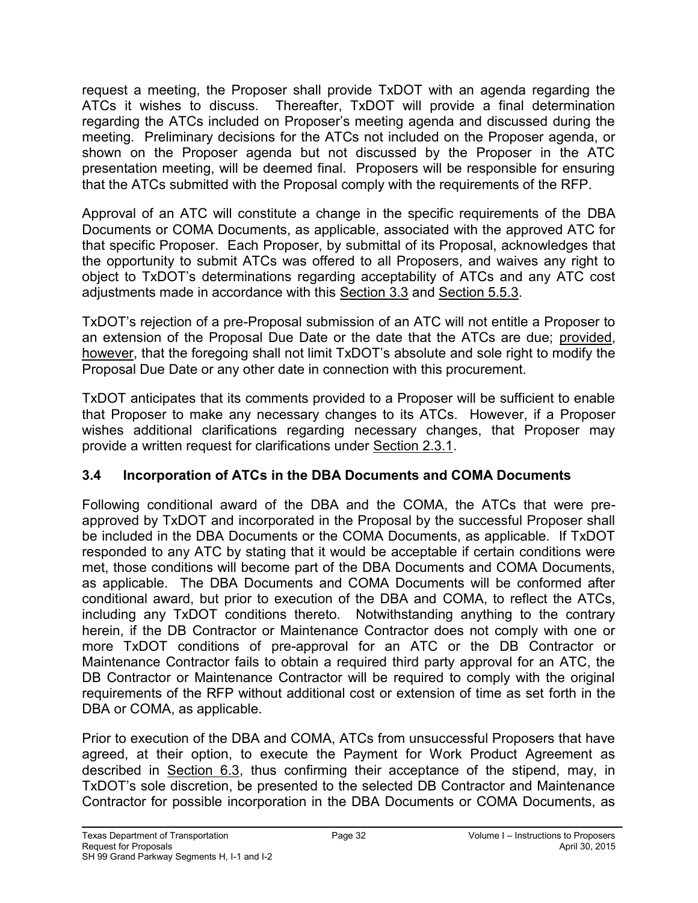request a meeting, the Proposer shall provide TxDOT with an agenda regarding the ATCs it wishes to discuss. Thereafter, TxDOT will provide a final determination regarding the ATCs included on Proposer's meeting agenda and discussed during the meeting. Preliminary decisions for the ATCs not included on the Proposer agenda, or shown on the Proposer agenda but not discussed by the Proposer in the ATC presentation meeting, will be deemed final. Proposers will be responsible for ensuring that the ATCs submitted with the Proposal comply with the requirements of the RFP.

Approval of an ATC will constitute a change in the specific requirements of the DBA Documents or COMA Documents, as applicable, associated with the approved ATC for that specific Proposer. Each Proposer, by submittal of its Proposal, acknowledges that the opportunity to submit ATCs was offered to all Proposers, and waives any right to object to TxDOT's determinations regarding acceptability of ATCs and any ATC cost adjustments made in accordance with this Section 3.3 and Section 5.5.3.

TxDOT's rejection of a pre-Proposal submission of an ATC will not entitle a Proposer to an extension of the Proposal Due Date or the date that the ATCs are due; provided, however, that the foregoing shall not limit TxDOT's absolute and sole right to modify the Proposal Due Date or any other date in connection with this procurement.

TxDOT anticipates that its comments provided to a Proposer will be sufficient to enable that Proposer to make any necessary changes to its ATCs. However, if a Proposer wishes additional clarifications regarding necessary changes, that Proposer may provide a written request for clarifications under Section 2.3.1.

# **3.4 Incorporation of ATCs in the DBA Documents and COMA Documents**

Following conditional award of the DBA and the COMA, the ATCs that were preapproved by TxDOT and incorporated in the Proposal by the successful Proposer shall be included in the DBA Documents or the COMA Documents, as applicable. If TxDOT responded to any ATC by stating that it would be acceptable if certain conditions were met, those conditions will become part of the DBA Documents and COMA Documents, as applicable. The DBA Documents and COMA Documents will be conformed after conditional award, but prior to execution of the DBA and COMA, to reflect the ATCs, including any TxDOT conditions thereto. Notwithstanding anything to the contrary herein, if the DB Contractor or Maintenance Contractor does not comply with one or more TxDOT conditions of pre-approval for an ATC or the DB Contractor or Maintenance Contractor fails to obtain a required third party approval for an ATC, the DB Contractor or Maintenance Contractor will be required to comply with the original requirements of the RFP without additional cost or extension of time as set forth in the DBA or COMA, as applicable.

Prior to execution of the DBA and COMA, ATCs from unsuccessful Proposers that have agreed, at their option, to execute the Payment for Work Product Agreement as described in Section 6.3, thus confirming their acceptance of the stipend, may, in TxDOT's sole discretion, be presented to the selected DB Contractor and Maintenance Contractor for possible incorporation in the DBA Documents or COMA Documents, as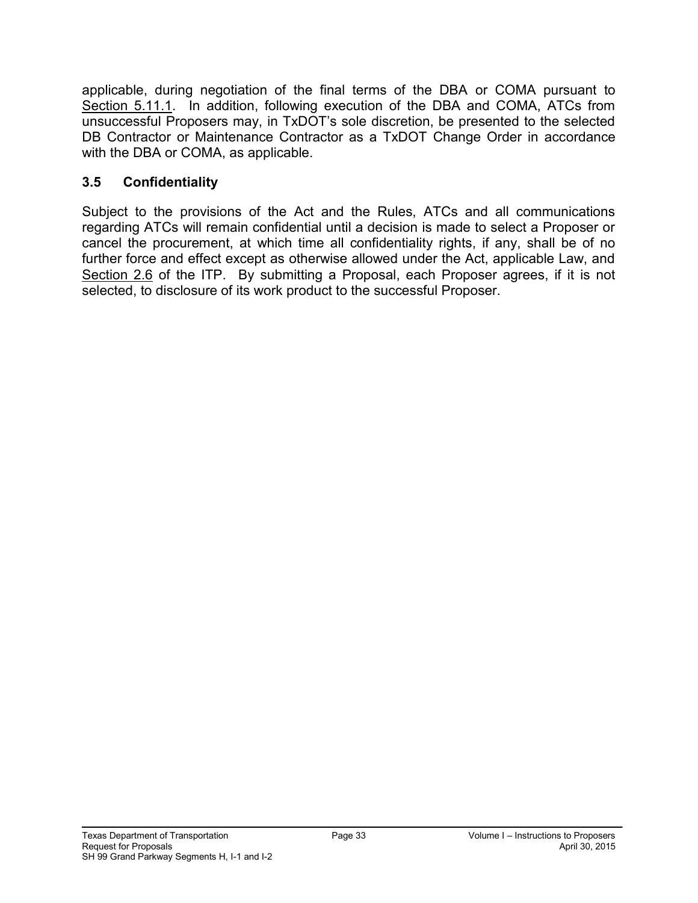applicable, during negotiation of the final terms of the DBA or COMA pursuant to Section 5.11.1. In addition, following execution of the DBA and COMA, ATCs from unsuccessful Proposers may, in TxDOT's sole discretion, be presented to the selected DB Contractor or Maintenance Contractor as a TxDOT Change Order in accordance with the DBA or COMA, as applicable.

# **3.5 Confidentiality**

Subject to the provisions of the Act and the Rules, ATCs and all communications regarding ATCs will remain confidential until a decision is made to select a Proposer or cancel the procurement, at which time all confidentiality rights, if any, shall be of no further force and effect except as otherwise allowed under the Act, applicable Law, and Section 2.6 of the ITP. By submitting a Proposal, each Proposer agrees, if it is not selected, to disclosure of its work product to the successful Proposer.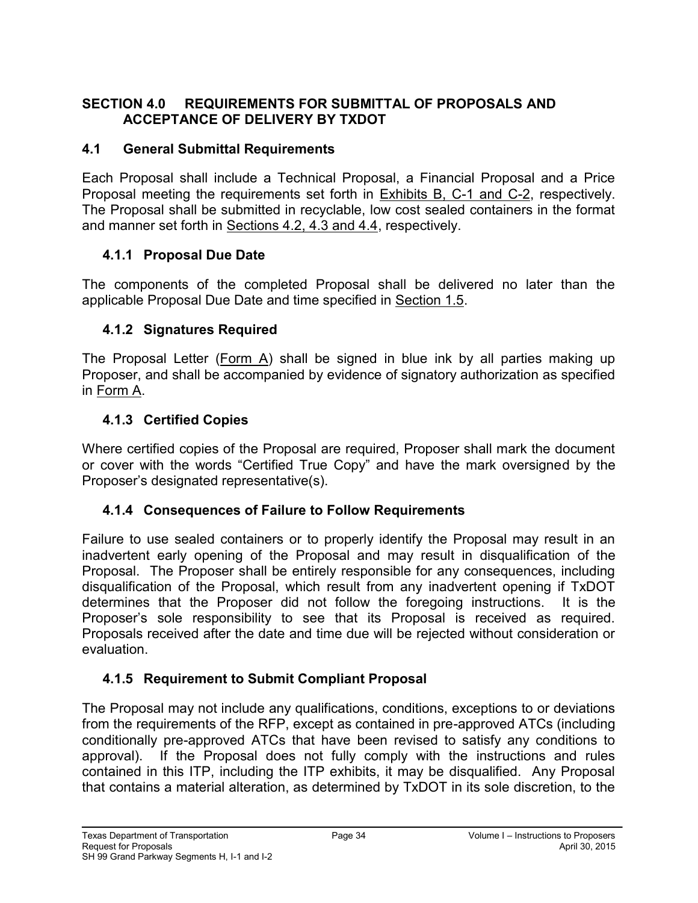### **SECTION 4.0 REQUIREMENTS FOR SUBMITTAL OF PROPOSALS AND ACCEPTANCE OF DELIVERY BY TXDOT**

### **4.1 General Submittal Requirements**

Each Proposal shall include a Technical Proposal, a Financial Proposal and a Price Proposal meeting the requirements set forth in Exhibits B, C-1 and C-2, respectively. The Proposal shall be submitted in recyclable, low cost sealed containers in the format and manner set forth in Sections 4.2, 4.3 and 4.4, respectively.

### **4.1.1 Proposal Due Date**

The components of the completed Proposal shall be delivered no later than the applicable Proposal Due Date and time specified in Section 1.5.

### **4.1.2 Signatures Required**

The Proposal Letter (Form A) shall be signed in blue ink by all parties making up Proposer, and shall be accompanied by evidence of signatory authorization as specified in Form A.

### **4.1.3 Certified Copies**

Where certified copies of the Proposal are required, Proposer shall mark the document or cover with the words "Certified True Copy" and have the mark oversigned by the Proposer's designated representative(s).

### **4.1.4 Consequences of Failure to Follow Requirements**

Failure to use sealed containers or to properly identify the Proposal may result in an inadvertent early opening of the Proposal and may result in disqualification of the Proposal. The Proposer shall be entirely responsible for any consequences, including disqualification of the Proposal, which result from any inadvertent opening if TxDOT determines that the Proposer did not follow the foregoing instructions. It is the Proposer's sole responsibility to see that its Proposal is received as required. Proposals received after the date and time due will be rejected without consideration or evaluation.

# **4.1.5 Requirement to Submit Compliant Proposal**

The Proposal may not include any qualifications, conditions, exceptions to or deviations from the requirements of the RFP, except as contained in pre-approved ATCs (including conditionally pre-approved ATCs that have been revised to satisfy any conditions to approval). If the Proposal does not fully comply with the instructions and rules contained in this ITP, including the ITP exhibits, it may be disqualified. Any Proposal that contains a material alteration, as determined by TxDOT in its sole discretion, to the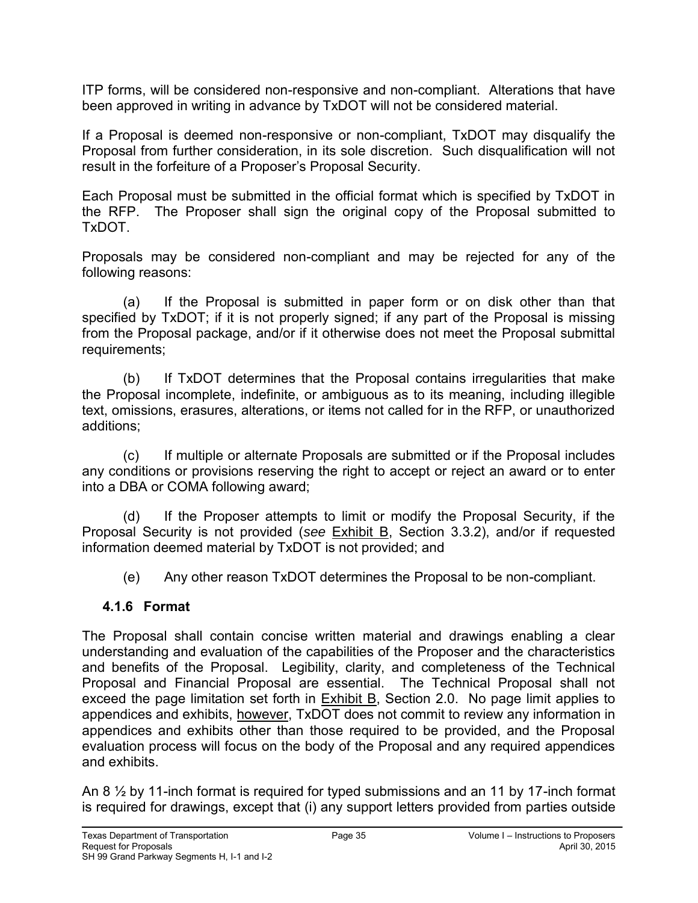ITP forms, will be considered non-responsive and non-compliant. Alterations that have been approved in writing in advance by TxDOT will not be considered material.

If a Proposal is deemed non-responsive or non-compliant, TxDOT may disqualify the Proposal from further consideration, in its sole discretion. Such disqualification will not result in the forfeiture of a Proposer's Proposal Security.

Each Proposal must be submitted in the official format which is specified by TxDOT in the RFP. The Proposer shall sign the original copy of the Proposal submitted to TxDOT.

Proposals may be considered non-compliant and may be rejected for any of the following reasons:

(a) If the Proposal is submitted in paper form or on disk other than that specified by TxDOT; if it is not properly signed; if any part of the Proposal is missing from the Proposal package, and/or if it otherwise does not meet the Proposal submittal requirements;

(b) If TxDOT determines that the Proposal contains irregularities that make the Proposal incomplete, indefinite, or ambiguous as to its meaning, including illegible text, omissions, erasures, alterations, or items not called for in the RFP, or unauthorized additions;

(c) If multiple or alternate Proposals are submitted or if the Proposal includes any conditions or provisions reserving the right to accept or reject an award or to enter into a DBA or COMA following award;

(d) If the Proposer attempts to limit or modify the Proposal Security, if the Proposal Security is not provided (*see* Exhibit B, Section 3.3.2), and/or if requested information deemed material by TxDOT is not provided; and

(e) Any other reason TxDOT determines the Proposal to be non-compliant.

### **4.1.6 Format**

The Proposal shall contain concise written material and drawings enabling a clear understanding and evaluation of the capabilities of the Proposer and the characteristics and benefits of the Proposal. Legibility, clarity, and completeness of the Technical Proposal and Financial Proposal are essential. The Technical Proposal shall not exceed the page limitation set forth in  $Exhibit B$ , Section 2.0. No page limit applies to appendices and exhibits, however, TxDOT does not commit to review any information in appendices and exhibits other than those required to be provided, and the Proposal evaluation process will focus on the body of the Proposal and any required appendices and exhibits.

An 8 ½ by 11-inch format is required for typed submissions and an 11 by 17-inch format is required for drawings, except that (i) any support letters provided from parties outside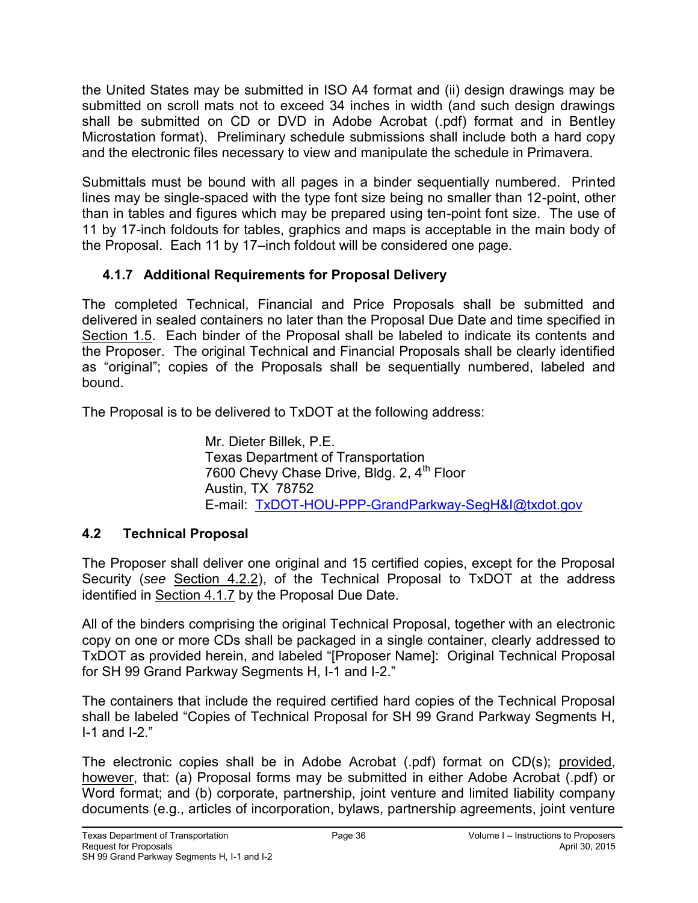the United States may be submitted in ISO A4 format and (ii) design drawings may be submitted on scroll mats not to exceed 34 inches in width (and such design drawings shall be submitted on CD or DVD in Adobe Acrobat (.pdf) format and in Bentley Microstation format). Preliminary schedule submissions shall include both a hard copy and the electronic files necessary to view and manipulate the schedule in Primavera.

Submittals must be bound with all pages in a binder sequentially numbered. Printed lines may be single-spaced with the type font size being no smaller than 12-point, other than in tables and figures which may be prepared using ten-point font size. The use of 11 by 17-inch foldouts for tables, graphics and maps is acceptable in the main body of the Proposal. Each 11 by 17–inch foldout will be considered one page.

# **4.1.7 Additional Requirements for Proposal Delivery**

The completed Technical, Financial and Price Proposals shall be submitted and delivered in sealed containers no later than the Proposal Due Date and time specified in Section 1.5. Each binder of the Proposal shall be labeled to indicate its contents and the Proposer. The original Technical and Financial Proposals shall be clearly identified as "original"; copies of the Proposals shall be sequentially numbered, labeled and bound.

The Proposal is to be delivered to TxDOT at the following address:

Mr. Dieter Billek, P.E. Texas Department of Transportation 7600 Chevy Chase Drive, Bldg. 2, 4<sup>th</sup> Floor Austin, TX 78752 E-mail: [TxDOT-HOU-PPP-GrandParkway-SegH&I@txdot.gov](mailto:TxDOT-HOU-PPP-GrandParkway-SegH&I@txdot.gov)

# **4.2 Technical Proposal**

The Proposer shall deliver one original and 15 certified copies, except for the Proposal Security (*see* Section 4.2.2), of the Technical Proposal to TxDOT at the address identified in Section 4.1.7 by the Proposal Due Date.

All of the binders comprising the original Technical Proposal, together with an electronic copy on one or more CDs shall be packaged in a single container, clearly addressed to TxDOT as provided herein, and labeled "[Proposer Name]: Original Technical Proposal for SH 99 Grand Parkway Segments H, I-1 and I-2."

The containers that include the required certified hard copies of the Technical Proposal shall be labeled "Copies of Technical Proposal for SH 99 Grand Parkway Segments H, I-1 and I-2."

The electronic copies shall be in Adobe Acrobat (.pdf) format on CD(s); provided, however, that: (a) Proposal forms may be submitted in either Adobe Acrobat (.pdf) or Word format; and (b) corporate, partnership, joint venture and limited liability company documents (e.g., articles of incorporation, bylaws, partnership agreements, joint venture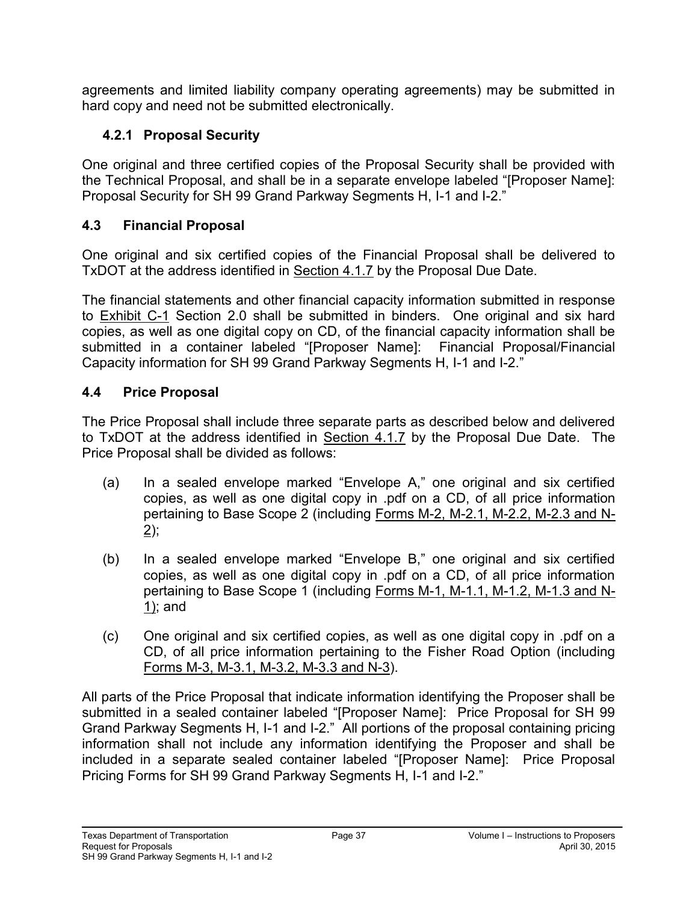agreements and limited liability company operating agreements) may be submitted in hard copy and need not be submitted electronically.

# **4.2.1 Proposal Security**

One original and three certified copies of the Proposal Security shall be provided with the Technical Proposal, and shall be in a separate envelope labeled "[Proposer Name]: Proposal Security for SH 99 Grand Parkway Segments H, I-1 and I-2."

### **4.3 Financial Proposal**

One original and six certified copies of the Financial Proposal shall be delivered to TxDOT at the address identified in Section 4.1.7 by the Proposal Due Date.

The financial statements and other financial capacity information submitted in response to Exhibit C-1 Section 2.0 shall be submitted in binders. One original and six hard copies, as well as one digital copy on CD, of the financial capacity information shall be submitted in a container labeled "[Proposer Name]: Financial Proposal/Financial Capacity information for SH 99 Grand Parkway Segments H, I-1 and I-2."

### **4.4 Price Proposal**

The Price Proposal shall include three separate parts as described below and delivered to TxDOT at the address identified in Section 4.1.7 by the Proposal Due Date. The Price Proposal shall be divided as follows:

- (a) In a sealed envelope marked "Envelope A," one original and six certified copies, as well as one digital copy in .pdf on a CD, of all price information pertaining to Base Scope 2 (including Forms M-2, M-2.1, M-2.2, M-2.3 and N- $2)$ ;
- (b) In a sealed envelope marked "Envelope B," one original and six certified copies, as well as one digital copy in .pdf on a CD, of all price information pertaining to Base Scope 1 (including Forms M-1, M-1.1, M-1.2, M-1.3 and N-1); and
- (c) One original and six certified copies, as well as one digital copy in .pdf on a CD, of all price information pertaining to the Fisher Road Option (including Forms M-3, M-3.1, M-3.2, M-3.3 and N-3).

All parts of the Price Proposal that indicate information identifying the Proposer shall be submitted in a sealed container labeled "[Proposer Name]: Price Proposal for SH 99 Grand Parkway Segments H, I-1 and I-2." All portions of the proposal containing pricing information shall not include any information identifying the Proposer and shall be included in a separate sealed container labeled "[Proposer Name]: Price Proposal Pricing Forms for SH 99 Grand Parkway Segments H, I-1 and I-2."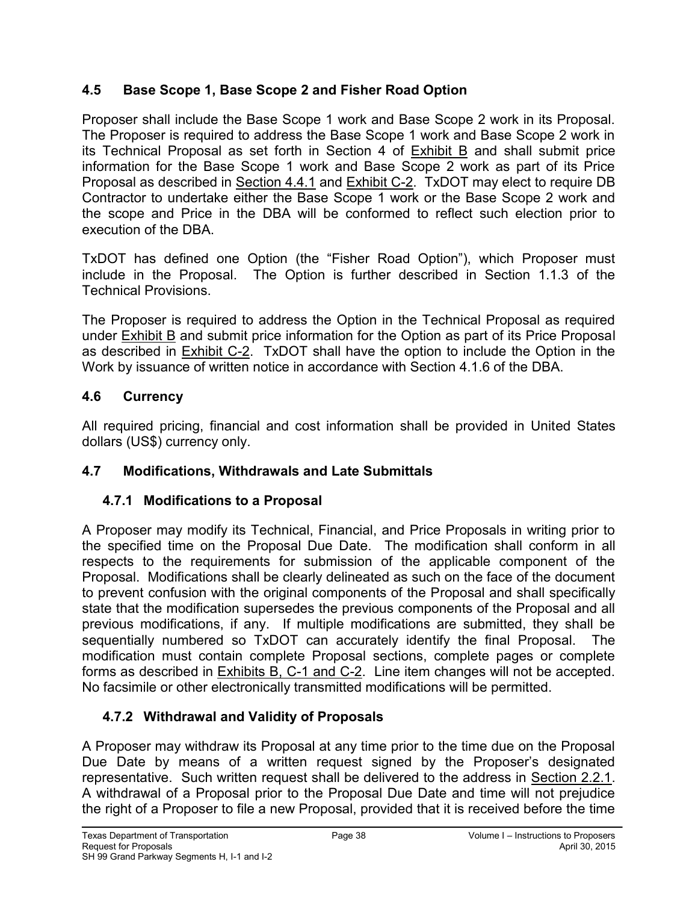### **4.5 Base Scope 1, Base Scope 2 and Fisher Road Option**

Proposer shall include the Base Scope 1 work and Base Scope 2 work in its Proposal. The Proposer is required to address the Base Scope 1 work and Base Scope 2 work in its Technical Proposal as set forth in Section 4 of Exhibit B and shall submit price information for the Base Scope 1 work and Base Scope 2 work as part of its Price Proposal as described in Section 4.4.1 and Exhibit C-2. TxDOT may elect to require DB Contractor to undertake either the Base Scope 1 work or the Base Scope 2 work and the scope and Price in the DBA will be conformed to reflect such election prior to execution of the DBA.

TxDOT has defined one Option (the "Fisher Road Option"), which Proposer must include in the Proposal. The Option is further described in Section 1.1.3 of the Technical Provisions.

The Proposer is required to address the Option in the Technical Proposal as required under Exhibit B and submit price information for the Option as part of its Price Proposal as described in Exhibit C-2. TxDOT shall have the option to include the Option in the Work by issuance of written notice in accordance with Section 4.1.6 of the DBA.

### **4.6 Currency**

All required pricing, financial and cost information shall be provided in United States dollars (US\$) currency only.

# **4.7 Modifications, Withdrawals and Late Submittals**

# **4.7.1 Modifications to a Proposal**

A Proposer may modify its Technical, Financial, and Price Proposals in writing prior to the specified time on the Proposal Due Date. The modification shall conform in all respects to the requirements for submission of the applicable component of the Proposal. Modifications shall be clearly delineated as such on the face of the document to prevent confusion with the original components of the Proposal and shall specifically state that the modification supersedes the previous components of the Proposal and all previous modifications, if any. If multiple modifications are submitted, they shall be sequentially numbered so TxDOT can accurately identify the final Proposal. The modification must contain complete Proposal sections, complete pages or complete forms as described in Exhibits B, C-1 and C-2. Line item changes will not be accepted. No facsimile or other electronically transmitted modifications will be permitted.

# **4.7.2 Withdrawal and Validity of Proposals**

A Proposer may withdraw its Proposal at any time prior to the time due on the Proposal Due Date by means of a written request signed by the Proposer's designated representative. Such written request shall be delivered to the address in Section 2.2.1. A withdrawal of a Proposal prior to the Proposal Due Date and time will not prejudice the right of a Proposer to file a new Proposal, provided that it is received before the time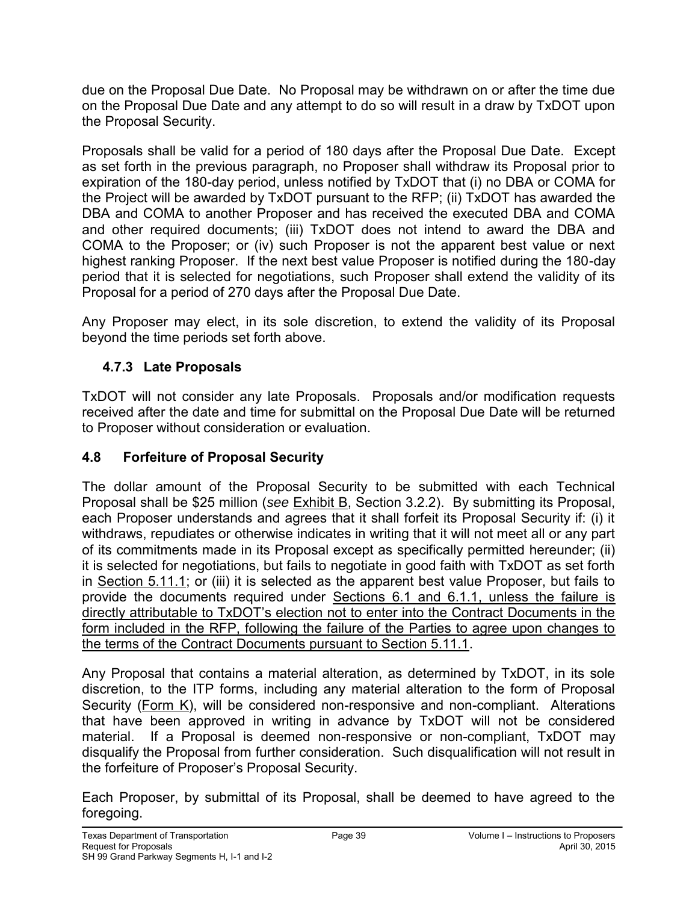due on the Proposal Due Date. No Proposal may be withdrawn on or after the time due on the Proposal Due Date and any attempt to do so will result in a draw by TxDOT upon the Proposal Security.

Proposals shall be valid for a period of 180 days after the Proposal Due Date. Except as set forth in the previous paragraph, no Proposer shall withdraw its Proposal prior to expiration of the 180-day period, unless notified by TxDOT that (i) no DBA or COMA for the Project will be awarded by TxDOT pursuant to the RFP; (ii) TxDOT has awarded the DBA and COMA to another Proposer and has received the executed DBA and COMA and other required documents; (iii) TxDOT does not intend to award the DBA and COMA to the Proposer; or (iv) such Proposer is not the apparent best value or next highest ranking Proposer. If the next best value Proposer is notified during the 180-day period that it is selected for negotiations, such Proposer shall extend the validity of its Proposal for a period of 270 days after the Proposal Due Date.

Any Proposer may elect, in its sole discretion, to extend the validity of its Proposal beyond the time periods set forth above.

# **4.7.3 Late Proposals**

TxDOT will not consider any late Proposals. Proposals and/or modification requests received after the date and time for submittal on the Proposal Due Date will be returned to Proposer without consideration or evaluation.

### **4.8 Forfeiture of Proposal Security**

The dollar amount of the Proposal Security to be submitted with each Technical Proposal shall be \$25 million (*see* Exhibit B, Section 3.2.2). By submitting its Proposal, each Proposer understands and agrees that it shall forfeit its Proposal Security if: (i) it withdraws, repudiates or otherwise indicates in writing that it will not meet all or any part of its commitments made in its Proposal except as specifically permitted hereunder; (ii) it is selected for negotiations, but fails to negotiate in good faith with TxDOT as set forth in Section 5.11.1; or (iii) it is selected as the apparent best value Proposer, but fails to provide the documents required under Sections 6.1 and 6.1.1, unless the failure is directly attributable to TxDOT's election not to enter into the Contract Documents in the form included in the RFP, following the failure of the Parties to agree upon changes to the terms of the Contract Documents pursuant to Section 5.11.1.

Any Proposal that contains a material alteration, as determined by TxDOT, in its sole discretion, to the ITP forms, including any material alteration to the form of Proposal Security (Form K), will be considered non-responsive and non-compliant. Alterations that have been approved in writing in advance by TxDOT will not be considered material. If a Proposal is deemed non-responsive or non-compliant, TxDOT may disqualify the Proposal from further consideration. Such disqualification will not result in the forfeiture of Proposer's Proposal Security.

Each Proposer, by submittal of its Proposal, shall be deemed to have agreed to the foregoing.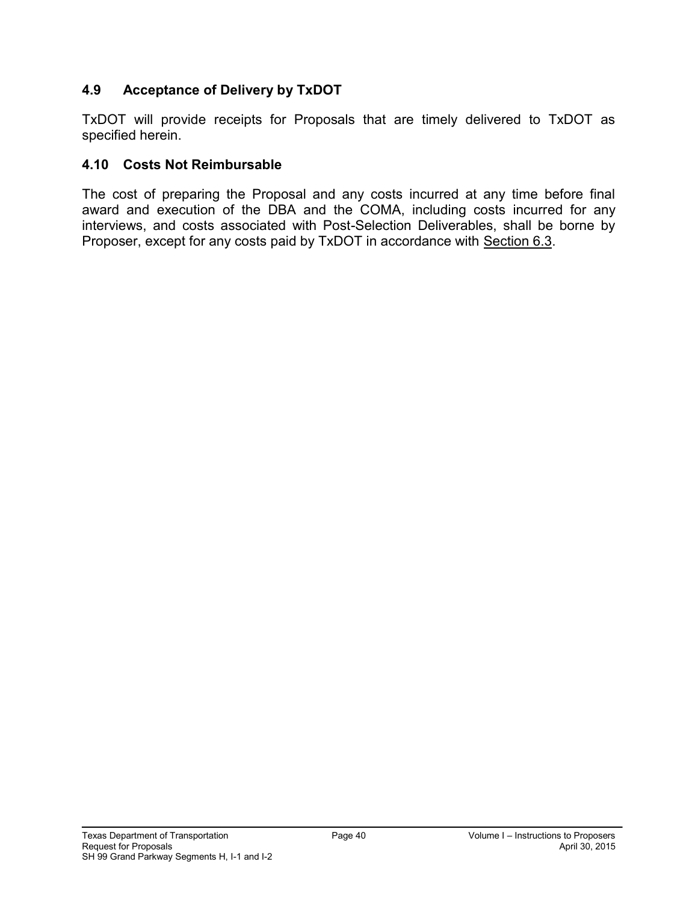### **4.9 Acceptance of Delivery by TxDOT**

TxDOT will provide receipts for Proposals that are timely delivered to TxDOT as specified herein.

#### **4.10 Costs Not Reimbursable**

The cost of preparing the Proposal and any costs incurred at any time before final award and execution of the DBA and the COMA, including costs incurred for any interviews, and costs associated with Post-Selection Deliverables, shall be borne by Proposer, except for any costs paid by TxDOT in accordance with Section 6.3.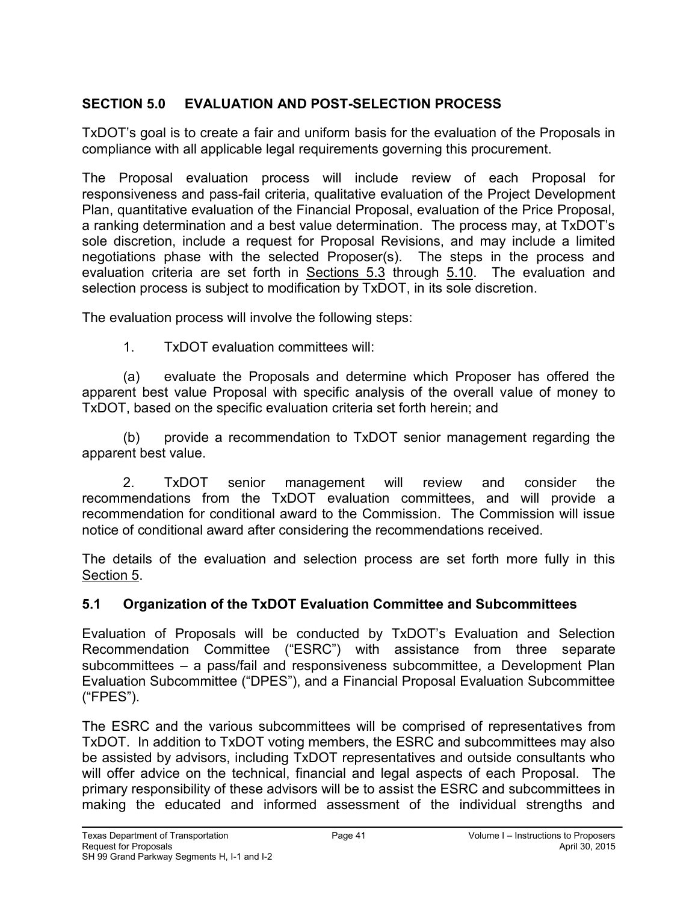### **SECTION 5.0 EVALUATION AND POST-SELECTION PROCESS**

TxDOT's goal is to create a fair and uniform basis for the evaluation of the Proposals in compliance with all applicable legal requirements governing this procurement.

The Proposal evaluation process will include review of each Proposal for responsiveness and pass-fail criteria, qualitative evaluation of the Project Development Plan, quantitative evaluation of the Financial Proposal, evaluation of the Price Proposal, a ranking determination and a best value determination. The process may, at TxDOT's sole discretion, include a request for Proposal Revisions, and may include a limited negotiations phase with the selected Proposer(s). The steps in the process and evaluation criteria are set forth in Sections 5.3 through 5.10. The evaluation and selection process is subject to modification by TxDOT, in its sole discretion.

The evaluation process will involve the following steps:

1. TxDOT evaluation committees will:

(a) evaluate the Proposals and determine which Proposer has offered the apparent best value Proposal with specific analysis of the overall value of money to TxDOT, based on the specific evaluation criteria set forth herein; and

(b) provide a recommendation to TxDOT senior management regarding the apparent best value.

2. TxDOT senior management will review and consider the recommendations from the TxDOT evaluation committees, and will provide a recommendation for conditional award to the Commission. The Commission will issue notice of conditional award after considering the recommendations received.

The details of the evaluation and selection process are set forth more fully in this Section 5.

# **5.1 Organization of the TxDOT Evaluation Committee and Subcommittees**

Evaluation of Proposals will be conducted by TxDOT's Evaluation and Selection Recommendation Committee ("ESRC") with assistance from three separate subcommittees – a pass/fail and responsiveness subcommittee, a Development Plan Evaluation Subcommittee ("DPES"), and a Financial Proposal Evaluation Subcommittee ("FPES").

The ESRC and the various subcommittees will be comprised of representatives from TxDOT. In addition to TxDOT voting members, the ESRC and subcommittees may also be assisted by advisors, including TxDOT representatives and outside consultants who will offer advice on the technical, financial and legal aspects of each Proposal. The primary responsibility of these advisors will be to assist the ESRC and subcommittees in making the educated and informed assessment of the individual strengths and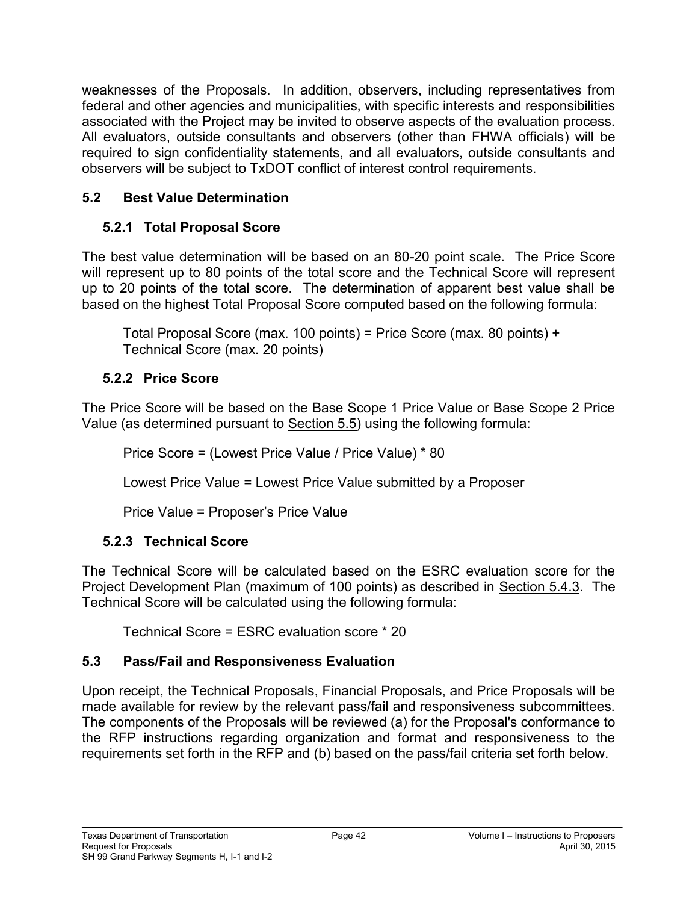weaknesses of the Proposals. In addition, observers, including representatives from federal and other agencies and municipalities, with specific interests and responsibilities associated with the Project may be invited to observe aspects of the evaluation process. All evaluators, outside consultants and observers (other than FHWA officials) will be required to sign confidentiality statements, and all evaluators, outside consultants and observers will be subject to TxDOT conflict of interest control requirements.

# **5.2 Best Value Determination**

# **5.2.1 Total Proposal Score**

The best value determination will be based on an 80-20 point scale. The Price Score will represent up to 80 points of the total score and the Technical Score will represent up to 20 points of the total score. The determination of apparent best value shall be based on the highest Total Proposal Score computed based on the following formula:

Total Proposal Score (max. 100 points) = Price Score (max. 80 points) + Technical Score (max. 20 points)

# **5.2.2 Price Score**

The Price Score will be based on the Base Scope 1 Price Value or Base Scope 2 Price Value (as determined pursuant to Section 5.5) using the following formula:

Price Score = (Lowest Price Value / Price Value) \* 80

Lowest Price Value = Lowest Price Value submitted by a Proposer

Price Value = Proposer's Price Value

# **5.2.3 Technical Score**

The Technical Score will be calculated based on the ESRC evaluation score for the Project Development Plan (maximum of 100 points) as described in Section 5.4.3. The Technical Score will be calculated using the following formula:

Technical Score = ESRC evaluation score \* 20

# **5.3 Pass/Fail and Responsiveness Evaluation**

Upon receipt, the Technical Proposals, Financial Proposals, and Price Proposals will be made available for review by the relevant pass/fail and responsiveness subcommittees. The components of the Proposals will be reviewed (a) for the Proposal's conformance to the RFP instructions regarding organization and format and responsiveness to the requirements set forth in the RFP and (b) based on the pass/fail criteria set forth below.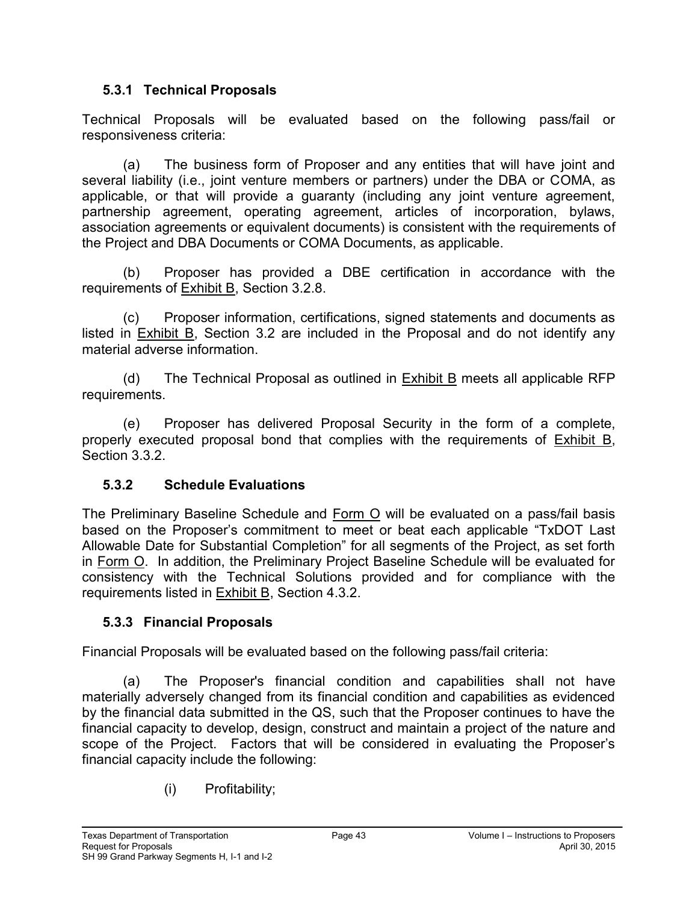### **5.3.1 Technical Proposals**

Technical Proposals will be evaluated based on the following pass/fail or responsiveness criteria:

(a) The business form of Proposer and any entities that will have joint and several liability (i.e., joint venture members or partners) under the DBA or COMA, as applicable, or that will provide a guaranty (including any joint venture agreement, partnership agreement, operating agreement, articles of incorporation, bylaws, association agreements or equivalent documents) is consistent with the requirements of the Project and DBA Documents or COMA Documents, as applicable.

(b) Proposer has provided a DBE certification in accordance with the requirements of Exhibit B, Section 3.2.8.

(c) Proposer information, certifications, signed statements and documents as listed in Exhibit B, Section 3.2 are included in the Proposal and do not identify any material adverse information.

(d) The Technical Proposal as outlined in Exhibit B meets all applicable RFP requirements.

(e) Proposer has delivered Proposal Security in the form of a complete, properly executed proposal bond that complies with the requirements of Exhibit B, Section 3.3.2.

# **5.3.2 Schedule Evaluations**

The Preliminary Baseline Schedule and Form O will be evaluated on a pass/fail basis based on the Proposer's commitment to meet or beat each applicable "TxDOT Last Allowable Date for Substantial Completion" for all segments of the Project, as set forth in Form O. In addition, the Preliminary Project Baseline Schedule will be evaluated for consistency with the Technical Solutions provided and for compliance with the requirements listed in Exhibit B, Section 4.3.2.

### **5.3.3 Financial Proposals**

Financial Proposals will be evaluated based on the following pass/fail criteria:

(a) The Proposer's financial condition and capabilities shall not have materially adversely changed from its financial condition and capabilities as evidenced by the financial data submitted in the QS, such that the Proposer continues to have the financial capacity to develop, design, construct and maintain a project of the nature and scope of the Project. Factors that will be considered in evaluating the Proposer's financial capacity include the following:

(i) Profitability;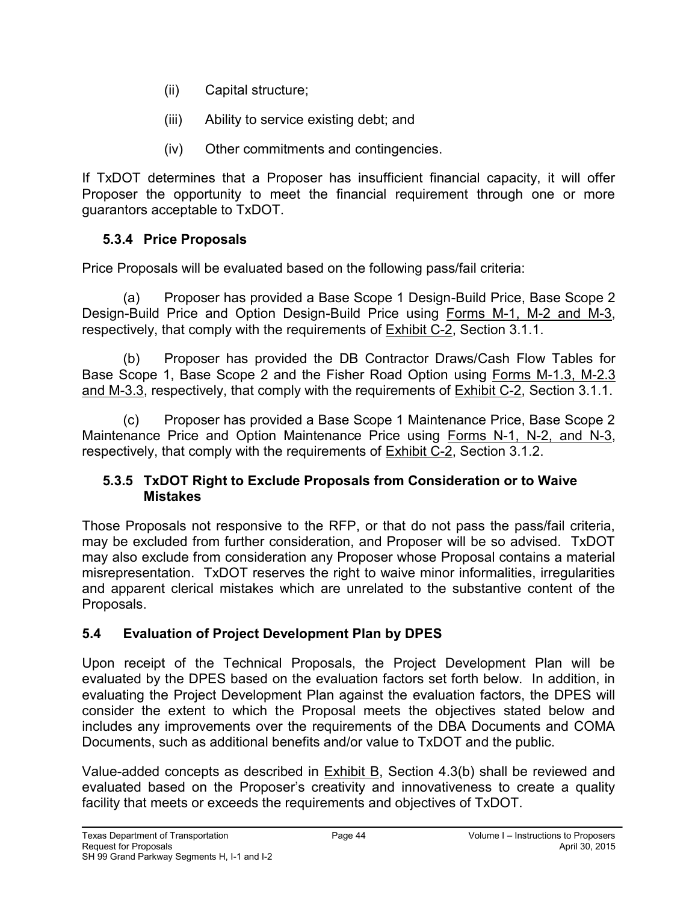- (ii) Capital structure;
- (iii) Ability to service existing debt; and
- (iv) Other commitments and contingencies.

If TxDOT determines that a Proposer has insufficient financial capacity, it will offer Proposer the opportunity to meet the financial requirement through one or more guarantors acceptable to TxDOT.

# **5.3.4 Price Proposals**

Price Proposals will be evaluated based on the following pass/fail criteria:

(a) Proposer has provided a Base Scope 1 Design-Build Price, Base Scope 2 Design-Build Price and Option Design-Build Price using Forms M-1, M-2 and M-3, respectively, that comply with the requirements of Exhibit C-2, Section 3.1.1.

(b) Proposer has provided the DB Contractor Draws/Cash Flow Tables for Base Scope 1, Base Scope 2 and the Fisher Road Option using Forms M-1.3, M-2.3 and M-3.3, respectively, that comply with the requirements of Exhibit C-2, Section 3.1.1.

(c) Proposer has provided a Base Scope 1 Maintenance Price, Base Scope 2 Maintenance Price and Option Maintenance Price using Forms N-1, N-2, and N-3, respectively, that comply with the requirements of Exhibit C-2, Section 3.1.2.

#### **5.3.5 TxDOT Right to Exclude Proposals from Consideration or to Waive Mistakes**

Those Proposals not responsive to the RFP, or that do not pass the pass/fail criteria, may be excluded from further consideration, and Proposer will be so advised. TxDOT may also exclude from consideration any Proposer whose Proposal contains a material misrepresentation. TxDOT reserves the right to waive minor informalities, irregularities and apparent clerical mistakes which are unrelated to the substantive content of the Proposals.

# **5.4 Evaluation of Project Development Plan by DPES**

Upon receipt of the Technical Proposals, the Project Development Plan will be evaluated by the DPES based on the evaluation factors set forth below. In addition, in evaluating the Project Development Plan against the evaluation factors, the DPES will consider the extent to which the Proposal meets the objectives stated below and includes any improvements over the requirements of the DBA Documents and COMA Documents, such as additional benefits and/or value to TxDOT and the public.

Value-added concepts as described in Exhibit B, Section 4.3(b) shall be reviewed and evaluated based on the Proposer's creativity and innovativeness to create a quality facility that meets or exceeds the requirements and objectives of TxDOT.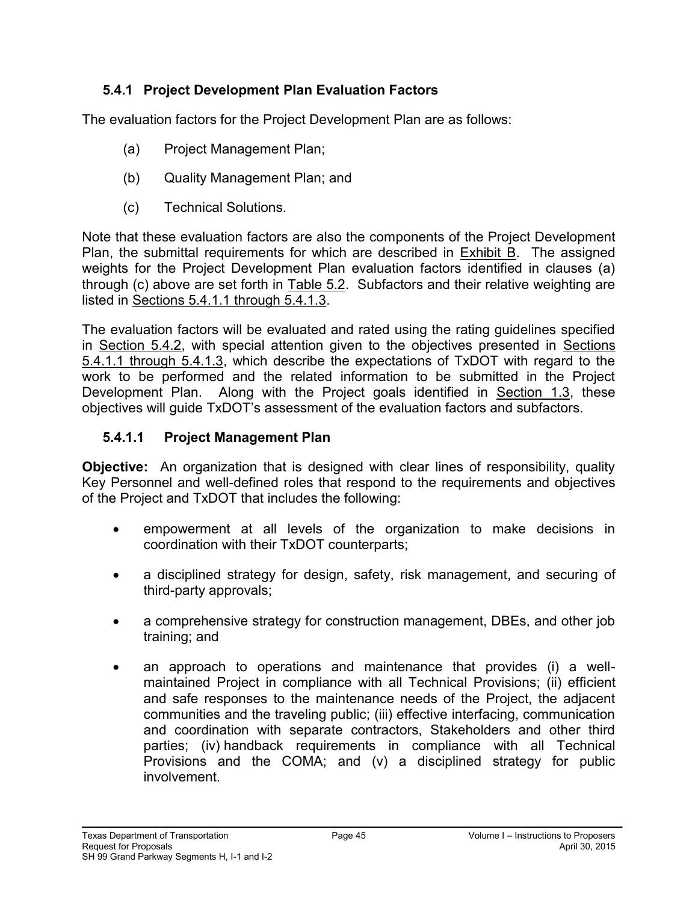### **5.4.1 Project Development Plan Evaluation Factors**

The evaluation factors for the Project Development Plan are as follows:

- (a) Project Management Plan;
- (b) Quality Management Plan; and
- (c) Technical Solutions.

Note that these evaluation factors are also the components of the Project Development Plan, the submittal requirements for which are described in Exhibit B. The assigned weights for the Project Development Plan evaluation factors identified in clauses (a) through (c) above are set forth in Table 5.2. Subfactors and their relative weighting are listed in Sections 5.4.1.1 through 5.4.1.3.

The evaluation factors will be evaluated and rated using the rating guidelines specified in Section 5.4.2, with special attention given to the objectives presented in Sections 5.4.1.1 through 5.4.1.3, which describe the expectations of TxDOT with regard to the work to be performed and the related information to be submitted in the Project Development Plan. Along with the Project goals identified in Section 1.3, these objectives will guide TxDOT's assessment of the evaluation factors and subfactors.

#### **5.4.1.1 Project Management Plan**

**Objective:** An organization that is designed with clear lines of responsibility, quality Key Personnel and well-defined roles that respond to the requirements and objectives of the Project and TxDOT that includes the following:

- empowerment at all levels of the organization to make decisions in coordination with their TxDOT counterparts;
- a disciplined strategy for design, safety, risk management, and securing of third-party approvals;
- a comprehensive strategy for construction management, DBEs, and other job training; and
- an approach to operations and maintenance that provides (i) a wellmaintained Project in compliance with all Technical Provisions; (ii) efficient and safe responses to the maintenance needs of the Project, the adjacent communities and the traveling public; (iii) effective interfacing, communication and coordination with separate contractors, Stakeholders and other third parties; (iv) handback requirements in compliance with all Technical Provisions and the COMA; and (v) a disciplined strategy for public involvement.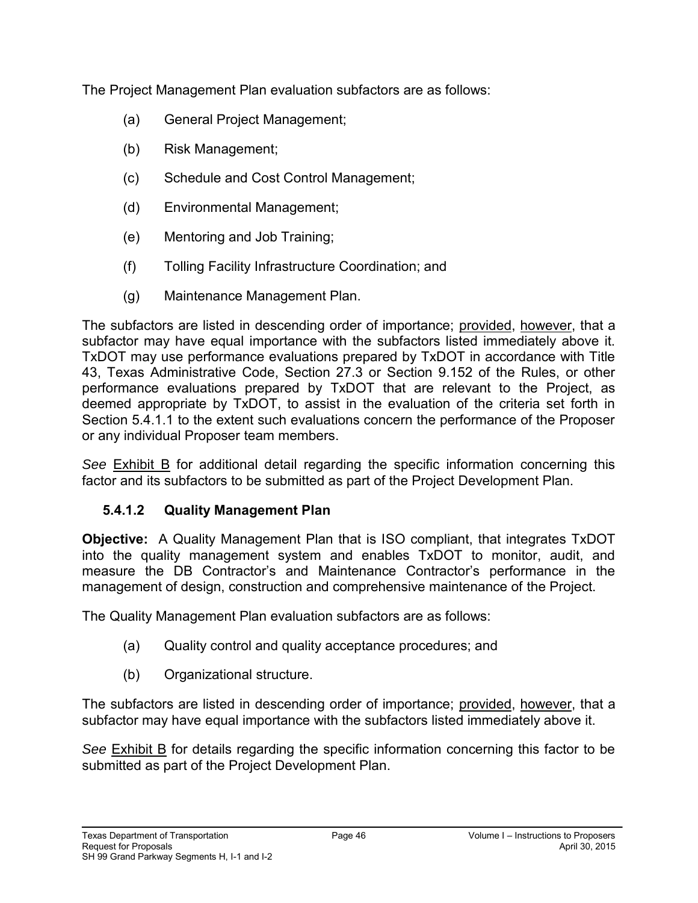The Project Management Plan evaluation subfactors are as follows:

- (a) General Project Management;
- (b) Risk Management;
- (c) Schedule and Cost Control Management;
- (d) Environmental Management;
- (e) Mentoring and Job Training;
- (f) Tolling Facility Infrastructure Coordination; and
- (g) Maintenance Management Plan.

The subfactors are listed in descending order of importance; provided, however, that a subfactor may have equal importance with the subfactors listed immediately above it. TxDOT may use performance evaluations prepared by TxDOT in accordance with Title 43, Texas Administrative Code, Section 27.3 or Section 9.152 of the Rules, or other performance evaluations prepared by TxDOT that are relevant to the Project, as deemed appropriate by TxDOT, to assist in the evaluation of the criteria set forth in Section 5.4.1.1 to the extent such evaluations concern the performance of the Proposer or any individual Proposer team members.

*See* Exhibit B for additional detail regarding the specific information concerning this factor and its subfactors to be submitted as part of the Project Development Plan.

### **5.4.1.2 Quality Management Plan**

**Objective:** A Quality Management Plan that is ISO compliant, that integrates TxDOT into the quality management system and enables TxDOT to monitor, audit, and measure the DB Contractor's and Maintenance Contractor's performance in the management of design, construction and comprehensive maintenance of the Project.

The Quality Management Plan evaluation subfactors are as follows:

- (a) Quality control and quality acceptance procedures; and
- (b) Organizational structure.

The subfactors are listed in descending order of importance; provided, however, that a subfactor may have equal importance with the subfactors listed immediately above it.

*See* Exhibit B for details regarding the specific information concerning this factor to be submitted as part of the Project Development Plan.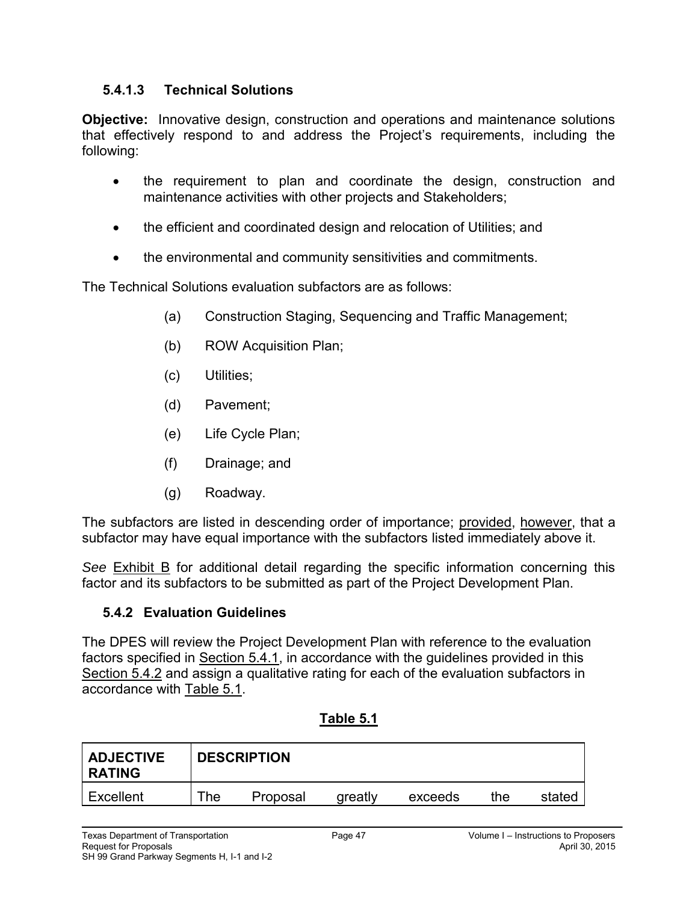### **5.4.1.3 Technical Solutions**

**Objective:** Innovative design, construction and operations and maintenance solutions that effectively respond to and address the Project's requirements, including the following:

- the requirement to plan and coordinate the design, construction and maintenance activities with other projects and Stakeholders;
- the efficient and coordinated design and relocation of Utilities; and
- the environmental and community sensitivities and commitments.

The Technical Solutions evaluation subfactors are as follows:

- (a) Construction Staging, Sequencing and Traffic Management;
- (b) ROW Acquisition Plan;
- (c) Utilities;
- (d) Pavement;
- (e) Life Cycle Plan;
- (f) Drainage; and
- (g) Roadway.

The subfactors are listed in descending order of importance; provided, however, that a subfactor may have equal importance with the subfactors listed immediately above it.

*See* Exhibit B for additional detail regarding the specific information concerning this factor and its subfactors to be submitted as part of the Project Development Plan.

### **5.4.2 Evaluation Guidelines**

The DPES will review the Project Development Plan with reference to the evaluation factors specified in Section 5.4.1, in accordance with the guidelines provided in this Section 5.4.2 and assign a qualitative rating for each of the evaluation subfactors in accordance with Table 5.1.

| <b>ADJECTIVE</b><br><b>RATING</b> | <b>DESCRIPTION</b> |          |         |         |     |        |
|-----------------------------------|--------------------|----------|---------|---------|-----|--------|
| Excellent                         | The                | Proposal | greatly | exceeds | the | stated |

#### **Table 5.1**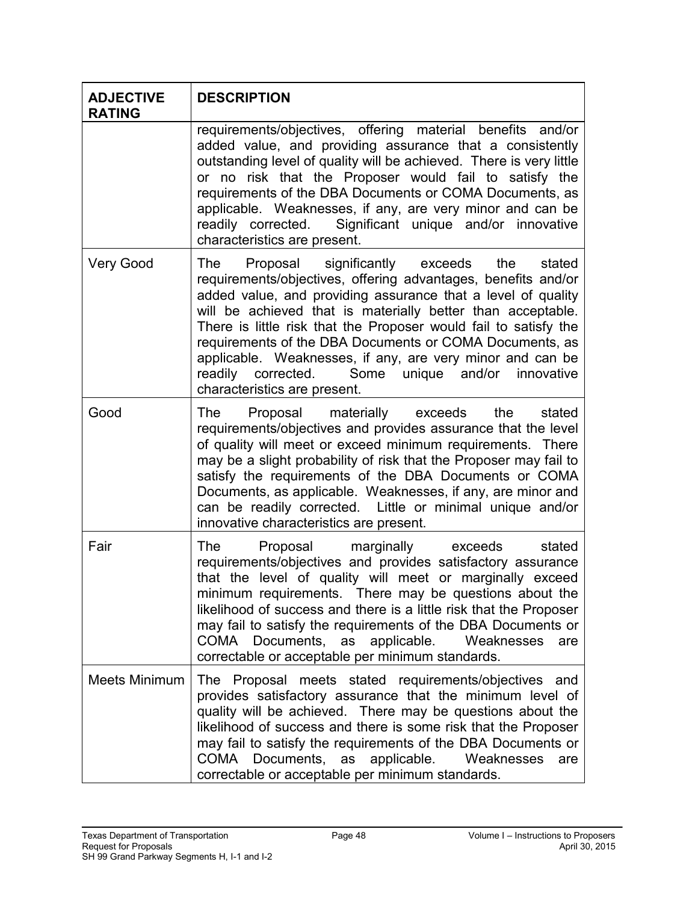| <b>ADJECTIVE</b><br><b>RATING</b> | <b>DESCRIPTION</b>                                                                                                                                                                                                                                                                                                                                                                                                                                                                                                                     |
|-----------------------------------|----------------------------------------------------------------------------------------------------------------------------------------------------------------------------------------------------------------------------------------------------------------------------------------------------------------------------------------------------------------------------------------------------------------------------------------------------------------------------------------------------------------------------------------|
|                                   | requirements/objectives, offering material benefits and/or<br>added value, and providing assurance that a consistently<br>outstanding level of quality will be achieved. There is very little<br>or no risk that the Proposer would fail to satisfy the<br>requirements of the DBA Documents or COMA Documents, as<br>applicable. Weaknesses, if any, are very minor and can be<br>readily corrected. Significant unique and/or innovative<br>characteristics are present.                                                             |
| <b>Very Good</b>                  | Proposal significantly exceeds<br>The<br>the<br>stated<br>requirements/objectives, offering advantages, benefits and/or<br>added value, and providing assurance that a level of quality<br>will be achieved that is materially better than acceptable.<br>There is little risk that the Proposer would fail to satisfy the<br>requirements of the DBA Documents or COMA Documents, as<br>applicable. Weaknesses, if any, are very minor and can be<br>readily corrected. Some unique and/or innovative<br>characteristics are present. |
| Good                              | Proposal materially exceeds<br>the<br>The<br>stated<br>requirements/objectives and provides assurance that the level<br>of quality will meet or exceed minimum requirements. There<br>may be a slight probability of risk that the Proposer may fail to<br>satisfy the requirements of the DBA Documents or COMA<br>Documents, as applicable. Weaknesses, if any, are minor and<br>can be readily corrected. Little or minimal unique and/or<br>innovative characteristics are present.                                                |
| Fair                              | The Proposal marginally exceeds<br>stated<br>requirements/objectives and provides satisfactory assurance<br>that the level of quality will meet or marginally exceed<br>minimum requirements. There may be questions about the<br>likelihood of success and there is a little risk that the Proposer<br>may fail to satisfy the requirements of the DBA Documents or<br>COMA Documents, as applicable.<br>Weaknesses<br>are<br>correctable or acceptable per minimum standards.                                                        |
| <b>Meets Minimum</b>              | The Proposal meets stated requirements/objectives and<br>provides satisfactory assurance that the minimum level of<br>quality will be achieved. There may be questions about the<br>likelihood of success and there is some risk that the Proposer<br>may fail to satisfy the requirements of the DBA Documents or<br>COMA Documents, as applicable.<br>Weaknesses<br>are<br>correctable or acceptable per minimum standards.                                                                                                          |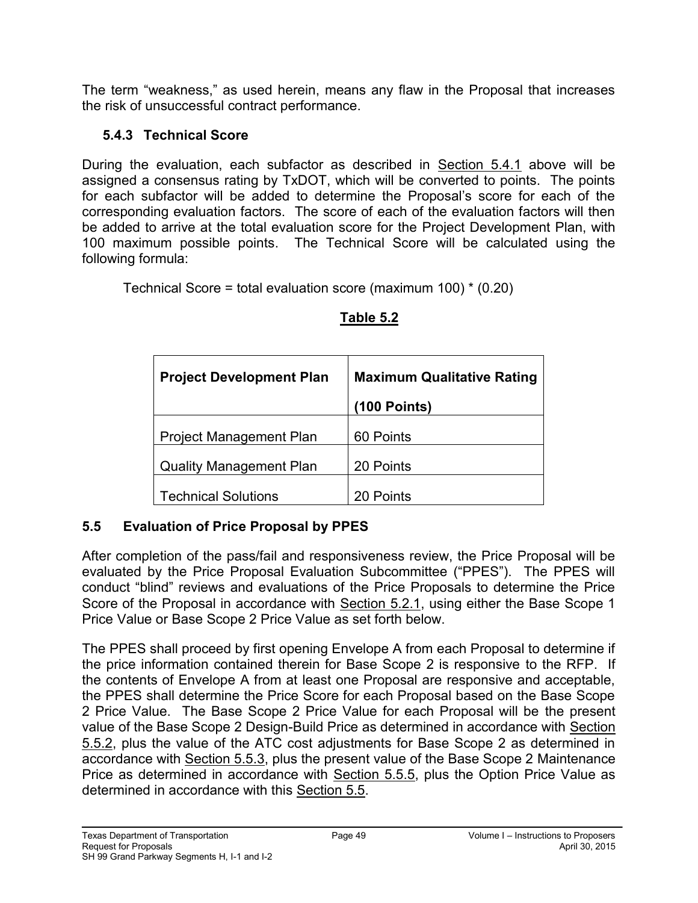The term "weakness," as used herein, means any flaw in the Proposal that increases the risk of unsuccessful contract performance.

# **5.4.3 Technical Score**

During the evaluation, each subfactor as described in Section 5.4.1 above will be assigned a consensus rating by TxDOT, which will be converted to points. The points for each subfactor will be added to determine the Proposal's score for each of the corresponding evaluation factors. The score of each of the evaluation factors will then be added to arrive at the total evaluation score for the Project Development Plan, with 100 maximum possible points. The Technical Score will be calculated using the following formula:

Technical Score = total evaluation score (maximum 100) \* (0.20)

| <b>Project Development Plan</b> | <b>Maximum Qualitative Rating</b> |  |  |
|---------------------------------|-----------------------------------|--|--|
|                                 | $(100$ Points)                    |  |  |
| <b>Project Management Plan</b>  | 60 Points                         |  |  |
| <b>Quality Management Plan</b>  | 20 Points                         |  |  |
| <b>Technical Solutions</b>      | 20 Points                         |  |  |

# **Table 5.2**

# **5.5 Evaluation of Price Proposal by PPES**

After completion of the pass/fail and responsiveness review, the Price Proposal will be evaluated by the Price Proposal Evaluation Subcommittee ("PPES"). The PPES will conduct "blind" reviews and evaluations of the Price Proposals to determine the Price Score of the Proposal in accordance with Section 5.2.1, using either the Base Scope 1 Price Value or Base Scope 2 Price Value as set forth below.

The PPES shall proceed by first opening Envelope A from each Proposal to determine if the price information contained therein for Base Scope 2 is responsive to the RFP. If the contents of Envelope A from at least one Proposal are responsive and acceptable, the PPES shall determine the Price Score for each Proposal based on the Base Scope 2 Price Value. The Base Scope 2 Price Value for each Proposal will be the present value of the Base Scope 2 Design-Build Price as determined in accordance with Section 5.5.2, plus the value of the ATC cost adjustments for Base Scope 2 as determined in accordance with Section 5.5.3, plus the present value of the Base Scope 2 Maintenance Price as determined in accordance with Section 5.5.5, plus the Option Price Value as determined in accordance with this Section 5.5.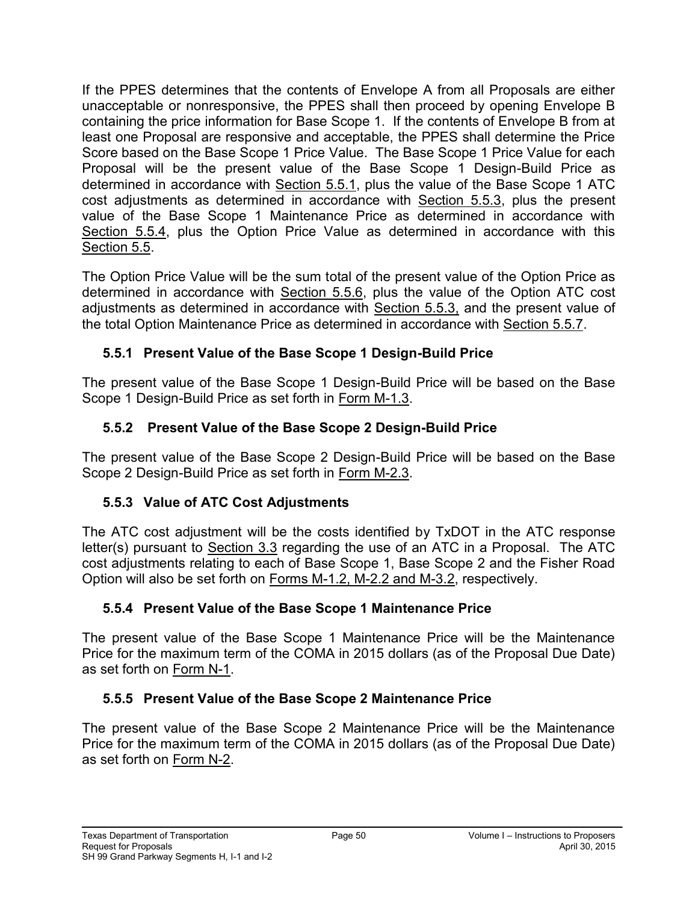If the PPES determines that the contents of Envelope A from all Proposals are either unacceptable or nonresponsive, the PPES shall then proceed by opening Envelope B containing the price information for Base Scope 1. If the contents of Envelope B from at least one Proposal are responsive and acceptable, the PPES shall determine the Price Score based on the Base Scope 1 Price Value. The Base Scope 1 Price Value for each Proposal will be the present value of the Base Scope 1 Design-Build Price as determined in accordance with Section 5.5.1, plus the value of the Base Scope 1 ATC cost adjustments as determined in accordance with Section 5.5.3, plus the present value of the Base Scope 1 Maintenance Price as determined in accordance with Section 5.5.4, plus the Option Price Value as determined in accordance with this Section 5.5.

The Option Price Value will be the sum total of the present value of the Option Price as determined in accordance with Section 5.5.6, plus the value of the Option ATC cost adjustments as determined in accordance with Section 5.5.3, and the present value of the total Option Maintenance Price as determined in accordance with Section 5.5.7.

# **5.5.1 Present Value of the Base Scope 1 Design-Build Price**

The present value of the Base Scope 1 Design-Build Price will be based on the Base Scope 1 Design-Build Price as set forth in Form M-1.3.

# **5.5.2 Present Value of the Base Scope 2 Design-Build Price**

The present value of the Base Scope 2 Design-Build Price will be based on the Base Scope 2 Design-Build Price as set forth in Form M-2.3.

# **5.5.3 Value of ATC Cost Adjustments**

The ATC cost adjustment will be the costs identified by TxDOT in the ATC response letter(s) pursuant to Section 3.3 regarding the use of an ATC in a Proposal. The ATC cost adjustments relating to each of Base Scope 1, Base Scope 2 and the Fisher Road Option will also be set forth on Forms M-1.2, M-2.2 and M-3.2, respectively.

# **5.5.4 Present Value of the Base Scope 1 Maintenance Price**

The present value of the Base Scope 1 Maintenance Price will be the Maintenance Price for the maximum term of the COMA in 2015 dollars (as of the Proposal Due Date) as set forth on Form N-1.

# **5.5.5 Present Value of the Base Scope 2 Maintenance Price**

The present value of the Base Scope 2 Maintenance Price will be the Maintenance Price for the maximum term of the COMA in 2015 dollars (as of the Proposal Due Date) as set forth on Form N-2.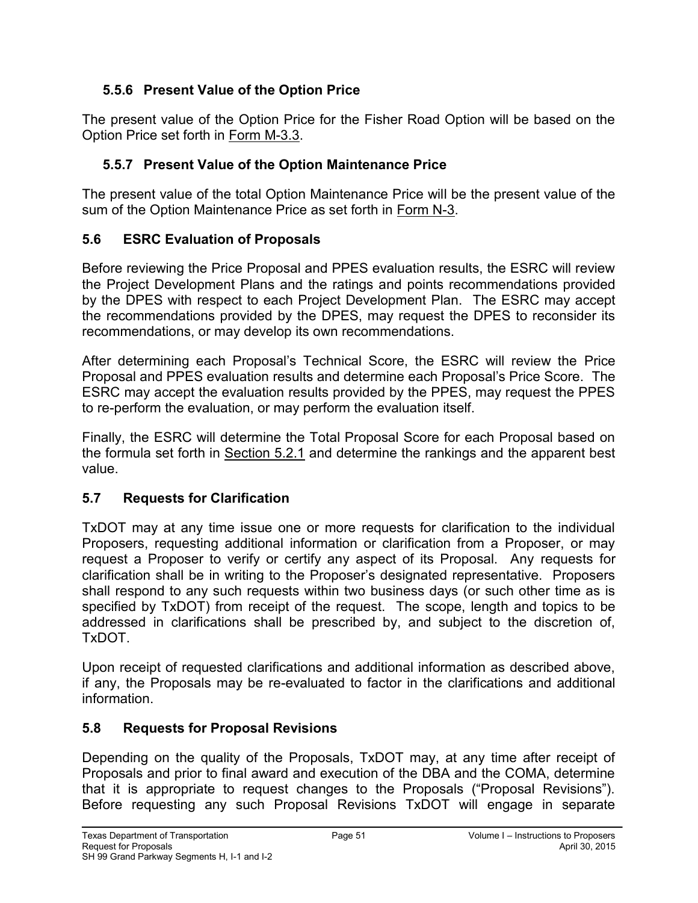# **5.5.6 Present Value of the Option Price**

The present value of the Option Price for the Fisher Road Option will be based on the Option Price set forth in Form M-3.3.

### **5.5.7 Present Value of the Option Maintenance Price**

The present value of the total Option Maintenance Price will be the present value of the sum of the Option Maintenance Price as set forth in Form N-3.

### **5.6 ESRC Evaluation of Proposals**

Before reviewing the Price Proposal and PPES evaluation results, the ESRC will review the Project Development Plans and the ratings and points recommendations provided by the DPES with respect to each Project Development Plan. The ESRC may accept the recommendations provided by the DPES, may request the DPES to reconsider its recommendations, or may develop its own recommendations.

After determining each Proposal's Technical Score, the ESRC will review the Price Proposal and PPES evaluation results and determine each Proposal's Price Score. The ESRC may accept the evaluation results provided by the PPES, may request the PPES to re-perform the evaluation, or may perform the evaluation itself.

Finally, the ESRC will determine the Total Proposal Score for each Proposal based on the formula set forth in Section 5.2.1 and determine the rankings and the apparent best value.

### **5.7 Requests for Clarification**

TxDOT may at any time issue one or more requests for clarification to the individual Proposers, requesting additional information or clarification from a Proposer, or may request a Proposer to verify or certify any aspect of its Proposal. Any requests for clarification shall be in writing to the Proposer's designated representative. Proposers shall respond to any such requests within two business days (or such other time as is specified by TxDOT) from receipt of the request. The scope, length and topics to be addressed in clarifications shall be prescribed by, and subject to the discretion of, TxDOT.

Upon receipt of requested clarifications and additional information as described above, if any, the Proposals may be re-evaluated to factor in the clarifications and additional information.

### **5.8 Requests for Proposal Revisions**

Depending on the quality of the Proposals, TxDOT may, at any time after receipt of Proposals and prior to final award and execution of the DBA and the COMA, determine that it is appropriate to request changes to the Proposals ("Proposal Revisions"). Before requesting any such Proposal Revisions TxDOT will engage in separate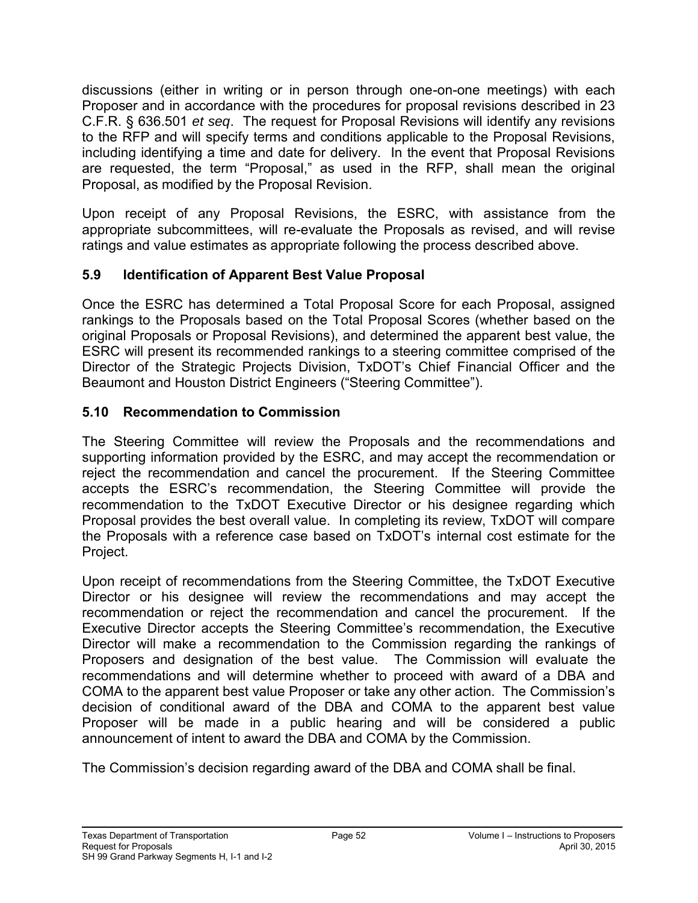discussions (either in writing or in person through one-on-one meetings) with each Proposer and in accordance with the procedures for proposal revisions described in 23 C.F.R. § 636.501 *et seq*. The request for Proposal Revisions will identify any revisions to the RFP and will specify terms and conditions applicable to the Proposal Revisions, including identifying a time and date for delivery. In the event that Proposal Revisions are requested, the term "Proposal," as used in the RFP, shall mean the original Proposal, as modified by the Proposal Revision.

Upon receipt of any Proposal Revisions, the ESRC, with assistance from the appropriate subcommittees, will re-evaluate the Proposals as revised, and will revise ratings and value estimates as appropriate following the process described above.

### **5.9 Identification of Apparent Best Value Proposal**

Once the ESRC has determined a Total Proposal Score for each Proposal, assigned rankings to the Proposals based on the Total Proposal Scores (whether based on the original Proposals or Proposal Revisions), and determined the apparent best value, the ESRC will present its recommended rankings to a steering committee comprised of the Director of the Strategic Projects Division, TxDOT's Chief Financial Officer and the Beaumont and Houston District Engineers ("Steering Committee").

# **5.10 Recommendation to Commission**

The Steering Committee will review the Proposals and the recommendations and supporting information provided by the ESRC, and may accept the recommendation or reject the recommendation and cancel the procurement. If the Steering Committee accepts the ESRC's recommendation, the Steering Committee will provide the recommendation to the TxDOT Executive Director or his designee regarding which Proposal provides the best overall value. In completing its review, TxDOT will compare the Proposals with a reference case based on TxDOT's internal cost estimate for the Project.

Upon receipt of recommendations from the Steering Committee, the TxDOT Executive Director or his designee will review the recommendations and may accept the recommendation or reject the recommendation and cancel the procurement. If the Executive Director accepts the Steering Committee's recommendation, the Executive Director will make a recommendation to the Commission regarding the rankings of Proposers and designation of the best value. The Commission will evaluate the recommendations and will determine whether to proceed with award of a DBA and COMA to the apparent best value Proposer or take any other action. The Commission's decision of conditional award of the DBA and COMA to the apparent best value Proposer will be made in a public hearing and will be considered a public announcement of intent to award the DBA and COMA by the Commission.

The Commission's decision regarding award of the DBA and COMA shall be final.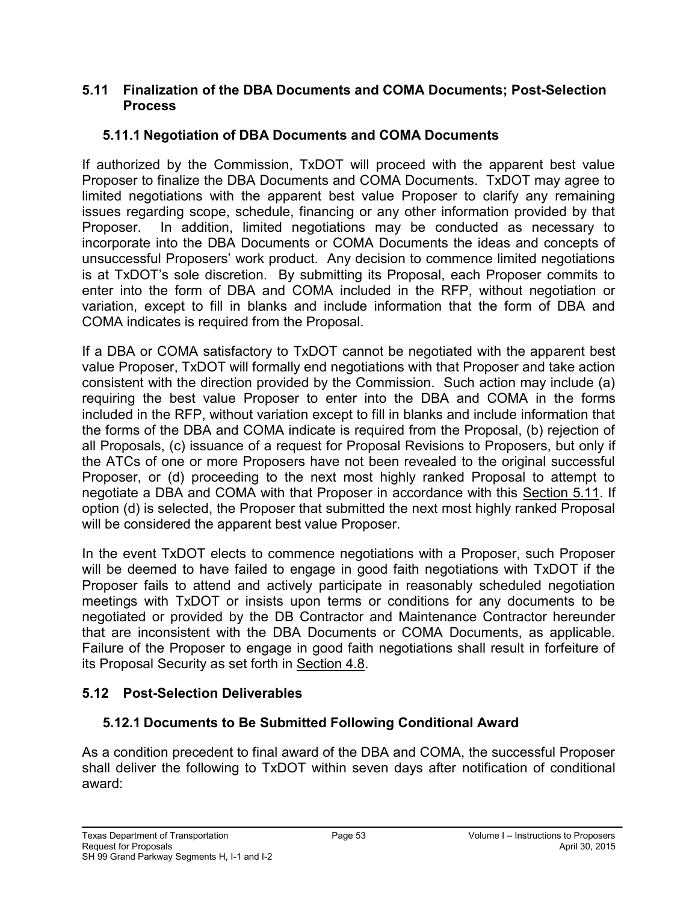#### **5.11 Finalization of the DBA Documents and COMA Documents; Post-Selection Process**

### **5.11.1 Negotiation of DBA Documents and COMA Documents**

If authorized by the Commission, TxDOT will proceed with the apparent best value Proposer to finalize the DBA Documents and COMA Documents. TxDOT may agree to limited negotiations with the apparent best value Proposer to clarify any remaining issues regarding scope, schedule, financing or any other information provided by that Proposer. In addition, limited negotiations may be conducted as necessary to incorporate into the DBA Documents or COMA Documents the ideas and concepts of unsuccessful Proposers' work product. Any decision to commence limited negotiations is at TxDOT's sole discretion. By submitting its Proposal, each Proposer commits to enter into the form of DBA and COMA included in the RFP, without negotiation or variation, except to fill in blanks and include information that the form of DBA and COMA indicates is required from the Proposal.

If a DBA or COMA satisfactory to TxDOT cannot be negotiated with the apparent best value Proposer, TxDOT will formally end negotiations with that Proposer and take action consistent with the direction provided by the Commission. Such action may include (a) requiring the best value Proposer to enter into the DBA and COMA in the forms included in the RFP, without variation except to fill in blanks and include information that the forms of the DBA and COMA indicate is required from the Proposal, (b) rejection of all Proposals, (c) issuance of a request for Proposal Revisions to Proposers, but only if the ATCs of one or more Proposers have not been revealed to the original successful Proposer, or (d) proceeding to the next most highly ranked Proposal to attempt to negotiate a DBA and COMA with that Proposer in accordance with this Section 5.11. If option (d) is selected, the Proposer that submitted the next most highly ranked Proposal will be considered the apparent best value Proposer.

In the event TxDOT elects to commence negotiations with a Proposer, such Proposer will be deemed to have failed to engage in good faith negotiations with TxDOT if the Proposer fails to attend and actively participate in reasonably scheduled negotiation meetings with TxDOT or insists upon terms or conditions for any documents to be negotiated or provided by the DB Contractor and Maintenance Contractor hereunder that are inconsistent with the DBA Documents or COMA Documents, as applicable. Failure of the Proposer to engage in good faith negotiations shall result in forfeiture of its Proposal Security as set forth in Section 4.8.

# **5.12 Post-Selection Deliverables**

### **5.12.1 Documents to Be Submitted Following Conditional Award**

As a condition precedent to final award of the DBA and COMA, the successful Proposer shall deliver the following to TxDOT within seven days after notification of conditional award: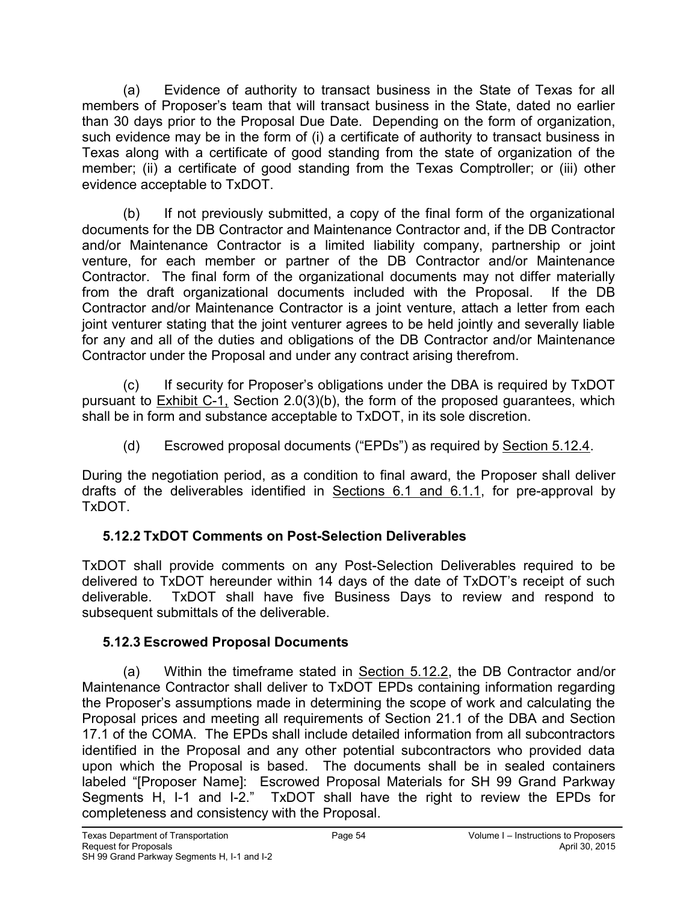(a) Evidence of authority to transact business in the State of Texas for all members of Proposer's team that will transact business in the State, dated no earlier than 30 days prior to the Proposal Due Date. Depending on the form of organization, such evidence may be in the form of (i) a certificate of authority to transact business in Texas along with a certificate of good standing from the state of organization of the member; (ii) a certificate of good standing from the Texas Comptroller; or (iii) other evidence acceptable to TxDOT.

(b) If not previously submitted, a copy of the final form of the organizational documents for the DB Contractor and Maintenance Contractor and, if the DB Contractor and/or Maintenance Contractor is a limited liability company, partnership or joint venture, for each member or partner of the DB Contractor and/or Maintenance Contractor. The final form of the organizational documents may not differ materially from the draft organizational documents included with the Proposal. If the DB Contractor and/or Maintenance Contractor is a joint venture, attach a letter from each joint venturer stating that the joint venturer agrees to be held jointly and severally liable for any and all of the duties and obligations of the DB Contractor and/or Maintenance Contractor under the Proposal and under any contract arising therefrom.

(c) If security for Proposer's obligations under the DBA is required by TxDOT pursuant to Exhibit C-1, Section 2.0(3)(b), the form of the proposed guarantees, which shall be in form and substance acceptable to TxDOT, in its sole discretion.

(d) Escrowed proposal documents ("EPDs") as required by Section 5.12.4.

During the negotiation period, as a condition to final award, the Proposer shall deliver drafts of the deliverables identified in Sections 6.1 and 6.1.1, for pre-approval by TxDOT.

# **5.12.2 TxDOT Comments on Post-Selection Deliverables**

TxDOT shall provide comments on any Post-Selection Deliverables required to be delivered to TxDOT hereunder within 14 days of the date of TxDOT's receipt of such deliverable. TxDOT shall have five Business Days to review and respond to subsequent submittals of the deliverable.

# **5.12.3 Escrowed Proposal Documents**

 (a) Within the timeframe stated in Section 5.12.2, the DB Contractor and/or Maintenance Contractor shall deliver to TxDOT EPDs containing information regarding the Proposer's assumptions made in determining the scope of work and calculating the Proposal prices and meeting all requirements of Section 21.1 of the DBA and Section 17.1 of the COMA. The EPDs shall include detailed information from all subcontractors identified in the Proposal and any other potential subcontractors who provided data upon which the Proposal is based. The documents shall be in sealed containers labeled "[Proposer Name]: Escrowed Proposal Materials for SH 99 Grand Parkway Segments H, I-1 and I-2." TxDOT shall have the right to review the EPDs for completeness and consistency with the Proposal.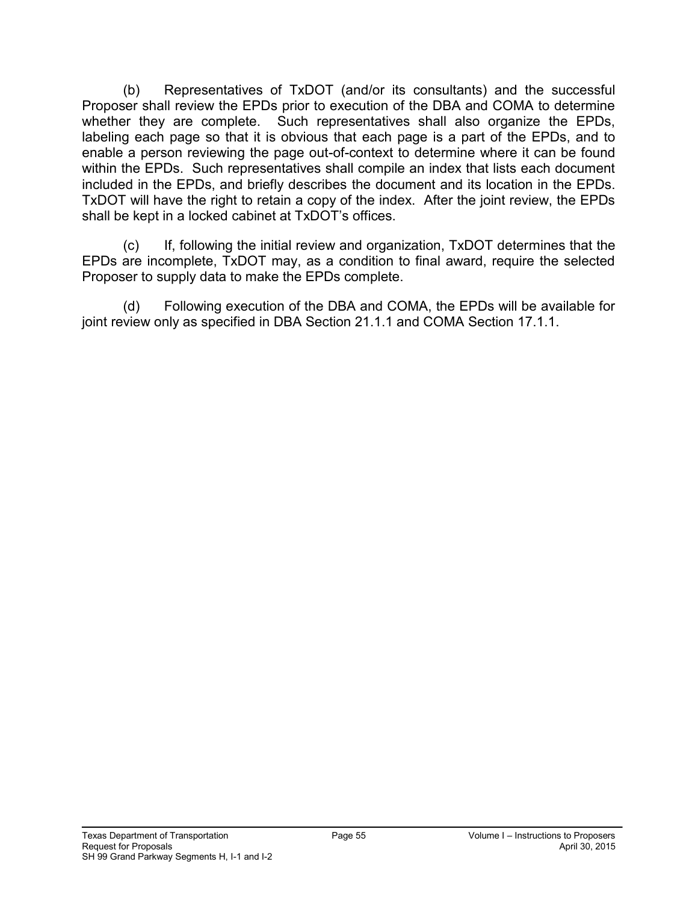(b) Representatives of TxDOT (and/or its consultants) and the successful Proposer shall review the EPDs prior to execution of the DBA and COMA to determine whether they are complete. Such representatives shall also organize the EPDs, labeling each page so that it is obvious that each page is a part of the EPDs, and to enable a person reviewing the page out-of-context to determine where it can be found within the EPDs. Such representatives shall compile an index that lists each document included in the EPDs, and briefly describes the document and its location in the EPDs. TxDOT will have the right to retain a copy of the index. After the joint review, the EPDs shall be kept in a locked cabinet at TxDOT's offices.

 (c) If, following the initial review and organization, TxDOT determines that the EPDs are incomplete, TxDOT may, as a condition to final award, require the selected Proposer to supply data to make the EPDs complete.

 (d) Following execution of the DBA and COMA, the EPDs will be available for joint review only as specified in DBA Section 21.1.1 and COMA Section 17.1.1.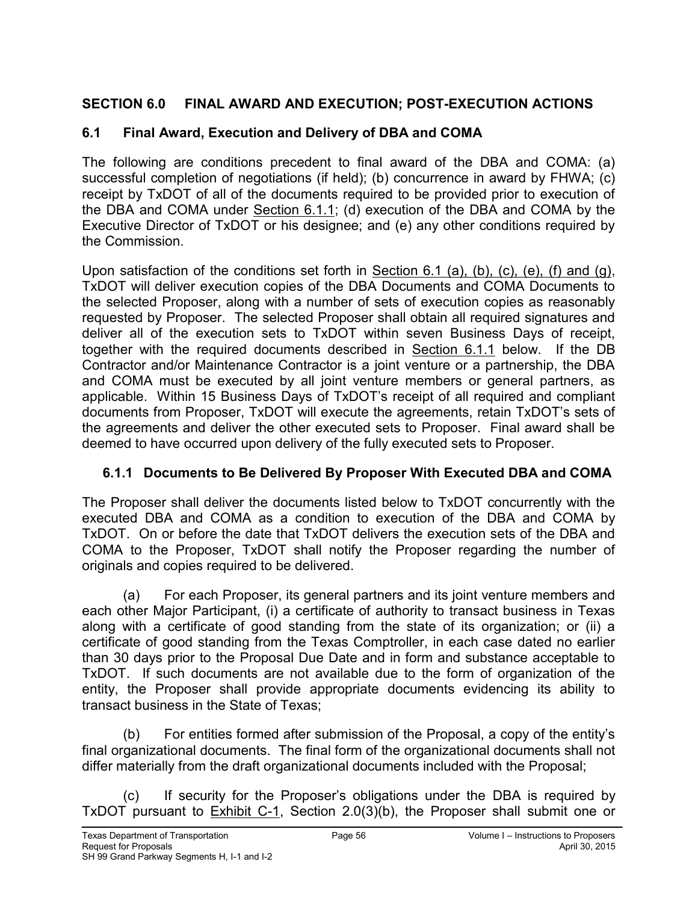# **SECTION 6.0 FINAL AWARD AND EXECUTION; POST-EXECUTION ACTIONS**

### **6.1 Final Award, Execution and Delivery of DBA and COMA**

The following are conditions precedent to final award of the DBA and COMA: (a) successful completion of negotiations (if held); (b) concurrence in award by FHWA; (c) receipt by TxDOT of all of the documents required to be provided prior to execution of the DBA and COMA under Section 6.1.1; (d) execution of the DBA and COMA by the Executive Director of TxDOT or his designee; and (e) any other conditions required by the Commission.

Upon satisfaction of the conditions set forth in Section 6.1 (a), (b), (c), (e), (f) and (g), TxDOT will deliver execution copies of the DBA Documents and COMA Documents to the selected Proposer, along with a number of sets of execution copies as reasonably requested by Proposer. The selected Proposer shall obtain all required signatures and deliver all of the execution sets to TxDOT within seven Business Days of receipt, together with the required documents described in Section 6.1.1 below. If the DB Contractor and/or Maintenance Contractor is a joint venture or a partnership, the DBA and COMA must be executed by all joint venture members or general partners, as applicable. Within 15 Business Days of TxDOT's receipt of all required and compliant documents from Proposer, TxDOT will execute the agreements, retain TxDOT's sets of the agreements and deliver the other executed sets to Proposer. Final award shall be deemed to have occurred upon delivery of the fully executed sets to Proposer.

# **6.1.1 Documents to Be Delivered By Proposer With Executed DBA and COMA**

The Proposer shall deliver the documents listed below to TxDOT concurrently with the executed DBA and COMA as a condition to execution of the DBA and COMA by TxDOT. On or before the date that TxDOT delivers the execution sets of the DBA and COMA to the Proposer, TxDOT shall notify the Proposer regarding the number of originals and copies required to be delivered.

(a) For each Proposer, its general partners and its joint venture members and each other Major Participant, (i) a certificate of authority to transact business in Texas along with a certificate of good standing from the state of its organization; or (ii) a certificate of good standing from the Texas Comptroller, in each case dated no earlier than 30 days prior to the Proposal Due Date and in form and substance acceptable to TxDOT. If such documents are not available due to the form of organization of the entity, the Proposer shall provide appropriate documents evidencing its ability to transact business in the State of Texas;

(b) For entities formed after submission of the Proposal, a copy of the entity's final organizational documents. The final form of the organizational documents shall not differ materially from the draft organizational documents included with the Proposal;

(c) If security for the Proposer's obligations under the DBA is required by TxDOT pursuant to Exhibit C-1, Section 2.0(3)(b), the Proposer shall submit one or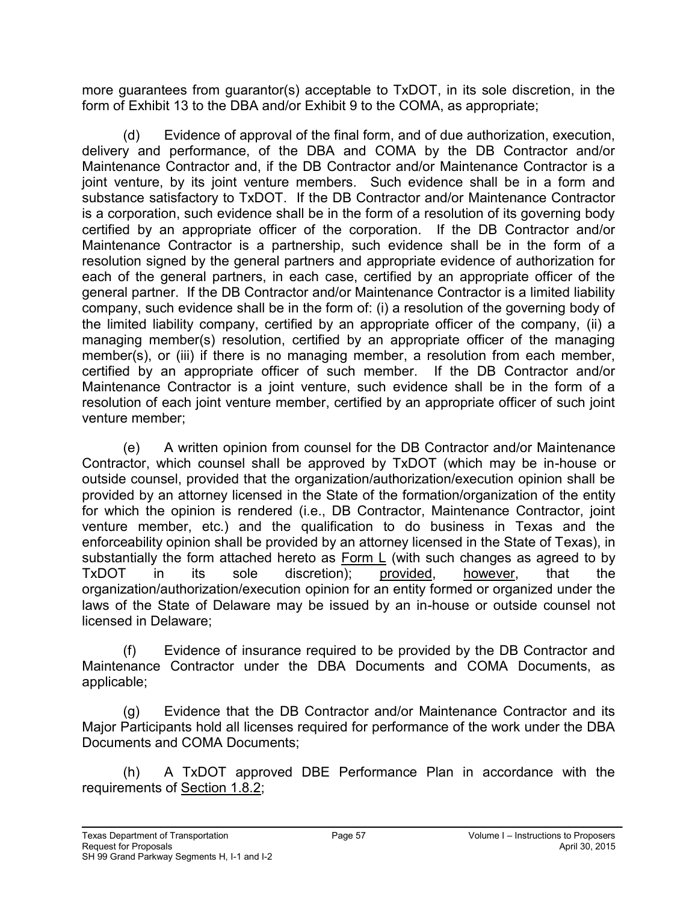more guarantees from guarantor(s) acceptable to TxDOT, in its sole discretion, in the form of Exhibit 13 to the DBA and/or Exhibit 9 to the COMA, as appropriate;

(d) Evidence of approval of the final form, and of due authorization, execution, delivery and performance, of the DBA and COMA by the DB Contractor and/or Maintenance Contractor and, if the DB Contractor and/or Maintenance Contractor is a joint venture, by its joint venture members. Such evidence shall be in a form and substance satisfactory to TxDOT. If the DB Contractor and/or Maintenance Contractor is a corporation, such evidence shall be in the form of a resolution of its governing body certified by an appropriate officer of the corporation. If the DB Contractor and/or Maintenance Contractor is a partnership, such evidence shall be in the form of a resolution signed by the general partners and appropriate evidence of authorization for each of the general partners, in each case, certified by an appropriate officer of the general partner. If the DB Contractor and/or Maintenance Contractor is a limited liability company, such evidence shall be in the form of: (i) a resolution of the governing body of the limited liability company, certified by an appropriate officer of the company, (ii) a managing member(s) resolution, certified by an appropriate officer of the managing member(s), or (iii) if there is no managing member, a resolution from each member, certified by an appropriate officer of such member. If the DB Contractor and/or Maintenance Contractor is a joint venture, such evidence shall be in the form of a resolution of each joint venture member, certified by an appropriate officer of such joint venture member;

(e) A written opinion from counsel for the DB Contractor and/or Maintenance Contractor, which counsel shall be approved by TxDOT (which may be in-house or outside counsel, provided that the organization/authorization/execution opinion shall be provided by an attorney licensed in the State of the formation/organization of the entity for which the opinion is rendered (i.e., DB Contractor, Maintenance Contractor, joint venture member, etc.) and the qualification to do business in Texas and the enforceability opinion shall be provided by an attorney licensed in the State of Texas), in substantially the form attached hereto as  $Form L$  (with such changes as agreed to by</u> TxDOT in its sole discretion); provided, however, that the organization/authorization/execution opinion for an entity formed or organized under the laws of the State of Delaware may be issued by an in-house or outside counsel not licensed in Delaware;

(f) Evidence of insurance required to be provided by the DB Contractor and Maintenance Contractor under the DBA Documents and COMA Documents, as applicable;

(g) Evidence that the DB Contractor and/or Maintenance Contractor and its Major Participants hold all licenses required for performance of the work under the DBA Documents and COMA Documents;

(h) A TxDOT approved DBE Performance Plan in accordance with the requirements of Section 1.8.2;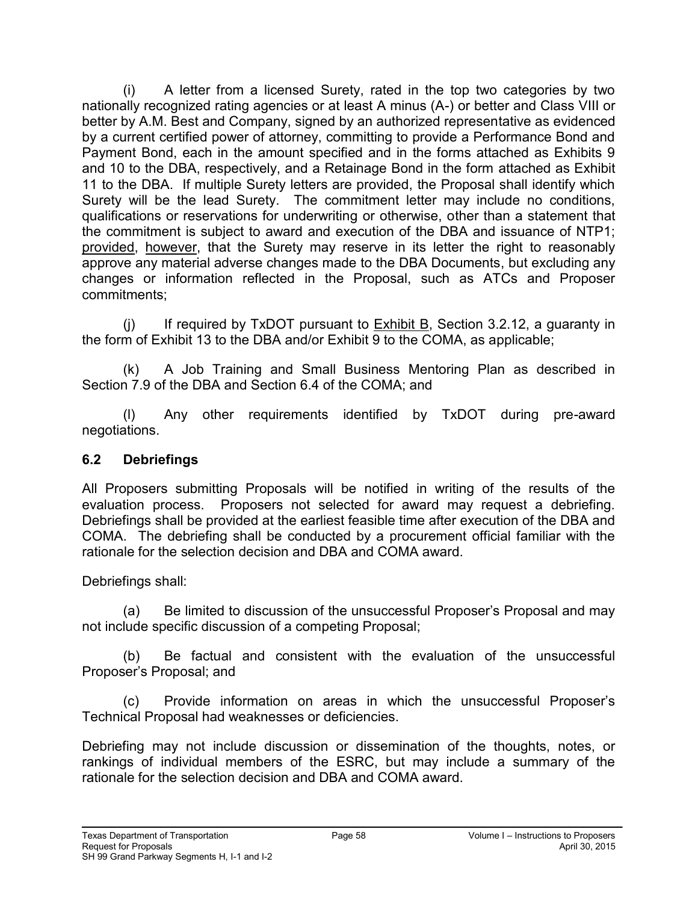(i) A letter from a licensed Surety, rated in the top two categories by two nationally recognized rating agencies or at least A minus (A-) or better and Class VIII or better by A.M. Best and Company, signed by an authorized representative as evidenced by a current certified power of attorney, committing to provide a Performance Bond and Payment Bond, each in the amount specified and in the forms attached as Exhibits 9 and 10 to the DBA, respectively, and a Retainage Bond in the form attached as Exhibit 11 to the DBA. If multiple Surety letters are provided, the Proposal shall identify which Surety will be the lead Surety. The commitment letter may include no conditions, qualifications or reservations for underwriting or otherwise, other than a statement that the commitment is subject to award and execution of the DBA and issuance of NTP1; provided, however, that the Surety may reserve in its letter the right to reasonably approve any material adverse changes made to the DBA Documents, but excluding any changes or information reflected in the Proposal, such as ATCs and Proposer commitments;

 $(i)$  If required by TxDOT pursuant to Exhibit B, Section 3.2.12, a guaranty in the form of Exhibit 13 to the DBA and/or Exhibit 9 to the COMA, as applicable;

(k) A Job Training and Small Business Mentoring Plan as described in Section 7.9 of the DBA and Section 6.4 of the COMA; and

(l) Any other requirements identified by TxDOT during pre-award negotiations.

### **6.2 Debriefings**

All Proposers submitting Proposals will be notified in writing of the results of the evaluation process. Proposers not selected for award may request a debriefing. Debriefings shall be provided at the earliest feasible time after execution of the DBA and COMA. The debriefing shall be conducted by a procurement official familiar with the rationale for the selection decision and DBA and COMA award.

Debriefings shall:

(a) Be limited to discussion of the unsuccessful Proposer's Proposal and may not include specific discussion of a competing Proposal;

(b) Be factual and consistent with the evaluation of the unsuccessful Proposer's Proposal; and

(c) Provide information on areas in which the unsuccessful Proposer's Technical Proposal had weaknesses or deficiencies.

Debriefing may not include discussion or dissemination of the thoughts, notes, or rankings of individual members of the ESRC, but may include a summary of the rationale for the selection decision and DBA and COMA award.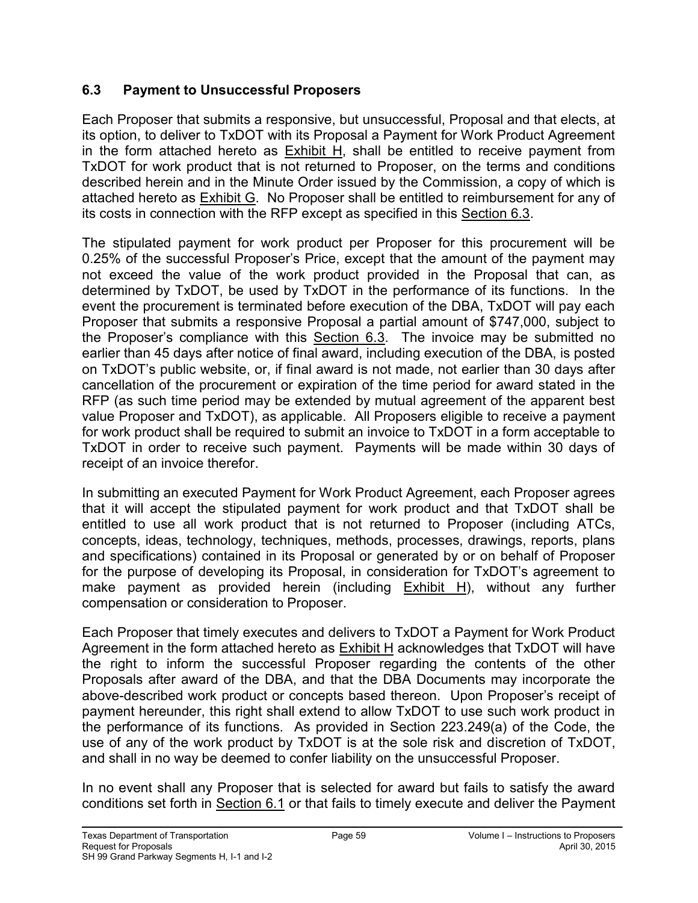### **6.3 Payment to Unsuccessful Proposers**

Each Proposer that submits a responsive, but unsuccessful, Proposal and that elects, at its option, to deliver to TxDOT with its Proposal a Payment for Work Product Agreement in the form attached hereto as Exhibit H, shall be entitled to receive payment from TxDOT for work product that is not returned to Proposer, on the terms and conditions described herein and in the Minute Order issued by the Commission, a copy of which is attached hereto as Exhibit G. No Proposer shall be entitled to reimbursement for any of its costs in connection with the RFP except as specified in this Section 6.3.

The stipulated payment for work product per Proposer for this procurement will be 0.25% of the successful Proposer's Price, except that the amount of the payment may not exceed the value of the work product provided in the Proposal that can, as determined by TxDOT, be used by TxDOT in the performance of its functions. In the event the procurement is terminated before execution of the DBA, TxDOT will pay each Proposer that submits a responsive Proposal a partial amount of \$747,000, subject to the Proposer's compliance with this Section 6.3. The invoice may be submitted no earlier than 45 days after notice of final award, including execution of the DBA, is posted on TxDOT's public website, or, if final award is not made, not earlier than 30 days after cancellation of the procurement or expiration of the time period for award stated in the RFP (as such time period may be extended by mutual agreement of the apparent best value Proposer and TxDOT), as applicable. All Proposers eligible to receive a payment for work product shall be required to submit an invoice to TxDOT in a form acceptable to TxDOT in order to receive such payment. Payments will be made within 30 days of receipt of an invoice therefor.

In submitting an executed Payment for Work Product Agreement, each Proposer agrees that it will accept the stipulated payment for work product and that TxDOT shall be entitled to use all work product that is not returned to Proposer (including ATCs, concepts, ideas, technology, techniques, methods, processes, drawings, reports, plans and specifications) contained in its Proposal or generated by or on behalf of Proposer for the purpose of developing its Proposal, in consideration for TxDOT's agreement to make payment as provided herein (including Exhibit H), without any further compensation or consideration to Proposer.

Each Proposer that timely executes and delivers to TxDOT a Payment for Work Product Agreement in the form attached hereto as Exhibit H acknowledges that TxDOT will have the right to inform the successful Proposer regarding the contents of the other Proposals after award of the DBA, and that the DBA Documents may incorporate the above-described work product or concepts based thereon. Upon Proposer's receipt of payment hereunder, this right shall extend to allow TxDOT to use such work product in the performance of its functions. As provided in Section 223.249(a) of the Code, the use of any of the work product by TxDOT is at the sole risk and discretion of TxDOT, and shall in no way be deemed to confer liability on the unsuccessful Proposer.

In no event shall any Proposer that is selected for award but fails to satisfy the award conditions set forth in Section 6.1 or that fails to timely execute and deliver the Payment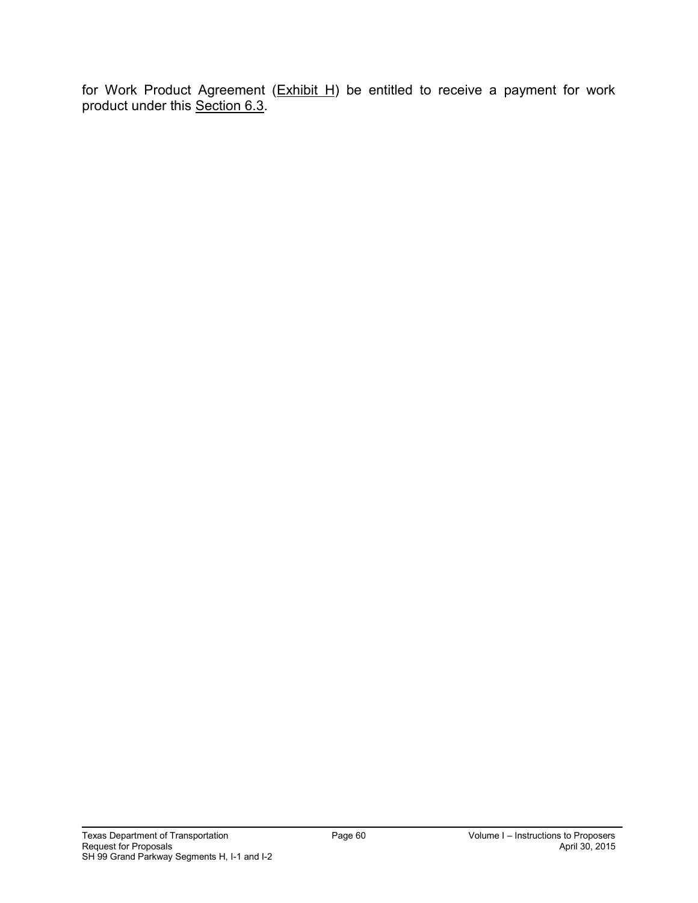for Work Product Agreement (Exhibit H) be entitled to receive a payment for work product under this <u>Section 6.3</u>.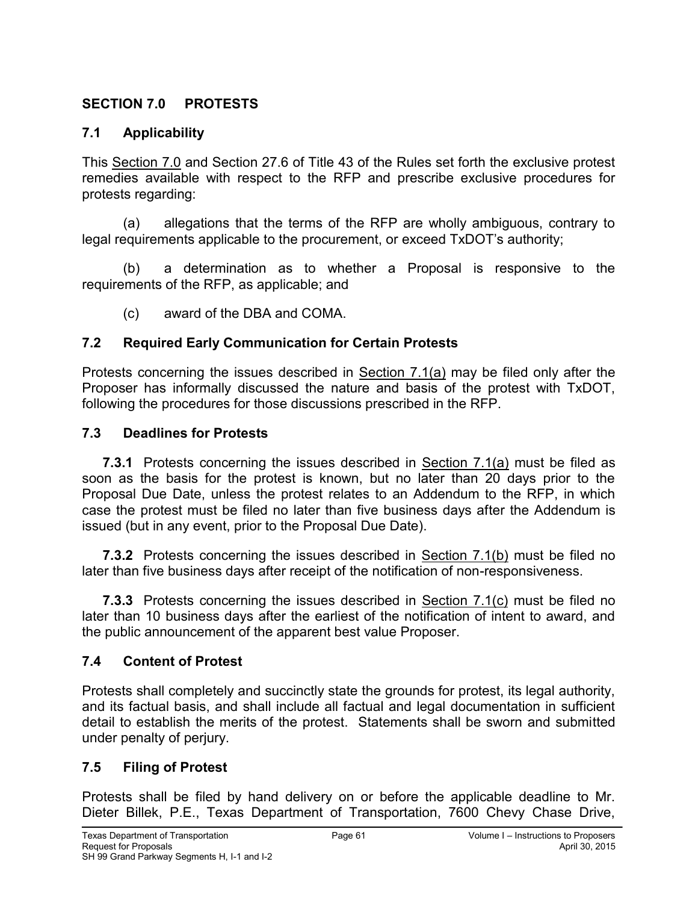### **SECTION 7.0 PROTESTS**

### **7.1 Applicability**

This Section 7.0 and Section 27.6 of Title 43 of the Rules set forth the exclusive protest remedies available with respect to the RFP and prescribe exclusive procedures for protests regarding:

(a) allegations that the terms of the RFP are wholly ambiguous, contrary to legal requirements applicable to the procurement, or exceed TxDOT's authority;

(b) a determination as to whether a Proposal is responsive to the requirements of the RFP, as applicable; and

(c) award of the DBA and COMA.

### **7.2 Required Early Communication for Certain Protests**

Protests concerning the issues described in Section 7.1(a) may be filed only after the Proposer has informally discussed the nature and basis of the protest with TxDOT, following the procedures for those discussions prescribed in the RFP.

#### **7.3 Deadlines for Protests**

**7.3.1** Protests concerning the issues described in Section 7.1(a) must be filed as soon as the basis for the protest is known, but no later than 20 days prior to the Proposal Due Date, unless the protest relates to an Addendum to the RFP, in which case the protest must be filed no later than five business days after the Addendum is issued (but in any event, prior to the Proposal Due Date).

**7.3.2** Protests concerning the issues described in Section 7.1(b) must be filed no later than five business days after receipt of the notification of non-responsiveness.

**7.3.3** Protests concerning the issues described in Section 7.1(c) must be filed no later than 10 business days after the earliest of the notification of intent to award, and the public announcement of the apparent best value Proposer.

### **7.4 Content of Protest**

Protests shall completely and succinctly state the grounds for protest, its legal authority, and its factual basis, and shall include all factual and legal documentation in sufficient detail to establish the merits of the protest. Statements shall be sworn and submitted under penalty of perjury.

### **7.5 Filing of Protest**

Protests shall be filed by hand delivery on or before the applicable deadline to Mr. Dieter Billek, P.E., Texas Department of Transportation, 7600 Chevy Chase Drive,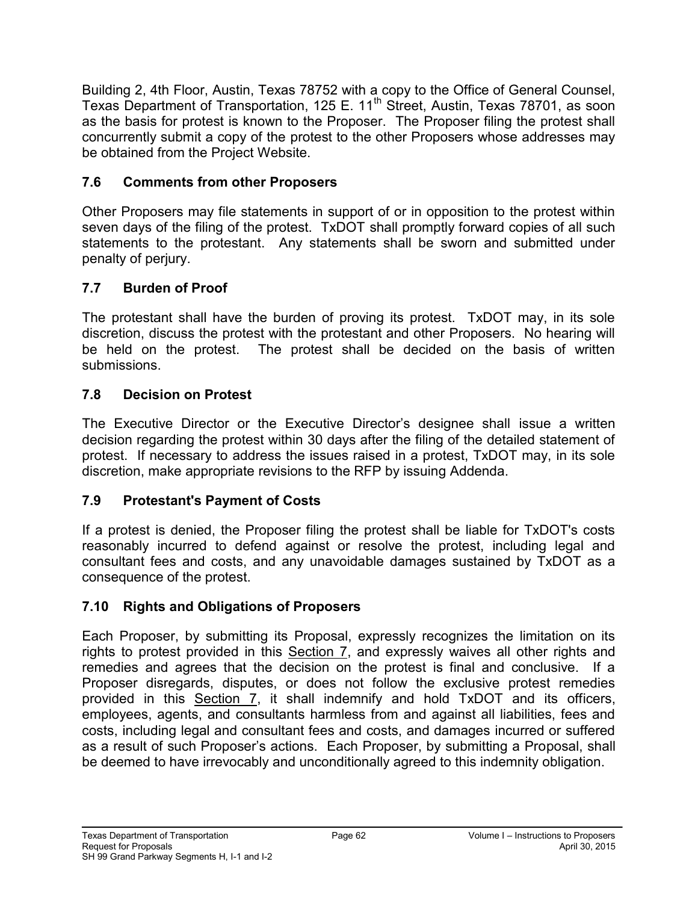Building 2, 4th Floor, Austin, Texas 78752 with a copy to the Office of General Counsel, Texas Department of Transportation, 125 E. 11<sup>th</sup> Street, Austin, Texas 78701, as soon as the basis for protest is known to the Proposer. The Proposer filing the protest shall concurrently submit a copy of the protest to the other Proposers whose addresses may be obtained from the Project Website.

# **7.6 Comments from other Proposers**

Other Proposers may file statements in support of or in opposition to the protest within seven days of the filing of the protest. TxDOT shall promptly forward copies of all such statements to the protestant. Any statements shall be sworn and submitted under penalty of perjury.

# **7.7 Burden of Proof**

The protestant shall have the burden of proving its protest. TxDOT may, in its sole discretion, discuss the protest with the protestant and other Proposers. No hearing will be held on the protest. The protest shall be decided on the basis of written submissions.

# **7.8 Decision on Protest**

The Executive Director or the Executive Director's designee shall issue a written decision regarding the protest within 30 days after the filing of the detailed statement of protest. If necessary to address the issues raised in a protest, TxDOT may, in its sole discretion, make appropriate revisions to the RFP by issuing Addenda.

# **7.9 Protestant's Payment of Costs**

If a protest is denied, the Proposer filing the protest shall be liable for TxDOT's costs reasonably incurred to defend against or resolve the protest, including legal and consultant fees and costs, and any unavoidable damages sustained by TxDOT as a consequence of the protest.

# **7.10 Rights and Obligations of Proposers**

Each Proposer, by submitting its Proposal, expressly recognizes the limitation on its rights to protest provided in this Section 7, and expressly waives all other rights and remedies and agrees that the decision on the protest is final and conclusive. If a Proposer disregards, disputes, or does not follow the exclusive protest remedies provided in this Section 7, it shall indemnify and hold TxDOT and its officers, employees, agents, and consultants harmless from and against all liabilities, fees and costs, including legal and consultant fees and costs, and damages incurred or suffered as a result of such Proposer's actions. Each Proposer, by submitting a Proposal, shall be deemed to have irrevocably and unconditionally agreed to this indemnity obligation.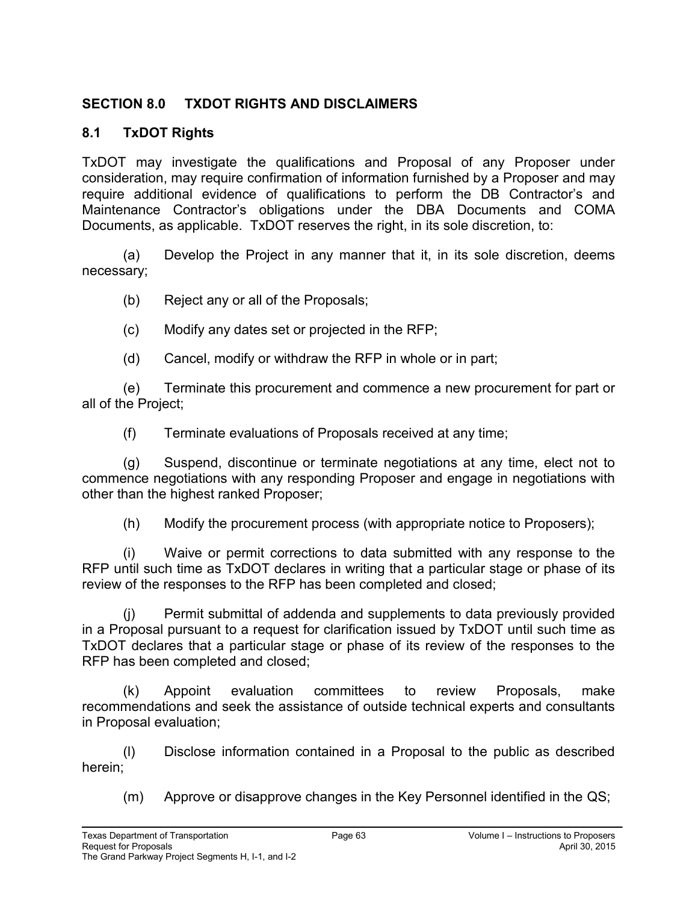### **SECTION 8.0 TXDOT RIGHTS AND DISCLAIMERS**

### **8.1 TxDOT Rights**

TxDOT may investigate the qualifications and Proposal of any Proposer under consideration, may require confirmation of information furnished by a Proposer and may require additional evidence of qualifications to perform the DB Contractor's and Maintenance Contractor's obligations under the DBA Documents and COMA Documents, as applicable. TxDOT reserves the right, in its sole discretion, to:

(a) Develop the Project in any manner that it, in its sole discretion, deems necessary;

- (b) Reject any or all of the Proposals;
- (c) Modify any dates set or projected in the RFP;
- (d) Cancel, modify or withdraw the RFP in whole or in part;

(e) Terminate this procurement and commence a new procurement for part or all of the Project;

(f) Terminate evaluations of Proposals received at any time;

(g) Suspend, discontinue or terminate negotiations at any time, elect not to commence negotiations with any responding Proposer and engage in negotiations with other than the highest ranked Proposer;

(h) Modify the procurement process (with appropriate notice to Proposers);

(i) Waive or permit corrections to data submitted with any response to the RFP until such time as TxDOT declares in writing that a particular stage or phase of its review of the responses to the RFP has been completed and closed;

(j) Permit submittal of addenda and supplements to data previously provided in a Proposal pursuant to a request for clarification issued by TxDOT until such time as TxDOT declares that a particular stage or phase of its review of the responses to the RFP has been completed and closed;

(k) Appoint evaluation committees to review Proposals, make recommendations and seek the assistance of outside technical experts and consultants in Proposal evaluation;

(l) Disclose information contained in a Proposal to the public as described herein;

(m) Approve or disapprove changes in the Key Personnel identified in the QS;